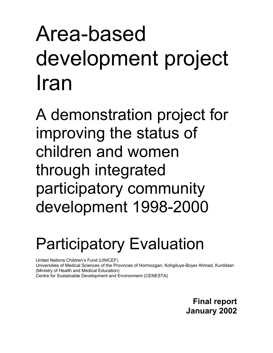# Area-based development project Iran

A demonstration project for improving the status of children and women through integrated participatory community development 1998-2000

# Participatory Evaluation

United Nations Children's Fund (UNICEF)

Universities of Medical Sciences of the Provinces of Hormozgan, Kohgiluye-Boyer Ahmad, Kurdistan (Ministry of Health and Medical Education) Centre for Sustainable Development and Environment (CENESTA)

> **Final report January 2002**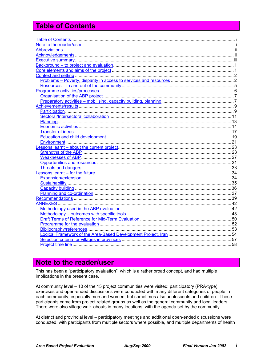# **Table of Contents**

# Note to the reader/user

This has been a "participatory evaluation", which is a rather broad concept, and had multiple implications in the present case.

At community level - 10 of the 15 project communities were visited; participatory (PRA-type) exercises and open-ended discussions were conducted with many different categories of people in each community, especially men and women, but sometimes also adolescents and children. These participants came from project related groups as well as the general community and local leaders. There were also village walk-abouts in many locations, with the agenda set by the community.

At district and provincial level – participatory meetings and additional open-ended discussions were conducted, with participants from multiple sectors where possible, and multiple departments of health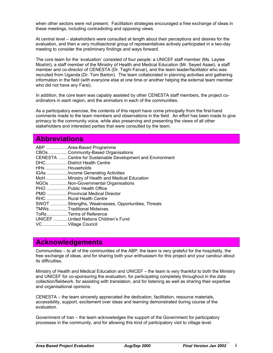when other sectors were not present. Facilitation strategies encouraged a free exchange of ideas in these meetings, including contradicting and opposing views.

At central level – stakeholders were consulted at length about their perceptions and desires for the evaluation, and then a very multisectoral group of representatives actively participated in a two-day meeting to consider the preliminary findings and ways forward.

The core team for the 'evaluation' consisted of four people: a UNICEF staff member (Ms. Laylee Moshiri), a staff member of the Ministry of Health and Medical Education (Mr. Seyed Asaei), a staff member and co-director of CENESTA (Dr. Taghi Farvar), and the team leader/facilitator who was recruited from Uganda (Dr. Tom Barton). The team collaborated in planning activities and gathering information in the field (with everyone else at one time or another helping the external team member who did not have any Farsi).

In addition, the core team was capably assisted by other CENESTA staff members, the project coordinators in each region, and the animators in each of the communities.

As a participatory exercise, the contents of this report have come principally from the first-hand comments made to the team members and observations in the field. An effort has been made to give primacy to the community voice, while also preserving and presenting the views of all other stakeholders and interested parties that were consulted by the team.

# **Abbreviations**

|                    | ABP Area-Based Programme                                    |
|--------------------|-------------------------------------------------------------|
|                    | CBOsCommunity-Based Organisations                           |
|                    | CENESTA  Centre for Sustainable Development and Environment |
|                    | DHCDistrict Health Centre                                   |
| HHs Households     |                                                             |
|                    | IGAs Income Generating Activities                           |
|                    | MoHMinistry of Health and Medical Education                 |
|                    | NGOs Non-Governmental Organisations                         |
|                    | PHO  Public Health Office                                   |
|                    | PMD  Provincial Medical Director                            |
|                    | RHC Rural Health Centre                                     |
|                    | SWOT Strengths, Weaknesses, Opportunities, Threats          |
|                    | TMWsTraditional Midwives                                    |
|                    | ToRsTerms of Reference                                      |
|                    | UNICEF United Nations Children's Fund                       |
| VC Village Council |                                                             |
|                    |                                                             |

# **Acknowledgements**

Communities – to all of the communities of the ABP, the team is very grateful for the hospitality, the free exchange of ideas, and for sharing both your enthusiasm for this project and your candour about its difficulties.

Ministry of Health and Medical Education and UNICEF – the team is very thankful to both the Ministry and UNICEF for co-sponsoring the evaluation, for participating completely throughout in the data collection/fieldwork, for assisting with translation, and for listening as well as sharing their expertise and organisational opinions.

CENESTA – the team sincerely appreciated the dedication, facilitation, resource materials, accessibility, support, excitement over ideas and learning demonstrated during course of the evaluation.

Government of Iran – the team acknowledges the support of the Government for participatory processes in the community, and for allowing this kind of participatory visit to village level.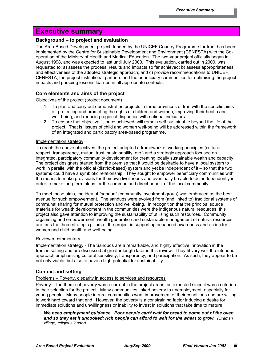# **Executive summary**

# **Background – to project and evaluation**

The Area-Based Development project, funded by the UNICEF Country Programme for Iran, has been implemented by the Centre for Sustainable Development and Environment (CENESTA) with the Cooperation of the Ministry of Health and Medical Education. The two-year project officially began in August 1998, and was expected to last until July 2000. This evaluation, carried out in 2000, was requested to: a) assess the process, results and impacts so far achieved; b) assess appropriateness and effectiveness of the adopted strategic approach; and c) provide recommendations to UNICEF, CENESTA, the project institutional partners and the beneficiary communities for optimising the project impacts and pursuing lessons learned in all appropriate contexts.

# **Core elements and aims of the project**

# Objectives of the project (project document)

- 1. To plan and carry out demonstration projects in three provinces of Iran with the specific aims of: protecting and promoting the rights of children and women; improving their health and well-being; and reducing regional disparities with national indicators.
- 2. To ensure that objective 1, once achieved, will remain self-sustainable beyond the life of the project. That is, issues of child and woman well-being will be addressed within the framework of an integrated and participatory area-based programme.

# Implementation strategy

To reach the above objectives, the project adopted a framework of working principles (cultural respect, transparency, mutual trust, sustainability, etc.) and a strategic approach focused on integrated, participatory community development for creating locally sustainable wealth and capacity. The project designers started from the premise that it would be desirable to have a local system to work in parallel with the official (district-based) system and yet be independent of it – so that the two systems could have a symbiotic relationship. They sought to empower beneficiary communities with the means to make provisions for their own livelihoods and eventually be able to act independently in order to make long-term plans for the common and direct benefit of the local community.

To meet these aims, the idea of "sanduq" (community investment group) was embraced as the best avenue for such empowerment. The sanduqs were evolved from (and linked to) traditional systems of communal sharing for mutual protection and well-being. In recognition that the principal source materials for wealth development in the communities were the indigenous natural resources, this project also gave attention to improving the sustainability of utilising such resources. Community organising and empowerment, wealth generation and sustainable management of natural resources are thus the three strategic pillars of the project in supporting enhanced awareness and action for women and child health and well-being.

# Reviewer commentary

Implementation strategy - The Sanduqs are a remarkable, and highly effective innovation in the Iranian setting and are discussed at greater length later in this review. They fit very well the intended approach emphasising cultural sensitivity, transparency, and participation. As such, they appear to be not only viable, but also to have a high potential for sustainability.

# **Context and setting**

# Problems – Poverty, disparity in access to services and resources

Poverty - The theme of poverty was recurrent in the project areas, as expected since it was a criterion in their selection for the project. Many communities linked poverty to unemployment, especially for young people. Many people in rural communities want improvement of their conditions and are willing to work hard toward that end. However, the poverty is a constraining factor inducing a desire for immediate solutions and unwillingness or inability to invest in solutions that take time to mature.

*We need employment guidance. Poor people can't wait for bread to come out of the oven, and so they eat it uncooked; rich people can afford to wait for the wheat to grow. (Oraman village, religious leader)*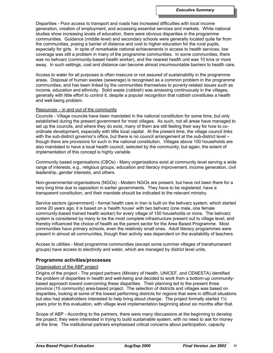Disparities - Poor access to transport and roads has increased difficulties with local income generation, creation of employment, and accessing essential services and markets. While national studies show increasing levels of education, there were obvious disparities in the programme communities. Guidance (middle level) and secondary schools were generally located quite far from the communities, posing a barrier of distance and cost to higher education for the rural pupils, especially for girls. In spite of remarkable national achievements in access to health services, low coverage was still a problem in many of the programme communities. In some communities, there was no behvarz (community-based health worker), and the nearest health unit was 10 kms or more away. In such settings, cost and distance can become almost insurmountable barriers to health care.

Access to water for all purposes is often insecure or not assured of sustainability in the programme areas. Disposal of human wastes (sewerage) is recognised as a common problem in the programme communities, and has been linked by the communities themselves to poverty-related issues such as income, education and ethnicity. Solid waste (rubbish) was amassing continuously in the villages, generally with little effort to control it, despite a popular recognition that rubbish constitutes a health and well-being problem.

# Resources – in and out of the community

Councils - Village councils have been mandated in the national constitution for some time, but only established during the present government for most villages. As such, not all areas have managed to set up the councils, and where they do exist, many of them are still feeling their way for how to coordinate development, especially with little local capital. At the present time, the village council links with the sub-district governor's office, but there is no council arrangement at the sub-district level though there are provisions for such in the national constitution. Villages above 100 households are also mandated to have a local health council, selected by the community; but again, the extent of implementation of this concept is highly variable.

Community based organisations (CBOs) - Many organisations exist at community level serving a wide range of interests, e.g., religious groups, education and literacy improvement, income generation, civil leadership, gender interests, and others.

Non-governmental organisations (NGOs) - Modern NGOs are present, but have not been there for a very long time due to opposition in earlier governments. They have to be registered, have a transparent constitution, and their mandate should be indicated to the relevant ministry.

Service sectors (government) - formal health care in Iran is built on the behvarz system, which started some 20 years ago; it is based on a 'health house' with two behvarz (one male, one female community-based trained health worker) for every village of 150 households or more. The behvarz system is considered by many to be the most complete infrastructure present out to village level, and thereby influenced the choice of health as the parent sector for the Area Based Programme. Most communities have primary schools, even the relatively small ones. Adult literacy programmes were present in almost all communities, though their activity was dependent on the availability of teachers.

Access to utilities - Most programme communities (except some summer villages of transhumanent groups) have access to electricity and water, which are managed by district level units.

# **Programme activities/processes**

# Organisation of the ABP project

Origins of the project - The project partners (Ministry of Health, UNICEF, and CENESTA) identified the problem of disparities in health and well-being and decided to work from a bottom-up communitybased approach toward overcoming these disparities. Their planning led to the present three province (15 community) area-based project. The selection of districts and villages was based on disparities, looking at some of the lowest performing districts for regions that were in difficult situations but also had stakeholders interested to help bring about change. The project formally started 1<sup>1</sup>/<sub>2</sub> years prior to this evaluation, with village level implementation beginning about six months after that.

Scope of ABP - According to the partners, there were many discussions at the beginning to develop the project; they were interested in trying to build sustainable system, with no need to ask for money all the time. The institutional partners emphasised critical concerns about participation, capacity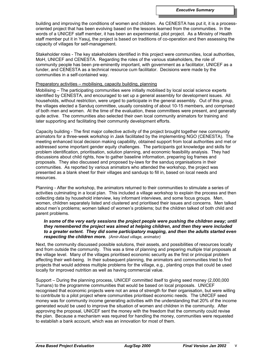building and improving the conditions of women and children. As CENESTA has put it, it is a processoriented project that has been evolving based on the lessons learned from the communities. In the words of a UNICEF staff member, it has been an experimental, pilot project. As a Ministry of Health staff member put it in Yasuj, the project is based on traditions of co-operation and then assessing the capacity of villages for self-management.

Stakeholder roles - The key stakeholders identified in this project were communities, local authorities, MoH, UNICEF and CENESTA. Regarding the roles of the various stakeholders, the role of community people has been pre-eminently important, with government as a facilitator, UNICEF as a funder, and CENESTA as a technical resource cum facilitator. Decisions were made by the communities in a self-contained way.

#### Preparatory activities – mobilising, capacity building, planning

Mobilising – The participating communities were initially mobilised by local social science experts identified by CENESTA, and encouraged to set up a general assembly for development issues. All households, without restriction, were urged to participate in the general assembly. Out of this group, the villages elected a Sanduq committee, usually consisting of about 10-15 members, and comprised of both men and women. At the time of the evaluation, these committees were present, and generally quite active. The communities also selected their own local community animators for training and later supporting and facilitating their community development efforts.

Capacity building - The first major collective activity of the project brought together new community animators for a three-week workshop in Jask facilitated by the implementing NGO (CENESTA). The meeting enhanced local decision making capability, obtained support from local authorities and met or addressed some important gender equity challenges. The participants got knowledge and skills for problem identification, prioritisation, solution planning, and economic feasibility analysis. They had discussions about child rights, how to gather baseline information, preparing log frames and proposals. They also discussed and proposed by-laws for the sanduq organisations in their communities. As reported by various animators who attended the workshop, the project was presented as a blank sheet for their villages and sanduqs to fill in, based on local needs and resources.

Planning - After the workshop, the animators returned to their communities to stimulate a series of activities culminating in a local plan. This included a village workshop to explain the process and then collecting data by household interview, key informant interviews, and some focus groups. Men, women, children separately listed and clustered and prioritised their issues and concerns. Men talked about men's problems; women talked of women's problems; but the children talked of both child and parent problems.

# *In some of the very early sessions the project people were pushing the children away; until they remembered the project was aimed at helping children, and then they were included to a greater extent. They did some participatory mapping, and then the adults started even respecting the children more. (Amir-Abad village, animator)*

Next, the community discussed possible solutions, their assets, and possibilities of resources locally and from outside the community. This was a time of planning and preparing multiple trial proposals at the village level. Many of the villages prioritised economic security as the first or principal problem affecting their well-being. In their subsequent planning, the animators and communities tried to find projects that would address multiple problems for the village, e.g., planting crops that could be used locally for improved nutrition as well as having commercial value.

Support – During the planning process, UNICEF committed itself to giving seed money (2,000,000 Tumans) to the programme communities that would be based on local proposals. UNICEF recognised that economic projects were not an area of strength for their organisation, but were willing to contribute to a pilot project where communities prioritised economic needs. The UNICEF seed money was for community income generating activities with the understanding that 20% of the income generated would be used to improve the situation of women and children in the community. After approving the proposal, UNICEF sent the money with the freedom that the community could revise the plan. Because a mechanism was required for handling the money, communities were requested to establish a bank account, which was an innovation for most of them.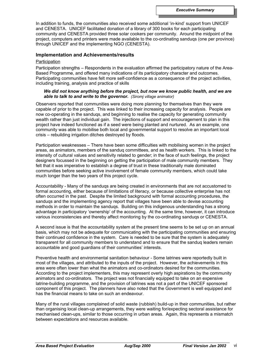In addition to funds, the communities also received some additional 'in-kind' support from UNICEF and CENESTA. UNICEF facilitated donation of a library of 300 books for each participating community and CENESTA provided three solar cookers per community. Around the midpoint of the project, computers and printers were made available to the co-ordinating sanduqs (one per province) through UNICEF and the implementing NGO (CENESTA).

# **Implementation and Achievements/results**

#### **Participation**

Participation strengths – Respondents in the evaluation affirmed the participatory nature of the Area-Based Programme, and offered many indications of its participatory character and outcomes. Participating communities have felt more self-confidence as a consequence of the project activities, including training, analysis and practice of skills

# *We did not know anything before the project, but now we know public health, and we are able to talk to and write to the governor. (Siromj village animator)*

Observers reported that communities were doing more planning for themselves than they were capable of prior to the project. This was linked to their increasing capacity for analysis. People are now co-operating in the sanduqs, and beginning to realise the capacity for generating community wealth rather than just individual gain. The injections of support and encouragement to plan in this project have indeed functioned as if a seed were being planted and nurtured. As an example, one community was able to mobilise both local and governmental support to resolve an important local crisis – rebuilding irrigation ditches destroyed by floods.

Participation weaknesses – There have been some difficulties with mobilising women in the project areas, as animators, members of the sanduq committees, and as health workers. This is linked to the intensity of cultural values and sensitivity related to gender; in the face of such feelings, the project designers focussed in the beginning on getting the participation of male community members. They felt that it was imperative to establish a degree of trust in these traditionally male dominated communities before seeking active involvement of female community members, which could take much longer than the two years of this project cycle.

Accountability - Many of the sanduqs are being created in environments that are not accustomed to formal accounting, either because of limitations of literacy, or because collective enterprise has not often occurred in the past. Despite the limited background with formal accounting procedures, the sanduqs and the implementing agency report that villages have been able to devise accounting methods in order to maintain the sanduqs. Building on this indigenous understanding has a strong advantage in participatory 'ownership' of the accounting. At the same time, however, it can introduce various inconsistencies and thereby affect monitoring by the co-ordinating sanduqs or CENESTA.

A second issue is that the accountability system at the present time seems to be set up on an annual basis, which may not be adequate for communicating with the participating communities and ensuring their continued confidence in the system. Care is needed to be sure that the system is adequately transparent for all community members to understand and to ensure that the sanduq leaders remain accountable and good guardians of their communities' interests.

Preventive health and environmental sanitation behaviour - Some latrines were reportedly built in most of the villages, and attributed to the inputs of the project. However, the achievements in this area were often lower than what the animators and co-ordinators desired for the communities. According to the project implementers, this may represent overly high aspirations by the community animators and co-ordinators. The project was not financially equipped to take on an expensive latrine-building programme, and the provision of latrines was not a part of the UNICEF sponsored component of this project. The planners have also noted that the Government is well equipped and has the financial means to take on such an endeavour.

Many of the rural villages complained of solid waste (rubbish) build-up in their communities, but rather than organising local clean-up arrangements, they were waiting for/expecting sectoral assistance for mechanised clean-ups, similar to those occurring in urban areas. Again, this represents a mismatch between expectations and resources available.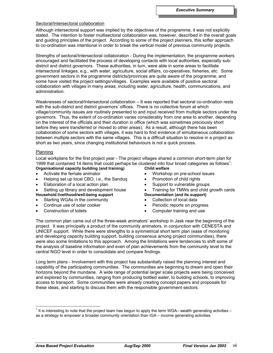# Sectoral/Intersectoral collaboration

Although intersectoral support was implied by the objectives of the programme, it was not explicitly stated. The intention to foster multisectoral collaboration was, however, described in the overall goals and guiding principles of the project. According to some of the project planners, this softer approach to co-ordination was intentional in order to break the vertical model of previous community projects.

Strengths of sectoral/Intersectoral collaboration - During the implementation, the programme workers encouraged and facilitated the process of developing contacts with local authorities, especially subdistrict and district governors. These authorities, in turn, were able in some areas to facilitate intersectoral linkages, e.g., with water, agriculture, social affairs, co-operatives, fisheries, etc. Some government sectors in the programme districts/provinces are quite aware of the programme, and some have visited the project settings/villages. Examples were available of positive sectoral collaboration with villages in many areas, including water, agriculture, health, communications, and administration.

Weaknesses of sectoral/Intersectoral collaboration – It was reported that sectoral co-ordination rests with the sub-district and district governors' offices. There is no collective forum at which village/community issues are routinely presented to and input received from multiple sectors under the governors. Thus, the extent of co-ordination varies considerably from one area to another, depending on the interest of the officials and their duration in office (which was sometimes preciously short before they were transferred or moved to other areas). As a result, although there has been collaboration of some sectors with villages, it was hard to find evidence of simultaneous collaboration between multiple sectors with the same villages. This is a difficult situation to resolve in a project as short as two years, since changing institutional behaviours is not a quick process.

# Planning

Local workplans for the first project year - The project villages shared a common short-term plan for 1999 that contained 14 items that could perhaps be clustered into four broad categories as follows<sup>1</sup>:

- **Organisational capacity building (and training)** • Activate the female animator
- Helping set up local CBO, i.e., the Sanduq
- Elaboration of a local action plan
- Setting up library and development house **Household livelihood/well-being support**
- Starting WGAs in the community
- Continue use of solar cooker
- Construction of toilets
- **Child welfare**
- Workshop on pre-school issues
- Promotion of child rights
- Support to vulnerable groups
- Training for TMWs and child growth cards **Documentation (and its support)**
- Collection of local data
- Periodic reports on progress
- Computer training and use

The common plan came out of the three-week animators' workshop in Jask near the beginning of the project. It was principally a product of the community animators, in conjunction with CENESTA and UNICEF support. While there were strengths to a symmetrical short term plan (ease of monitoring and developing capacity building support, building consensus among project communities), there were also some limitations to this approach. Among the limitations were tendencies to shift some of the analysis of baseline information and even of plan achievements from the community level to the central NGO level in order to consolidate and compare findings.

Long term plans - Involvement with this project has substantially raised the planning interest and capability of the participating communities. The communities are beginning to dream and open their horizons beyond the mundane. A wide range of potential larger scale projects were being conceived and explored by communities, ranging from producing bottled water, to building schools, to improving access to transport. Some communities were already creating concept papers and proposals for these ideas, and starting to discuss them with the responsible government sectors.

l

 $1$  It is interesting to note that the project team has begun to apply the term WGA– wealth generating activities – as a strategy to empower a broader community orientation than IGA – income generating activities.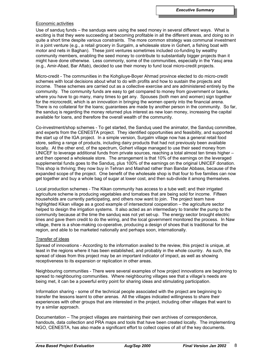# Economic activities

Use of sanduq funds – the sanduqs were using the seed money in several different ways. What is exciting is that they were succeeding at becoming profitable in all the different areas, and doing so in quite a short time despite various constraints. The more common strategy was communal investment in a joint venture (e.g., a retail grocery in Surgalm, a wholesale store in Gohert, a fishing boat with motor and nets in Baghan). These joint ventures sometimes included co-funding by wealthy community members, enabling the seed money to contribute to substantially bigger projects than it might have done otherwise. Less commonly, some of the communities, especially in the Yasuj area (e.g., Amir-Abad, Bar Aftab), decided to use their money to fund local micro-credit projects.

Micro-credit - The communities in the Kohgiluye-Boyer Ahmad province elected to do micro-credit schemes with local decisions about what to do with profits and how to sustain the projects and income. These schemes are carried out as a collective exercise and are administered entirely by the community. The community funds are easy to get compared to money from government or banks, where you have to go many, many times to get any. Spouses (both men and women) sign together for the microcredit, which is an innovation in bringing the women openly into the financial arena. There is no collateral for the loans; guarantees are made by another person in the community. So far, the sanduq is regarding the money returned plus interest as new loan money, increasing the capital available for loans, and therefore the overall wealth of the community.

Co-investment/shop schemes - To get started, the Sanduq used the animator, the Sanduq committee, and experts from the CENESTA project. They identified opportunities and feasibility, and supported the start up of the IGA project. In a simple version, Surgalm village now has a general retail food store, selling a range of products, including dairy products that had not previously been available locally. At the other end, of the spectrum, Gohert village managed to use their seed money from UNICEF to leverage additional funds from private sources, reaching a total almost ten times higher – and then opened a wholesale store. The arrangement is that 10% of the earnings on the leveraged supplemental funds goes to the Sanduq, plus 100% of the earnings on the original UNICEF donation. This shop is thriving; they now buy in Tehran and Mashad rather than Bandar Abbass, because of the expanded scope of the project. One benefit of the wholesale shop is that four to five families can now get together and buy a whole bag of sugar at lower cost, and then sub-divide it among themselves.

Local production schemes - The Kikan community has access to a tube well; and their irrigated agriculture scheme is producing vegetables and tomatoes that are being sold for income. Fifteen households are currently participating, and others now want to join. The project team have highlighted Kikan village as a good example of intersectoral cooperation – the agriculture sector helped to design the irrigation systems. It also acted as an intermediary to transfer the pump to the community because at the time the sanduq was not yet set-up. The energy sector brought electric lines and gave them credit to do the wiring, and the local government monitored the process. In Naw village, there is a shoe-making co-operative, producing a design of shoes that is traditional for the region, and able to be marketed nationally and perhaps soon, internationally.

#### Transfer of ideas

Spread of innovations - According to the information availed to the review, this project is unique, at least in the regions where it has been established, and probably in the whole country. As such, the spread of ideas from this project may be an important indicator of impact, as well as showing receptiveness to its expansion or replication in other areas.

Neighbouring communities - There were several examples of how project innovations are beginning to spread to neighbouring communities. Where neighbouring villages see that a village's needs are being met, it can be a powerful entry point for sharing ideas and stimulating participation.

Information sharing - some of the technical people associated with the project are beginning to transfer the lessons learnt to other arenas. All the villages indicated willingness to share their experiences with other groups that are interested in the project, including other villages that want to try a similar approach.

Documentation – The project villages are maintaining their own archives of correspondence, handouts, data collection and PRA maps and tools that have been created locally. The implementing NGO, CENESTA, has also made a significant effort to collect copies of all of the key documents.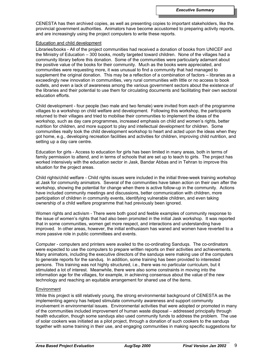CENESTA has then archived copies, as well as presenting copies to important stakeholders, like the provincial government authorities. Animators have become accustomed to preparing activity reports, and are increasingly using the project computers to write these reports.

#### Education and child development

Libraries/books - All of the project communities had received a donation of books from UNICEF and the Ministry of Education – 300 books, mostly targeted toward children. None of the villages had a community library before this donation. Some of the communities were particularly adamant about the positive value of the books for their community. Much as the books were appreciated, and communities were requesting more, it was unusual to find a community that had managed to supplement the original donation. This may be a reflection of a combination of factors – libraries as a exceedingly new innovation in communities, very rural communities with little or no access to book outlets, and even a lack of awareness among the various government sectors about the existence of the libraries and their potential to use them for circulating documents and facilitating their own sectoral education efforts.

Child development - four people (two male and two female) were invited from each of the programme villages to a workshop on child welfare and development. Following this workshop, the participants returned to their villages and tried to mobilise their communities to implement the ideas of the workshop, such as day care programmes, increased emphasis on child and women's rights, better nutrition for children, and more support to play and intellectual development for children. Some communities really took the child development workshop to heart and acted upon the ideas when they got home, e.g., developing recreation facilities and activities for children, improving child nutrition, and setting up a day care centre.

Education for girls - Access to education for girls has been limited in many areas, both in terms of family permission to attend, and in terms of schools that are set up to teach to girls. The project has worked intensively with the education sector in Jask, Bandar Abbas and in Tehran to improve this situation for the project areas.

Child rights/child welfare - Child rights issues were included in the initial three-week training workshop at Jask for community animators. Several of the communities have taken action on their own after the workshop, showing the potential for change when there is active follow-up in the community. Actions have included community meetings and discussions, better communication with children, more participation of children in community events, identifying vulnerable children, and even taking ownership of a child welfare programme that had previously been ignored.

Women rights and activism - There were both good and feeble examples of community response to the issue of women's rights that had also been promoted in the initial Jask workshop. It was reported that in some communities, women get more respect, and interactions and understanding have improved. In other areas, however, the initial enthusiasm has waned and women have reverted to a more passive role in public committees and events.

Computer - computers and printers were availed to the co-ordinating Sanduqs. The co-ordinators were expected to use the computers to prepare written reports on their activities and achievements. Many animators, including the executive directors of the sanduqs were making use of the computers to generate reports for the sanduq. In addition, some training has been provided to interested persons. This training was not highly structured, i.e., there was no particular curriculum, but it stimulated a lot of interest. Meanwhile, there were also some constraints in moving into the information age for the villages, for example, in achieving consensus about the value of the new technology and reaching an equitable arrangement for shared use of the items.

# Environment

While this project is still relatively young, the strong environmental background of CENESTA as the implementing agency has helped stimulate community awareness and support community involvement in environmental issues. Environmental activities that were adopted or promoted in many of the communities included improvement of human waste disposal – addressed principally through health education, though some sanduqs also used community funds to address the problem. The use of solar cookers was initiated as a pilot project, through a donation of such cookers to the sanduqs together with some training in their use, and engaging communities in making specific suggestions for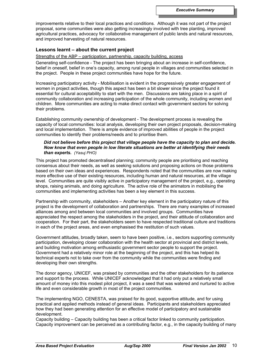improvements relative to their local practices and conditions. Although it was not part of the project proposal, some communities were also getting increasingly involved with tree planting, improved agricultural practices, advocacy for collaborative management of public lands and natural resources, and improved harvesting of natural resources.

# **Lessons learnt – about the current project**

Strengths of the ABP – participation, partnership, capacity building, access

Generating self-confidence - The project has been bringing about an increase in self-confidence, belief in oneself, belief in one's capacity, among rural people in villages and communities selected in the project. People in these project communities have hope for the future.

Increasing participatory activity - Mobilisation is evident in the progressively greater engagement of women in project activities, though this aspect has been a bit slower since the project found it essential for cultural acceptability to start with the men. Discussions are taking place in a spirit of community collaboration and increasing participation of the whole community, including women and children. More communities are acting to make direct contact with government sectors for solving their problems.

Establishing community ownership of development - The development process is revealing the capacity of local communities: local analysis, developing their own project proposals, decision-making and local implementation. There is ample evidence of improved abilities of people in the project communities to identify their problems/needs and to prioritise them.

# *Did not believe before this project that village people have the capacity to plan and decide. Now know that even people in low literate situations are better at identifying their needs than experts. (Yasuj PHO)*

This project has promoted decentralised planning; community people are prioritising and reaching consensus about their needs, as well as seeking solutions and proposing actions on those problems based on their own ideas and experiences. Respondents noted that the communities are now making more effective use of their existing resources, including human and natural resources, at the village level. Communities are quite visibly active in participatory management of the project, e.g., operating shops, raising animals, and doing agriculture. The active role of the animators in mobilising the communities and implementing activities has been a key element in this success.

Partnership with community, stakeholders – Another key element in the participatory nature of this project is the development of collaboration and partnerships. There are many examples of increased alliances among and between local communities and involved groups. Communities have appreciated the respect among the stakeholders in the project, and their attitude of collaboration and cooperation. For their part, the stakeholders seem to have respected traditional culture and traditions in each of the project areas, and even emphasised the restitution of such values.

Government attitudes, broadly taken, seem to have been positive, i.e., sectors supporting community participation, developing closer collaboration with the health sector at provincial and district levels, and building motivation among enthusiastic government sector people to support the project. Government had a relatively minor role at the beginning of the project, and this has helped its technical experts not to take over from the community while the communities were finding and developing their own strengths.

The donor agency, UNICEF, was praised by communities and the other stakeholders for its patience and support to the process. While UNICEF acknowledged that it had only put a relatively small amount of money into this modest pilot project, it was a seed that was watered and nurtured to active life and even considerable growth in most of the project communities.

The implementing NGO, CENESTA, was praised for its good, supportive attitude, and for using practical and applied methods instead of general ideas. Participants and stakeholders appreciated how they had been generating attention for an effective model of participatory and sustainable development.

Capacity building – Capacity building has been a critical factor linked to community participation. Capacity improvement can be perceived as a contributing factor, e.g., in the capacity building of many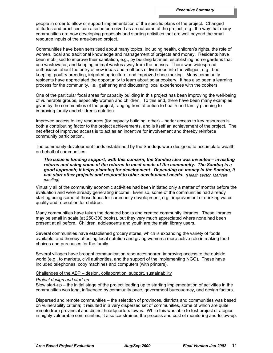people in order to allow or support implementation of the specific plans of the project. Changed attitudes and practices can also be perceived as an outcome of the project, e.g., the way that many communities are now developing proposals and starting activities that are well beyond the small resource inputs of the area-based project.

Communities have been sensitised about many topics, including health, children's rights, the role of women, local and traditional knowledge and management of projects and money. Residents have been mobilised to improve their sanitation, e.g., by building latrines, establishing home gardens that use wastewater, and keeping animal wastes away from the houses. There was widespread enthusiasm about the entry of new ideas and methods of livelihood into the villages, e.g., beekeeping, poultry breeding, irrigated agriculture, and improved shoe-making. Many community residents have appreciated the opportunity to learn about solar cookery. It has also been a learning process for the community, i.e., gathering and discussing local experiences with the cookers.

One of the particular focal areas for capacity building in this project has been improving the well-being of vulnerable groups, especially women and children. To this end, there have been many examples given by the communities of the project, ranging from attention to health and family planning to improving family and children's nutrition.

Improved access to key resources (for capacity building, other) – better access to key resources is both a contributing factor to the project achievements, and is itself an achievement of the project. The net effect of improved access is to act as an incentive for involvement and thereby reinforce community participation.

The community development funds established by the Sanduqs were designed to accumulate wealth on behalf of communities.

*The issue is funding support; with this concern, the Sanduq idea was invented – investing returns and using some of the returns to meet needs of the community. The Sanduq is a good approach; it helps planning for development. Depending on money in the Sanduq, it can start other projects and respond to other development needs. (Health sector, Marivan meeting)*

Virtually all of the community economic activities had been initiated only a matter of months before the evaluation and were already generating income. Even so, some of the communities had already starting using some of these funds for community development, e.g., improvement of drinking water quality and recreation for children.

Many communities have taken the donated books and created community libraries. These libraries may be small in scale (at 250-300 books), but they very much appreciated where none had been present at all before. Children, adolescents and youth are the main library users.

Several communities have established grocery stores, which is expanding the variety of foods available, and thereby affecting local nutrition and giving women a more active role in making food choices and purchases for the family.

Several villages have brought communication resources nearer, improving access to the outside world (e.g., to markets, civil authorities, and the support of the implementing NGO). These have included telephones, copy machines and computers (with printers).

# Challenges of the ABP – design, collaboration, support, sustainability

#### *Project design and start-up*

Slow start-up – the initial stage of the project leading up to starting implementation of activities in the communities was long, influenced by community pace, government bureaucracy, and design factors.

Dispersed and remote communities – the selection of provinces, districts and communities was based on vulnerability criteria; it resulted in a very dispersed set of communities, some of which are quite remote from provincial and district headquarters towns. While this was able to test project strategies in highly vulnerable communities, it also constrained the process and cost of monitoring and follow-up.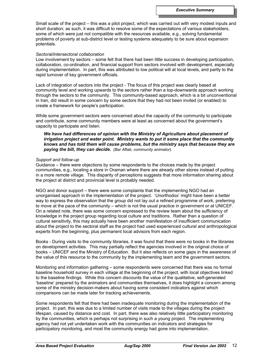Small scale of the project – this was a pilot project, which was carried out with very modest inputs and short duration; as such, it was difficult to resolve some of the expectations of various stakeholders, some of which were just not compatible with the resources available, e.g., solving fundamental problems of poverty at sub-district level or testing systems adequately to be sure about expansion potentials.

#### *Sectoral/intersectoral collaboration*

Low involvement by sectors – some felt that there had been little success in developing participation, collaboration, co-ordination, and financial support from sectors involved with development, especially during implementation. In part, this was attributed to low political will at local levels, and partly to the rapid turnover of key government officials.

Lack of integration of sectors into the project - The focus of this project was clearly based at community level and working upwards to the sectors rather than a top-downwards approach working through the sectors to the community. This community-based approach, which is a bit unconventional in Iran, did result in some concern by some sectors that they had not been invited (or enabled) to create a framework for people's participation.

While some government sectors were concerned about the capacity of the community to participate and contribute, some community members were at least as concerned about the government's capacity to participate and listen.

*We have had differences of opinion with the Ministry of Agriculture about placement of irrigation project and water point. Ministry wants to put it some place that the community knows and has told them will cause problems, but the ministry says that because they are paying the bill, they can decide. (Bar Aftab, community animator).*

#### *Support and follow-up*

Guidance – there were objections by some respondents to the choices made by the project communities, e.g., locating a store in Oraman where there are already other stores instead of putting in a more remote village. This disparity of perceptions suggests that more information sharing about the project at district and provincial level is probably needed.

NGO and donor support – there were some complaints that the implementing NGO had an unorganised approach in the implementation of the project. 'Unorthodox' might have been a better way to express the observation that the group did not lay out a refined programme of work, preferring to move at the pace of the community – which is not the usual practice in government or at UNICEF. On a related note, there was some concern expressed to the review team about the sufficiency of knowledge in the project group regarding local culture and traditions. Rather than a question of cultural sensitivity, this may actually have been another manifestation of insufficient communication about the project to the sectoral staff as the project had used experienced cultural and anthropological experts from the beginning, plus permanent local advisors from each region.

Books - During visits to the community libraries, it was found that there were no books in the libraries on development activities. This may partially reflect the agencies involved in the original choice of books – UNICEF and the Ministry of Education. But it also reflects on some gaps in the awareness of the value of this resource to the community by the implementing team and the government sectors.

Monitoring and information gathering – some respondents were concerned that there was no formal baseline household survey in each village at the beginning of the project, with local objectives linked to the baseline findings. While this concern discounts the value of the qualitative, self-generated 'baseline' prepared by the animators and communities themselves, it does highlight a concern among some of the ministry decision-makers about having some consistent indicators against which comparisons can be made later for tracking achievements.

Some respondents felt that there had been inadequate monitoring during the implementation of the project. In part, this was due to a limited number of visits made to the villages during the project lifespan, caused by distance and cost. In part, there was also relatively little participatory monitoring by the communities, which is perhaps not surprising in such a young project. The implementing agency had not yet undertaken work with the communities on indicators and strategies for participatory monitoring, and most the community energy had gone into implementation.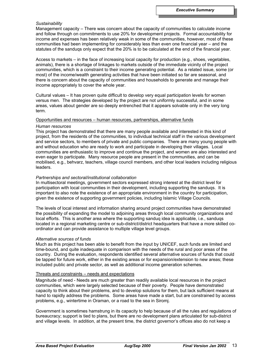# *Sustainability*

Management capacity – There was concern about the capacity of communities to calculate income and follow through on commitments to use 20% for development projects. Formal accountability for income and expenses has been relatively weak in some of the communities, however, most of these communities had been implementing for considerably less than even one financial year – and the statutes of the sanduqs only expect that the 20% is to be calculated at the end of the financial year.

Access to markets – in the face of increasing local capacity for production (e.g., shoes, vegetables, animals), there is a shortage of linkages to markets outside of the immediate vicinity of the project communities, which is a constraint to their income generating potential. As a related issue, some (or most) of the income/wealth generating activities that have been initiated so far are seasonal, and there is concern about the capacity of communities and households to generate and manage their income appropriately to cover the whole year.

Cultural values – It has proven quite difficult to develop very equal participation levels for women versus men. The strategies developed by the project are not uniformly successful, and in some areas, values about gender are so deeply entrenched that it appears solvable only in the very long term.

#### Opportunities and resources – human resources, partnerships, alternative funds

#### *Human resources*

This project has demonstrated that there are many people available and interested in this kind of project, from the residents of the communities, to individual technical staff in the various development and service sectors, to members of private and public companies. There are many young people with and without education who are ready to work and participate in developing their villages. Local communities are enthusiastic to improve and continue the project, and women are also interested and even eager to participate. Many resource people are present in the communities, and can be mobilised, e.g., behvarz, teachers, village council members, and other local leaders including religious leaders.

#### *Partnerships and sectoral/institutional collaboration*

In multisectoral meetings, government sectors expressed strong interest at the district level for participation with local communities in their development, including supporting the sanduqs. It is important to also note the existence of an appropriate environment in the country for participation, given the existence of supporting government policies, including Islamic Village Councils.

The levels of local interest and information sharing around project communities have demonstrated the possibility of expanding the model to adjoining areas through local community organizations and local efforts. This is another area where the supporting sanduq idea is applicable, i.e., sanduqs located in a regional marketing centre or sub-district/district headquarters that have a more skilled coordinator and can provide assistance to multiple village level groups.

#### *Alternative sources of funds*

Much as this project has been able to benefit from the input by UNICEF, such funds are limited and time-bound, and quite inadequate in comparison with the needs of the rural and poor areas of the country. During the evaluation, respondents identified several alternative sources of funds that could be tapped for future work, either in the existing areas or for expansion/extension to new areas; these included public and private sector, as well as additional income generation schemes.

#### Threats and constraints – needs and expectations

Magnitude of need - Needs are much greater than readily available local resources in the project communities, which were largely selected because of their poverty. People have demonstrated capacity to think about their problems, and to develop solutions for them, but lack sufficient means at hand to rapidly address the problems. Some areas have made a start, but are constrained by access problems, e.g., wintertime in Oraman, or a road to the sea in Siromj.

Government is sometimes hamstrung in its capacity to help because of all the rules and regulations of bureaucracy; support is tied to plans, but there are no development plans articulated for sub-district and village levels. In addition, at the present time, the district governor's offices also do not keep a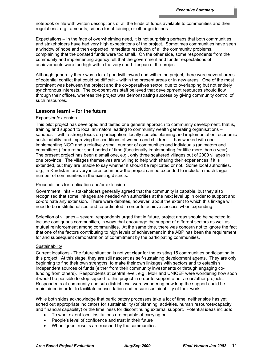notebook or file with written descriptions of all the kinds of funds available to communities and their regulations, e.g., amounts, criteria for obtaining, or other guidelines.

Expectations – In the face of overwhelming need, it is not surprising perhaps that both communities and stakeholders have had very high expectations of the project. Sometimes communities have seen a window of hope and then expected immediate resolution of all the community problems, complaining that the donated funds were too small. On the other side, some respondents from the community and implementing agency felt that the government and funder expectations of achievements were too high within the very short lifespan of the project.

Although generally there was a lot of goodwill toward and within the project, there were several areas of potential conflict that could be difficult – within the present areas or in new areas. One of the most prominent was between the project and the co-operatives sector, due to overlapping but not entirely synchronous interests. The co-operatives staff believed that development resources should flow through their offices, whereas the project was demonstrating success by giving community control of such resources.

# **Lessons learnt – for the future**

# Expansion/extension

This pilot project has developed and tested one general approach to community development, that is, training and support to local animators leading to community wealth generating organisations – sanduqs – with a strong focus on participation, locally specific planning and implementation, economic sustainability, and improving the conditions of women and children. It has worked with one implementing NGO and a relatively small number of communities and individuals (animators and committees) for a rather short period of time (functionally implementing for little more than a year). The present project has been a small one, e.g., only three scattered villages out of 2000 villages in one province. The villages themselves are willing to help with sharing their experiences if it is extended, but they are unable to say whether it should be replicated or not. Some local authorities, e.g., in Kurdistan, are very interested in how the project can be extended to include a much larger number of communities in the existing districts.

#### Preconditions for replication and/or extension

Government links – stakeholders generally agreed that the community is capable, but they also recognised that some linkages are needed with authorities at the next level up in order to support and co-ordinate any extension. There were debates, however, about the extent to which this linkage will need to be institutionalised and co-ordinated in order to achieve success when expanding.

Selection of villages – several respondents urged that in future, project areas should be selected to include contiguous communities, in ways that encourage the support of different sectors as well as mutual reinforcement among communities. At the same time, there was concern not to ignore the fact that one of the factors contributing to high levels of achievement in the ABP has been the requirement for and subsequent demonstration of commitment by the participating communities.

#### **Sustainability**

Current locations - The future situation is not yet clear for the existing 15 communities participating in this project. At this stage, they are still nascent as self-sustaining development agents. They are only beginning to find their own strengths, to make their own linkages with sectors and to establish independent sources of funds (either from their community investments or through engaging cofunding from others). Respondents at central level, e.g., MoH and UNICEF were wondering how soon it would be possible to stop support to this project in order to support other areas/other projects. Respondents at community and sub-district level were wondering how long the support could be maintained in order to facilitate consolidation and ensure sustainability of their work.

While both sides acknowledge that participatory processes take a lot of time, neither side has yet sorted out appropriate indicators for sustainability (of planning, activities, human resources/capacity, and financial capability) or the timeliness for discontinuing external support. Potential ideas include:

- To what extent local institutions are capable of carrying on
- People's level of confidence and trust in their future
- When 'good' results are reached by the communities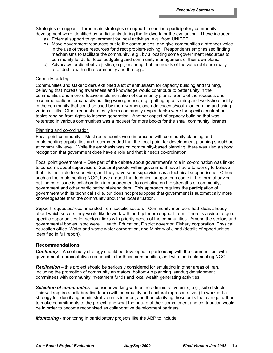Strategies of support - Three main strategies of support to continue participatory community development were identified by participants during the fieldwork for the evaluation. These included:

- a) External support to government for local activities, e.g., from UNICEF.
- b) Move government resources out to the communities, and give communities a stronger voice in the use of those resources for direct problem-solving. Respondents emphasised finding mechanisms to facilitate the community, e.g., by allocating some government resources to community funds for local budgeting and community management of their own plans.
- c) Advocacy for distributive justice, e.g., ensuring that the needs of the vulnerable are really attended to within the community and the region.

### Capacity building

Communities and stakeholders exhibited a lot of enthusiasm for capacity building and training, believing that increasing awareness and knowledge would contribute to better unity in the communities and more effective implementation of community plans. Some of the requests and recommendations for capacity building were generic, e.g., putting up a training and workshop facility in the community that could be used by men, women, and adolescents/youth for learning and using various skills. Other requests (mostly from community respondents) were for specific content on topics ranging from rights to income generation. Another aspect of capacity building that was reiterated in various communities was a request for more books for the small community libraries.

#### Planning and co-ordination

Focal point community – Most respondents were impressed with community planning and implementing capabilities and recommended that the focal point for development planning should be at community level. While the emphasis was on community-based planning, there was also a strong recognition that government does have a role and that it needs co-ordination.

Focal point government – One part of the debate about government's role in co-ordination was linked to concerns about supervision. Sectoral people within government have had a tendency to believe that it is their role to supervise, and they have seen supervision as a technical support issue. Others, such as the implementing NGO, have argued that technical support can come in the form of advice, but the core issue is collaboration in management to capitalise on the strengths of community, government and other participating stakeholders. This approach requires the participation of government with its technical skills, but does not presuppose that government is automatically more knowledgeable than the community about the local situation.

Support requested/recommended from specific sectors - Community members had ideas already about which sectors they would like to work with and get more support from. There is a wide range of specific opportunities for sectoral links with priority needs of the communities. Among the sectors and governmental bodies listed were: Health, Education, District governor, Fishery corporation, Physical education office, Water and waste water corporation, and Ministry of Jihad (details of opportunities identified in full report).

# **Recommendations**

*Continuity* – A continuity strategy should be developed in partnership with the communities, with government representatives responsible for those communities, and with the implementing NGO.

*Replication* – this project should be seriously considered for emulating in other areas of Iran, including the promotion of community animators, bottom-up planning, sanduq development committees with community investment funds and local wealth generating activities.

*Selection of communities* – consider working with entire administrative units, e.g., sub-districts. This will require a collaborative team (with community and sectoral representatives) to work out a strategy for identifying administrative units in need, and then clarifying those units that can go further to make commitments to the project, and what the nature of their commitment and contribution would be in order to become recognised as collaborative development partners.

*Monitoring* - monitoring in participatory projects like the ABP to include: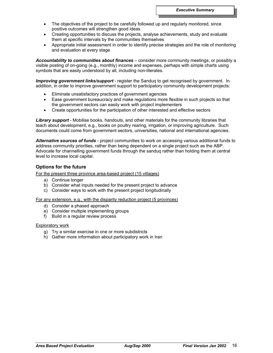- The objectives of the project to be carefully followed up and regularly monitored, since positive outcomes will strengthen good ideas
- Creating opportunities to discuss the projects, analyse achievements, study and evaluate them at specific intervals by the communities themselves
- Appropriate initial assessment in order to identify precise strategies and the role of monitoring and evaluation at every stage

*Accountability to communities about finances* – consider more community meetings, or possibly a visible posting of on-going (e.g., monthly) income and expenses, perhaps with simple charts using symbols that are easily understood by all, including non-literates.

*Improving government links/support* - register the Sanduq to get recognised by government. In addition, in order to improve government support to participatory community development projects:

- Eliminate unsatisfactory practices of government agencies
- Ease government bureaucracy and make regulations more flexible in such projects so that the government sectors can easily work with project implementers
- Create opportunities for the participation of other interested and effective sectors

*Library support* - Mobilise books, handouts, and other materials for the community libraries that teach about development, e.g., books on poultry rearing, irrigation, or improving agriculture. Such documents could come from government sectors, universities, national and international agencies.

*Alternative sources of funds* - project communities to work on accessing various additional funds to address community priorities, rather than being dependent on a single project such as the ABP. Advocate for channelling government funds through the sanduq rather than holding them at central level to increase local capital.

# **Options for the future**

For the present three province area-based project (15 villages)

- a) Continue longer
- b) Consider what inputs needed for the present project to advance
- c) Consider ways to work with the present project longitudinally

For any extension, e.g., with the disparity reduction project (5 provinces)

- d) Consider a phased approach
- e) Consider multiple implementing groups
- f) Build in a regular review process

# **Exploratory work**

- g) Try a similar exercise in one or more subdistricts
- h) Gather more information about participatory work in Iran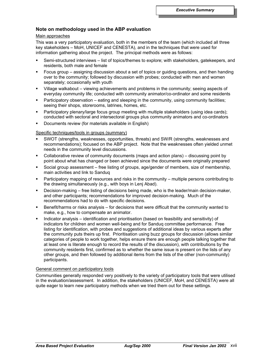# **Note on methodology used in the ABP evaluation**

# Main approaches

This was a very participatory evaluation, both in the members of the team (which included all three key stakeholders – MoH, UNICEF and CENESTA), and in the techniques that were used for information gathering about the project. The principal methods were as follows:

- Semi-structured interviews list of topics/themes to explore; with stakeholders, gatekeepers, and residents, both male and female
- Focus group assigning discussion about a set of topics or guiding questions, and then handing over to the community; followed by discussion with probes; conducted with men and women separately; occasionally with youth
- Village walkabout viewing achievements and problems in the community; seeing aspects of everyday community life; conducted with community animator/co-ordinator and some residents
- Participatory observation eating and sleeping in the community, using community facilities; seeing their shops, storerooms, latrines, homes, etc.
- Participatory plenary/large focus group meeting with multiple stakeholders (using idea cards); conducted with sectoral and intersectoral groups plus community animators and co-ordinators
- Documents review (for materials available in English)

# Specific techniques/tools in groups (summary)

- SWOT (strengths, weaknesses, opportunities, threats) and SW/R (strengths, weaknesses and recommendations); focused on the ABP project. Note that the weaknesses often yielded unmet needs in the community level discussions.
- Collaborative review of community documents (maps and action plans) discussing point by point about what has changed or been achieved since the documents were originally prepared
- Social group assessment free listing of groups, age/gender of members, size of membership, main activities and link to Sanduq
- Participatory mapping of resources and risks in the community multiple persons contributing to the drawing simultaneously (e.g., with boys in Lenj Abad).
- Decision-making free listing of decisions being made, who is the leader/main decision-maker, and other participants; recommendations for improved decision-making. Much of the recommendations had to do with specific decisions.
- Benefit/harms or risks analysis for decisions that were difficult that the community wanted to make, e.g., how to compensate an animator.
- Indicator analysis identification and prioritisation (based on feasibility and sensitivity) of indicators for children and women well-being and for Sanduq committee performance. Free listing for identification, with probes and suggestions of additional ideas by various experts after the community puts theirs up first. Prioritisation using buzz groups for discussion (allows similar categories of people to work together, helps ensure there are enough people talking together that at least one is literate enough to record the results of the discussion), with contributions by the community residents first, confirmed as to whether the same issue is present on the lists of any other groups, and then followed by additional items from the lists of the other (non-community) participants.

# General comment on participatory tools

Communities generally responded very positively to the variety of participatory tools that were utilised in the evaluation/assessment. In addition, the stakeholders (UNICEF, MoH, and CENESTA) were all quite eager to learn new participatory methods when we tried them out for these settings.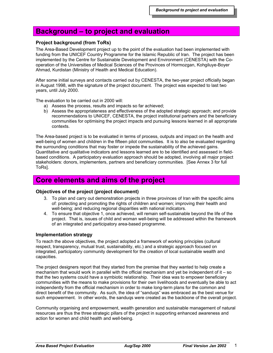# **Background – to project and evaluation**

# **Project background (from ToRs)**

The Area-Based Development project up to the point of the evaluation had been implemented with funding from the UNICEF Country Programme for the Islamic Republic of Iran. The project has been implemented by the Centre for Sustainable Development and Environment (CENESTA) with the Cooperation of the Universities of Medical Sciences of the Provinces of Hormozgan, Kohgiluye-Boyer Ahmad, Kurdistan (Ministry of Health and Medical Education).

After some initial surveys and contacts carried out by CENESTA, the two-year project officially began in August 1998, with the signature of the project document. The project was expected to last two years, until July 2000.

The evaluation to be carried out in 2000 will:

- a) Assess the process, results and impacts so far achieved;
- b) Assess the appropriateness and effectiveness of the adopted strategic approach; and provide recommendations to UNICEF, CENESTA, the project institutional partners and the beneficiary communities for optimising the project impacts and pursuing lessons learned in all appropriate contexts.

The Area-based project is to be evaluated in terms of process, outputs and impact on the health and well-being of women and children in the fifteen pilot communities. It is to also be evaluated regarding the surrounding conditions that may foster or impede the sustainability of the achieved gains. Quantitative and qualitative indicators and lessons learned are to be identified and assessed in fieldbased conditions. A participatory evaluation approach should be adopted, involving all major project stakeholders: donors, implementers, partners and beneficiary communities. [See Annex 3 for full ToRs].

# **Core elements and aims of the project**

# **Objectives of the project (project document)**

- 3. To plan and carry out demonstration projects in three provinces of Iran with the specific aims of: protecting and promoting the rights of children and women; improving their health and well-being; and reducing regional disparities with national indicators.
- 4. To ensure that objective 1, once achieved, will remain self-sustainable beyond the life of the project. That is, issues of child and woman well-being will be addressed within the framework of an integrated and participatory area-based programme.

# **Implementation strategy**

To reach the above objectives, the project adopted a framework of working principles (cultural respect, transparency, mutual trust, sustainability, etc.) and a strategic approach focused on integrated, participatory community development for the creation of local sustainable wealth and capacities.

The project designers report that they started from the premise that they wanted to help create a mechanism that would work in parallel with the official mechanism and yet be independent of it – so that the two systems could have a symbiotic relationship. Their idea was to empower beneficiary communities with the means to make provisions for their own livelihoods and eventually be able to act independently from the official mechanism in order to make long-term plans for the common and direct benefit of the community. As such, the idea of "sanduqs" was embraced as the best venue for such empowerment. In other words, the sanduqs were created as the backbone of the overall project.

Community organising and empowerment, wealth generation and sustainable management of natural resources are thus the three strategic pillars of the project in supporting enhanced awareness and action for women and child health and well-being.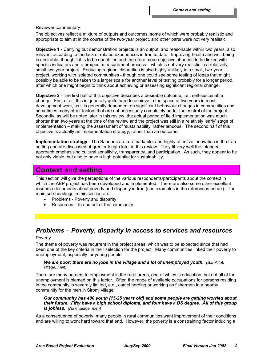#### Reviewer commentary

The objectives reflect a mixture of outputs and outcomes, some of which were probably realistic and appropriate to aim at in the course of the two-year project, and other parts were not very realistic.

**Objective 1 -** Carrying out demonstration projects is an output, and reasonable within two years, also relevant according to the lack of related experiences in Iran to date. Improving health and well-being is desirable, though if it is to be quantified and therefore more objective, it needs to be linked with specific indicators and a pre/post measurement process – which is not very realistic in a relatively small two year project. Reducing regional disparities is also highly unlikely in a small, two-year project, working with isolated communities - though one could see some testing of ideas that might possibly be able to be taken to a larger scale for another level of testing probably for a longer period, after which one might begin to think about achieving or assessing significant regional change.

**Objective 2** – the first half of this objective describes a desirable outcome, i.e., self-sustainable change. First of all, this is generally quite hard to achieve in the space of two years in most development work, as it is generally dependent on significant behaviour changes in communities and sometimes many other factors that are not necessarily completely under the control of the project. Secondly, as will be noted later in this review, the actual period of field implementation was much shorter than two years at the time of the review and the project was still in a relatively 'early' stage of implementation – making the assessment of 'sustainability' rather tenuous. The second half of this objective is actually an implementation strategy, rather than an outcome.

**Implementation strategy** - The Sanduqs are a remarkable, and highly effective innovation in the Iran setting and are discussed at greater length later in this review. They fit very well the intended approach emphasising cultural sensitivity, transparency, and participation. As such, they appear to be not only viable, but also to have a high potential for sustainability.

# **Context and setting**

This section will give the perceptions of the various respondents/participants about the context in which the ABP project has been developed and implemented. There are also some other excellent resource documents about poverty and disparity in Iran (see examples in the references annex). The main sub-headings in this section are:

- Problems Poverty and disparity
- Resources In and out of the community

# *Problems – Poverty, disparity in access to services and resources*

# Poverty

The theme of poverty was recurrent in the project areas, which was to be expected since that had been one of the key criteria in their selection for the project. Many communities linked their poverty to unemployment, especially for young people.

# *We are poor; there are no jobs in the village and a lot of unemployed youth. (Bar Aftab village, men)*

There are many barriers to employment in the rural areas, one of which is education, but not all of the unemployment is blamed on this factor. Often the range of available occupations for persons residing in the community is severely limited, e.g., camel herding or working as fishermen in a nearby community for the men in Siromj village.

# *Our community has 400 youth (15-25 years old) and some people are getting worried about their future. Fifty have a high school diploma, and four have a BS degree. All of this group is jobless. (Naw village, men)*

As a consequence of poverty, many people in rural communities want improvement of their conditions and are willing to work hard toward that end. However, the poverty is a constraining factor inducing a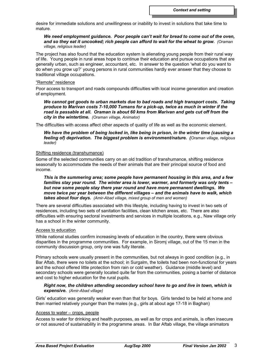desire for immediate solutions and unwillingness or inability to invest in solutions that take time to mature.

#### *We need employment guidance. Poor people can't wait for bread to come out of the oven, and so they eat it uncooked; rich people can afford to wait for the wheat to grow. (Oraman village, religious leader)*

The project has also found that the education system is alienating young people from their rural way of life. Young people in rural areas hope to continue their education and pursue occupations that are generally urban, such as engineer, accountant, etc. In answer to the question 'what do you want to do when you grow up?' young persons in rural communities hardly ever answer that they choose to traditional village occupations.

# "Remote" residence

Poor access to transport and roads compounds difficulties with local income generation and creation of employment.

*We cannot get goods to urban markets due to bad roads and high transport costs. Taking produce to Marivan costs 7-10,000 Tumans for a pick-up, twice as much in winter if the road is passable at all. Oraman is about 60 kms from Marivan and gets cut off from the city in the wintertime. (Oraman village, Animator)*

The difficulties with access affect other aspects of quality of life as well as the economic element.

# *We have the problem of being locked in, like being in prison, in the winter time (causing a feeling of) deprivation. The biggest problem is environment/nature. (Oraman village, religious leader)*

#### Shifting residence (transhumance)

Some of the selected communities carry on an old tradition of transhumance, shifting residence seasonally to accommodate the needs of their animals that are their principal source of food and income.

*This is the summering area; some people have permanent housing in this area, and a few families stay year round. The winter area is lower, warmer, and formerly was only tents – but now some people stay there year round and have more permanent dwellings. We move twice per year between the different villages – and the animals have to walk, which takes about four days. (Amir-Abad village, mixed group of men and women)*

There are several difficulties associated with this lifestyle, including having to invest in two sets of residences, including two sets of sanitation facilities, clean kitchen areas, etc. There are also difficulties with ensuring sectoral investments and services in multiple locations, e.g., Naw village only has a school in the winter community.

# Access to education

While national studies confirm increasing levels of education in the country, there were obvious disparities in the programme communities. For example, in Siromj village, out of the 15 men in the community discussion group, only one was fully literate.

Primary schools were usually present in the communities, but not always in good condition (e.g., in Bar Aftab, there were no toilets at the school; in Surgalm, the toilets had been non-functional for years and the school offered little protection from rain or cold weather). Guidance (middle level) and secondary schools were generally located quite far from the communities, posing a barrier of distance and cost to higher education for the rural pupils.

# *Right now, the children attending secondary school have to go and live in town, which is expensive. (Amir-Abad village)*

Girls' education was generally weaker even than that for boys. Girls tended to be held at home and then married relatively younger than the males (e.g., girls at about age 17-18 in Baghan)

# Access to water – crops, people

Access to water for drinking and health purposes, as well as for crops and animals, is often insecure or not assured of sustainability in the programme areas. In Bar Aftab village, the village animators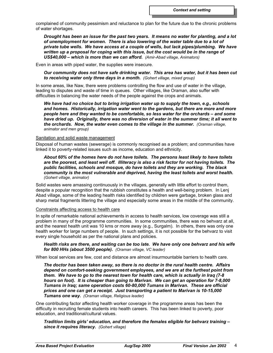complained of community pessimism and reluctance to plan for the future due to the chronic problems of water shortages.

*Drought has been an issue for the past two years. It means no water for planting, and a lot of unemployment for women. There is also lowering of the water table due to a lot of private tube wells. We have access at a couple of wells, but lack pipes/plumbing. We have written up a proposal for coping with this issue, but the cost would be in the range of US\$40,000 – which is more than we can afford. (Amir-Abad village, Animators)*

Even in areas with piped water, the supplies were insecure.

*Our community does not have safe drinking water. This area has water, but it has been cut to receiving water only three days in a month. (Gohert village, mixed group)*

In some areas, like Naw, there were problems controlling the flow and use of water in the village, leading to disputes and waste of time in queues. Other villages, like Oraman, also suffer with difficulties in balancing the water needs of the people against the crops and animals.

*We have had no choice but to bring irrigation water up to supply the town, e.g., schools and homes. Historically, irrigation water went to the gardens, but there are more and more people here and they wanted to be comfortable, so less water for the orchards – and some have dried up. Originally, there was no diversion of water in the summer time; it all went to the orchards. Now, the water even comes to the village in the summer. (Oraman village, animator and men group)*

# Sanitation and solid waste management

Disposal of human wastes (sewerage) is commonly recognised as a problem; and communities have linked it to poverty-related issues such as income, education and ethnicity.

*About 60% of the homes here do not have toilets. The persons least likely to have toilets are the poorest, and least well off. Illiteracy is also a risk factor for not having toilets. The public facilities, schools and mosque, do have toilets and they are working. The black community is the most vulnerable and deprived, having the least toilets and worst health. (Gohert village, animator)*

Solid wastes were amassing continuously in the villages, generally with little effort to control them, despite a popular recognition that the rubbish constitutes a health and well-being problem. In Lenj Abad village, some of the leading health risks identified by children were garbage, broken glass and sharp metal fragments littering the village and especially some areas in the middle of the community.

#### Constraints affecting access to health care

In spite of remarkable national achievements in access to health services, low coverage was still a problem in many of the programme communities. In some communities, there was no behvarz at all, and the nearest health unit was 10 kms or more away (e.g., Surgalm). In others, there was only one health worker for large numbers of people. In such settings, it is not possible for the behvarz to visit every single household as per the national plans and policies.

#### *Health risks are there, and waiting can be too late. We have only one behvarz and his wife for 800 HHs (about 3500 people). (Oraman village, VC leader)*

When local services are few, cost and distance are almost insurmountable barriers to health care.

*The doctor has been taken away, so there is no doctor in the rural health centre. Affairs depend on comfort-seeking government employees, and we are at the furthest point from them. We have to go to the nearest town for health care, which is actually in Iraq (7-8 hours on foot). It is cheaper than going to Marivan. We can get an operation for 7-8,000 Tumans in Iraq; same operation costs 60-80,000 Tumans in Marivan. These are official prices and one can get a receipt. Just transporting a patient to Marivan is 10-15,000 Tumans one way. (Oraman village, Religious leader)*

One contributing factor affecting health worker coverage in the programme areas has been the difficulty in recruiting female students into health careers. This has been linked to poverty, poor education, and traditional/cultural values.

*Tradition limits girls' education, and therefore the females eligible for behvarz training – since it requires literacy. (Gohert village)*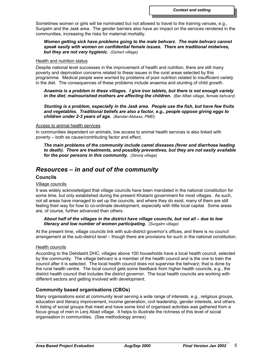Sometimes women or girls will be nominated but not allowed to travel to the training venues, e.g., Surgalm and the Jask area. The gender barriers also have an impact on the services rendered in the communities, increasing the risks for maternal mortality.

# *Women getting sick have problems going to the male behvarz. The male behvarz cannot speak easily with women on confidential female issues. There are traditional midwives, but they are not very hygienic. (Gohert village)*

#### Health and nutrition status

Despite national level successes in the improvement of health and nutrition, there are still many poverty and deprivation concerns related to these issues in the rural areas selected by this programme. Medical people were worried by problems of poor nutrition related to insufficient variety in the diet. The consequences of these problems include anaemia and stunting of child growth.

# *Anaemia is a problem in these villages. I give iron tablets, but there is not enough variety in the diet; malnourished mothers are affecting the children. (Bar Aftab village, female behvarz)*

*Stunting is a problem, especially in the Jask area. People use the fish, but have few fruits and vegetables. Traditional beliefs are also a factor, e.g., people oppose giving eggs to children under 2-3 years of age. (Bandar-Abbass, PMD)*

#### Access to animal health services

In communities dependent on animals, low access to animal health services is also linked with poverty – both as cause/contributing factor and effect.

*The main problems of the community include camel diseases (fever and diarrhoea leading to death). There are treatments, and possibly preventives, but they are not easily available for the poor persons in this community. (Siromj village)*

# *Resources – in and out of the community*

# **Councils**

# Village councils

It was widely acknowledged that village councils have been mandated in the national constitution for some time, but only established during the present Khatami government for most villages. As such, not all areas have managed to set up the councils, and where they do exist, many of them are still feeling their way for how to co-ordinate development, especially with little local capital. Some areas are, of course, further advanced than others.

# *About half of the villages in the district have village councils, but not all – due to low literacy and low number of women participating. (Surgalm village)*

At the present time, village councils link with sub-district governor's offices, and there is no council arrangement at the sub-district level – though there are provisions for such in the national constitution.

# Health councils

According to the Dehdasht DHC, villages above 100 households have a local health council, selected by the community. The village behvarz is a member of the health council and is the one to train the council after it is selected. The local health council does not supervise the behvarz; that is done by the rural health centre. The local council gets some feedback from higher health councils, e.g., the district health council that includes the district governor. The local health councils are working with different sectors and getting involved with development.

# **Community based organisations (CBOs)**

Many organisations exist at community level serving a wide range of interests, e.g., religious groups, education and literacy improvement, income generation, civil leadership, gender interests, and others. A listing of social groups that meet and have some kind of organised activities was gathered from a focus group of men in Lenj Abad village. It helps to illustrate the richness of this level of social organisation in communities. (See methodology annex)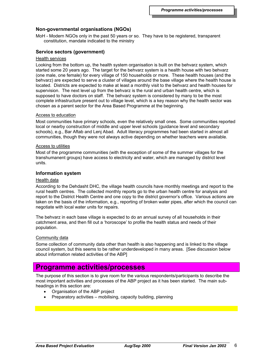# **Non-governmental organisations (NGOs)**

MoH - Modern NGOs only in the past 50 years or so. They have to be registered, transparent constitution, mandate indicated to the ministry

# **Service sectors (government)**

# Health services

Looking from the bottom up, the health system organisation is built on the behvarz system, which started some 20 years ago. The target for the behvarz system is a health house with two behvarz (one male, one female) for every village of 150 households or more. These health houses (and the behvarz) are expected to serve a cluster of villages around the base village where the health house is located. Districts are expected to make at least a monthly visit to the behvarz and health houses for supervision. The next level up from the behvarz is the rural and urban health centre, which is supposed to have doctors on staff. The behvarz system is considered by many to be the most complete infrastructure present out to village level, which is a key reason why the health sector was chosen as a parent sector for the Area Based Programme at the beginning.

#### Access to education

Most communities have primary schools, even the relatively small ones. Some communities reported local or nearby construction of middle and upper level schools (guidance level and secondary schools), e.g., Bar Aftab and Lenj Abad. Adult literacy programmes had been started in almost all communities, though they were not always active depending on whether teachers were available.

#### Access to utilities

Most of the programme communities (with the exception of some of the summer villages for the transhumanent groups) have access to electricity and water, which are managed by district level units.

#### **Information system**

#### Health data

According to the Dehdasht DHC, the village health councils have monthly meetings and report to the rural health centres. The collected monthly reports go to the urban health centre for analysis and report to the District Health Centre and one copy to the district governor's office. Various actions are taken on the basis of the information, e.g., reporting of broken water pipes, after which the council can negotiate with local water units for repairs.

The behvarz in each base village is expected to do an annual survey of all households in their catchment area, and then fill out a 'horoscope' to profile the health status and needs of their population.

## Community data

Some collection of community data other than health is also happening and is linked to the village council system, but this seems to be rather underdeveloped in many areas. [See discussion below about information related activities of the ABP]

# **Programme activities/processes**

The purpose of this section is to give room for the various respondents/participants to describe the most important activities and processes of the ABP project as it has been started. The main subheadings in this section are:

- Organisation of the ABP project
- Preparatory activities mobilising, capacity building, planning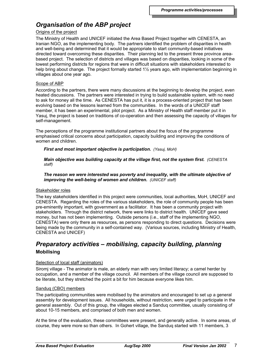# *Organisation of the ABP project*

#### Origins of the project

The Ministry of Health and UNICEF initiated the Area Based Project together with CENESTA, an Iranian NGO, as the implementing body. The partners identified the problem of disparities in health and well-being and determined that it would be appropriate to start community-based initiatives directed toward overcoming these disparities. Their planning led to the present three province areabased project. The selection of districts and villages was based on disparities, looking in some of the lowest performing districts for regions that were in difficult situations with stakeholders interested to help bring about change. The project formally started 1½ years ago, with implementation beginning in villages about one year ago.

#### Scope of ABP

According to the partners, there were many discussions at the beginning to develop the project, even heated discussions. The partners were interested in trying to build sustainable system, with no need to ask for money all the time. As CENESTA has put it, it is a process-oriented project that has been evolving based on the lessons learned from the communities. In the words of a UNICEF staff member, it has been an experimental, pilot project. As a Ministry of Health staff member put it in Yasuj, the project is based on traditions of co-operation and then assessing the capacity of villages for self-management.

The perceptions of the programme institutional partners about the focus of the programme emphasised critical concerns about participation, capacity building and improving the conditions of women and children.

*First and most important objective is participation. (Yasuj, MoH)*

*Main objective was building capacity at the village first, not the system first. (CENESTA staff)*

*The reason we were interested was poverty and inequality, with the ultimate objective of improving the well-being of women and children. (UNICEF staff)*

# Stakeholder roles

The key stakeholders identified in this project were communities, local authorities, MoH, UNICEF and CENESTA. Regarding the roles of the various stakeholders, the role of community people has been pre-eminently important, with government as a facilitator. It has been a community project with stakeholders. Through the district network, there were links to district health. UNICEF gave seed money, but has not been implementing. Outside persons (i.e., staff of the implementing NGO, CENESTA) were only there as resources, as persons responding to direct questions. Decisions were being made by the community in a self-contained way. (Various sources, including Ministry of Health, CENESTA and UNICEF)

# *Preparatory activities – mobilising, capacity building, planning* **Mobilising**

# Selection of local staff (animators)

Siromj village - The animator is male, an elderly man with very limited literacy; a camel herder by occupation, and a member of the village council. All members of the village council are supposed to be literate, but they stretched the point a bit for him because everyone likes him.

# Sanduq (CBO) members

The participating communities were mobilised by the animators and encouraged to set up a general assembly for development issues. All households, without restriction, were urged to participate in the general assembly. Out of this group, the villages elected a Sanduq committee, usually consisting of about 10-15 members, and comprised of both men and women.

At the time of the evaluation, these committees were present, and generally active. In some areas, of course, they were more so than others. In Gohert village, the Sanduq started with 11 members, 3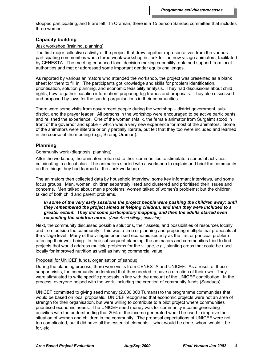stopped participating, and 8 are left. In Oraman, there is a 15 person Sanduq committee that includes three women.

# **Capacity building**

# Jask workshop (training, planning)

The first major collective activity of the project that drew together representatives from the various participating communities was a three-week workshop in Jask for the new village animators, facilitated by CENESTA. The meeting enhanced local decision making capability, obtained support from local authorities and met or addressed some important gender equity challenges.

As reported by various animators who attended the workshop, the project was presented as a blank sheet for them to fill in. The participants got knowledge and skills for problem identification, prioritisation, solution planning, and economic feasibility analysis. They had discussions about child rights, how to gather baseline information, preparing log frames and proposals. They also discussed and proposed by-laws for the sanduq organisations in their communities.

There were some visits from government people during the workshop – district government, subdistrict, and the prayer leader. All persons in the workshop were encouraged to be active participants, and relished the experience. One of the women (Malik, the female animator from Surgalm) stood in front of the governor and spoke – which was a very new experience for most of the animators. Some of the animators were illiterate or only partially literate, but felt that they too were included and learned in the course of the meeting (e.g., Siromj, Oraman).

# **Planning**

# Community work (diagnosis, planning)

After the workshop, the animators returned to their communities to stimulate a series of activities culminating in a local plan. The animators started with a workshop to explain and brief the community on the things they had learned at the Jask workshop.

The animators then collected data by household interview, some key informant interviews, and some focus groups. Men, women, children separately listed and clustered and prioritised their issues and concerns. Men talked about men's problems; women talked of women's problems; but the children talked of both child and parent problems.

# *In some of the very early sessions the project people were pushing the children away; until they remembered the project aimed at helping children, and then they were included to a greater extent. They did some participatory mapping, and then the adults started even respecting the children more. (Amir-Abad village, animator)*

Next, the community discussed possible solutions, their assets, and possibilities of resources locally and from outside the community. This was a time of planning and preparing multiple trial proposals at the village level. Many of the villages prioritised economic security as the first or principal problem affecting their well-being. In their subsequent planning, the animators and communities tried to find projects that would address multiple problems for the village, e.g., planting crops that could be used locally for improved nutrition as well as having commercial value.

# Proposal for UNICEF funds, organisation of sanduq

During the planning process, there were visits from CENESTA and UNICEF. As a result of these support visits, the community understood that they needed to have a direction of their own. They were stimulated to write specific proposals in line with the amount of the UNICEF contribution. In the process, everyone helped with the work, including the creation of community funds (Sanduqs).

UNICEF committed to giving seed money (2,000,000 Tumans) to the programme communities that would be based on local proposals. UNICEF recognised that economic projects were not an area of strength for their organisation, but were willing to contribute to a pilot project where communities prioritised economic needs. The UNICEF seed money was for community income generating activities with the understanding that 20% of the income generated would be used to improve the situation of women and children in the community. The proposal expectations of UNICEF were not too complicated, but it did have all the essential elements – what would be done, whom would it be for, etc.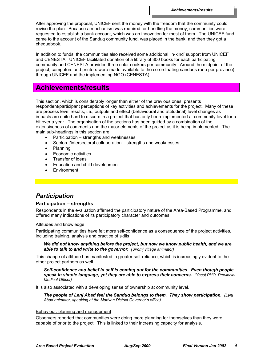After approving the proposal, UNICEF sent the money with the freedom that the community could revise the plan. Because a mechanism was required for handling the money, communities were requested to establish a bank account, which was an innovation for most of them. The UNICEF fund came to the account of the Sanduq community fund, was placed in the bank, and then they got a chequebook.

In addition to funds, the communities also received some additional 'in-kind' support from UNICEF and CENESTA. UNICEF facilitated donation of a library of 300 books for each participating community and CENESTA provided three solar cookers per community. Around the midpoint of the project, computers and printers were made available to the co-ordinating sanduqs (one per province) through UNICEF and the implementing NGO (CENESTA).

# **Achievements/results**

This section, which is considerably longer than either of the previous ones, presents respondent/participant perceptions of key activities and achievements for the project. Many of these are process level results, i.e., outputs and effect (behavioural and attitudinal) level changes as impacts are quite hard to discern in a project that has only been implemented at community level for a bit over a year. The organisation of the sections has been guided by a combination of the extensiveness of comments and the major elements of the project as it is being implemented. The main sub-headings in this section are:

- Participation strengths and weaknesses
- Sectoral/intersectoral collaboration strengths and weaknesses
- Planning
- Economic activities
- Transfer of ideas
- Education and child development
- **Environment**

# *Participation*

# **Participation – strengths**

Respondents in the evaluation affirmed the participatory nature of the Area-Based Programme, and offered many indications of its participatory character and outcomes.

# Attitudes and knowledge

Participating communities have felt more self-confidence as a consequence of the project activities, including training, analysis and practice of skills

# *We did not know anything before the project, but now we know public health, and we are able to talk to and write to the governor. (Siromj village animator)*

This change of attitude has manifested in greater self-reliance, which is increasingly evident to the other project partners as well.

*Self-confidence and belief in self is coming out for the communities. Even though people speak in simple language, yet they are able to express their concerns. (Yasuj PHO, Provincial Medical Officer)*

It is also associated with a developing sense of ownership at community level.

*The people of Lenj Abad feel the Sanduq belongs to them. They show participation. (Lenj Abad animator, speaking at the Marivan District Governor's office)*

# Behaviour: planning and management

Observers reported that communities were doing more planning for themselves than they were capable of prior to the project. This is linked to their increasing capacity for analysis.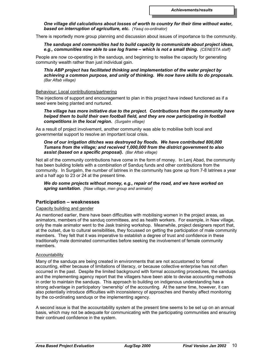# *One village did calculations about losses of worth to country for their time without water, based on interruption of agriculture, etc. (Yasuj co-ordinator)*

There is reportedly more group planning and discussion about issues of importance to the community.

# *The sanduqs and communities had to build capacity to communicate about project ideas, e.g., communities now able to use log frame – which is not a small thing. (CENESTA staff)*

People are now co-operating in the sanduqs, and beginning to realise the capacity for generating community wealth rather than just individual gain.

*This ABP project has facilitated thinking and implementation of the water project by achieving a common purpose, and unity of thinking. We now have skills to do proposals. (Bar Aftab village)*

# Behaviour: Local contributions/partnering

The injections of support and encouragement to plan in this project have indeed functioned as if a seed were being planted and nurtured.

# *The village has more initiative due to the project. Contributions from the community have helped them to build their own football field, and they are now participating in football competitions in the local region. (Surgalm village)*

As a result of project involvement, another community was able to mobilise both local and governmental support to resolve an important local crisis.

# *One of our irrigation ditches was destroyed by floods. We have contributed 800,000 Tumans from the village; and received 1,000,000 from the district government to also assist (based on a specific proposal). (Bar Aftab village)*

Not all of the community contributions have come in the form of money. In Lenj Abad, the community has been building toilets with a combination of Sanduq funds and other contributions from the community. In Surgalm, the number of latrines in the community has gone up from 7-8 latrines a year and a half ago to 23 or 24 at the present time.

*We do some projects without money, e.g., repair of the road, and we have worked on spring sanitation. (Naw village, men group and animator)*

# **Participation – weaknesses**

# Capacity building and gender

As mentioned earlier, there have been difficulties with mobilising women in the project areas, as animators, members of the sanduq committees, and as health workers. For example, in Naw village, only the male animator went to the Jask training workshop. Meanwhile, project designers report that, at the outset, due to cultural sensibilities, they focussed on getting the participation of male community members. They felt that it was imperative to establish a degree of trust and confidence in these traditionally male dominated communities before seeking the involvement of female community members.

# Accountability

Many of the sanduqs are being created in environments that are not accustomed to formal accounting, either because of limitations of literacy, or because collective enterprise has not often occurred in the past. Despite the limited background with formal accounting procedures, the sanduqs and the implementing agency report that the villagers have been able to devise accounting methods in order to maintain the sanduqs. This approach to building on indigenous understanding has a strong advantage in participatory 'ownership' of the accounting. At the same time, however, it can also potentially introduce difficulties with inconsistency of approaches and thereby affect monitoring by the co-ordinating sanduqs or the implementing agency.

A second issue is that the accountability system at the present time seems to be set up on an annual basis, which may not be adequate for communicating with the participating communities and ensuring their continued confidence in the system.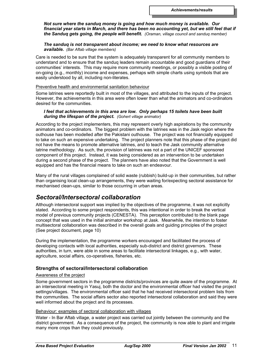*Not sure where the sanduq money is going and how much money is available. Our financial year starts in March, and there has been no accounting yet, but we still feel that if the Sanduq gets going, the people will benefit. (Oraman, village council and sanduq member)*

# *The sanduq is not transparent about income; we need to know what resources are available. (Bar Aftab village members)*

Care is needed to be sure that the system is adequately transparent for all community members to understand and to ensure that the sanduq leaders remain accountable and good guardians of their communities' interests. This may require more community meetings, or possibly a visible posting of on-going (e.g., monthly) income and expenses, perhaps with simple charts using symbols that are easily understood by all, including non-literates.

#### Preventive health and environmental sanitation behaviour

Some latrines were reportedly built in most of the villages, and attributed to the inputs of the project. However, the achievements in this area were often lower than what the animators and co-ordinators desired for the communities.

#### *I feel that achievements in this area are low. Only perhaps 15 toilets have been built during the lifespan of the project. (Gohert village animator)*

According to the project implementers, this may represent overly high aspirations by the community animators and co-ordinators. The biggest problem with the latrines was in the Jask region where the outhouse has been modelled after the Pakistani outhouse. The project was not financially equipped to take on such an expensive undertaking. The project planners note that this phase of the project did not have the means to promote alternative latrines, and to teach the Jask community alternative latrine methodology. As such, the provision of latrines was not a part of the UNICEF sponsored component of this project. Instead, it was being considered as an intervention to be undertaken during a second phase of the project. The planners have also noted that the Government is well equipped and has the financial means to take on such an endeavour.

Many of the rural villages complained of solid waste (rubbish) build-up in their communities, but rather than organising local clean-up arrangements, they were waiting for/expecting sectoral assistance for mechanised clean-ups, similar to those occurring in urban areas.

# *Sectoral/Intersectoral collaboration*

Although intersectoral support was implied by the objectives of the programme, it was not explicitly stated. According to some project respondents, this was intentional in order to break the vertical model of previous community projects (CENESTA). This perception contributed to the blank page concept that was used in the initial animator workshop at Jask. Meanwhile, the intention to foster multisectoral collaboration was described in the overall goals and guiding principles of the project (See project document, page 10)

During the implementation, the programme workers encouraged and facilitated the process of developing contacts with local authorities, especially sub-district and district governors. These authorities, in turn, were able in some areas to facilitate intersectoral linkages, e.g., with water, agriculture, social affairs, co-operatives, fisheries, etc.

# **Strengths of sectoral/Intersectoral collaboration**

# Awareness of the project

Some government sectors in the programme districts/provinces are quite aware of the programme. At an intersectoral meeting in Yasuj, both the doctor and the environmental officer had visited the project settings/villages. The environmental officer said that he had received intersectoral problem lists from the communities. The social affairs sector also reported intersectoral collaboration and said they were well informed about the project and its processes.

# Behaviour: examples of sectoral collaboration with villages

Water - In Bar Aftab village, a water project was carried out jointly between the community and the district government. As a consequence of the project, the community is now able to plant and irrigate many more crops than they could previously.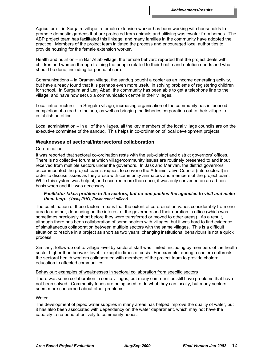Agriculture – in Surgalm village, a female extension worker has been working with households to promote domestic gardens that are protected from animals and utilising wastewater from homes. The ABP project team has facilitated this linkage, and many families in the community have adopted the practice. Members of the project team initiated the process and encouraged local authorities to provide housing for the female extension worker.

Health and nutrition – in Bar Aftab village, the female behvarz reported that the project deals with children and women through training the people related to their health and nutrition needs and what should be done, including for perinatal care.

Communications – in Oraman village, the sanduq bought a copier as an income generating activity, but have already found that it is perhaps even more useful in solving problems of registering children for school. In Surgalm and Lenj Abad, the community has been able to get a telephone line to the village, and have now set up a communication centre in their villages.

Local infrastructure – in Surgalm village, increasing organisation of the community has influenced completion of a road to the sea, as well as bringing the fisheries corporation out to their village to establish an office.

Local administration – in all of the villages, all the key members of the local village councils are on the executive committee of the sanduq. This helps in co-ordination of local development projects.

# **Weaknesses of sectoral/Intersectoral collaboration**

#### Co-ordination

It was reported that sectoral co-ordination rests with the sub-district and district governors' offices. There is no collective forum at which village/community issues are routinely presented to and input received from multiple sectors under the governors. In Jask and Marivan, the district governors accommodated the project team's request to convene the Administrative Council (intersectoral) in order to discuss issues as they arose with community animators and members of the project team. While this system was helpful, and occurred more than once, it was only convened on an ad hoc basis when and if it was necessary.

#### *Facilitator takes problem to the sectors, but no one pushes the agencies to visit and make them help. (Yasuj PHO, Environment officer)*

The combination of these factors means that the extent of co-ordination varies considerably from one area to another, depending on the interest of the governors and their duration in office (which was sometimes preciously short before they were transferred or moved to other areas). As a result, although there has been collaboration of some sectors with villages, but it was hard to find evidence of simultaneous collaboration between multiple sectors with the same villages. This is a difficult situation to resolve in a project as short as two years; changing institutional behaviours is not a quick process.

Similarly, follow-up out to village level by sectoral staff was limited, including by members of the health sector higher than behvarz level – except in times of crisis. For example, during a cholera outbreak, the sectoral health workers collaborated with members of the project team to provide cholera education to affected communities.

#### Behaviour: examples of weaknesses in sectoral collaboration from specific sectors

There was some collaboration in some villages, but many communities still have problems that have not been solved. Community funds are being used to do what they can locally, but many sectors seem more concerned about other problems.

# Water

The development of piped water supplies in many areas has helped improve the quality of water, but it has also been associated with dependency on the water department, which may not have the capacity to respond effectively to community needs.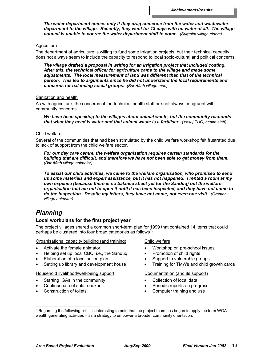*The water department comes only if they drag someone from the water and wastewater department to the village. Recently, they went for 13 days with no water at all. The village council is unable to coerce the water department staff to come. (Surgalm village elders)*

# **Agriculture**

The department of agriculture is willing to fund some irrigation projects, but their technical capacity does not always seem to include the capacity to respond to local socio-cultural and political concerns.

*The village drafted a proposal in writing for an irrigation project that included costing. After this, the technical officer for agriculture came to the village and made some adjustments. The local measurement of land was different than that of the technical person. This led to arguments since he did not understand the local requirements and concerns for balancing social groups. (Bar Aftab village men)*

#### Sanitation and health

As with agriculture, the concerns of the technical health staff are not always congruent with community concerns.

*We have been speaking to the villages about animal waste, but the community responds that what they need is water and that animal waste is a fertiliser. (Yasuj PHO, health staff)*

#### Child welfare

Several of the communities that had been stimulated by the child welfare workshop felt frustrated due to lack of support from the child welfare sector.

*For our day care centre, the welfare organisation requires certain standards for the building that are difficult, and therefore we have not been able to get money from them. (Bar Aftab village animator)*

*To assist our child activities, we came to the welfare organisation, who promised to send us some materials and expert assistance, but it has not happened. I rented a room at my own expense (because there is no balance sheet yet for the Sanduq) but the welfare organisation told me not to open it until it has been inspected, and they have not come to do the inspection. Despite my letters, they have not come, not even one visit. (Oraman village animator)*

# *Planning*

# **Local workplans for the first project year**

The project villages shared a common short-term plan for 1999 that contained 14 items that could perhaps be clustered into four broad categories as follows<sup>2</sup>:

Organisational capacity building (and training)

- Activate the female animator
- Helping set up local CBO, i.e., the Sanduq
- Elaboration of a local action plan
- Setting up library and development house

Household livelihood/well-being support

- Starting IGAs in the community
- Continue use of solar cooker
- Construction of toilets

Child welfare

- Workshop on pre-school issues
- Promotion of child rights
- Support to vulnerable groups
- Training for TMWs and child growth cards

Documentation (and its support)

- Collection of local data
- Periodic reports on progress
- Computer training and use

l  $^{\text{2}}$  Regarding the following list, it is interesting to note that the project team has begun to apply the term WGA– wealth generating activities – as a strategy to empower a broader community orientation.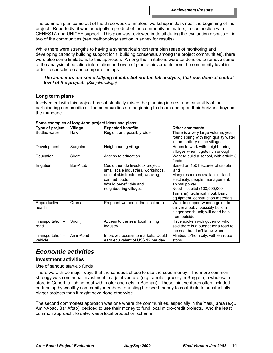The common plan came out of the three-week animators' workshop in Jask near the beginning of the project. Reportedly, it was principally a product of the community animators, in conjunction with CENESTA and UNICEF support. This plan was reviewed in detail during the evaluation discussion in two of the communities (see methodology section in annex for results).

While there were strengths to having a symmetrical short term plan (ease of monitoring and developing capacity building support for it, building consensus among the project communities), there were also some limitations to this approach. Among the limitations were tendencies to remove some of the analysis of baseline information and even of plan achievements from the community level in order to consolidate and compare findings.

*The animators did some tallying of data, but not the full analysis; that was done at central level of the project. (Surgalm village)*

# **Long term plans**

Involvement with this project has substantially raised the planning interest and capability of the participating communities. The communities are beginning to dream and open their horizons beyond the mundane.

| Type of project             | Village   | <b>Expected benefits</b>                                                                                                                                                     | <b>Other comments</b>                                                                                                                                                                                                                  |
|-----------------------------|-----------|------------------------------------------------------------------------------------------------------------------------------------------------------------------------------|----------------------------------------------------------------------------------------------------------------------------------------------------------------------------------------------------------------------------------------|
| Bottled water               | Naw       | Region, and possibly wider                                                                                                                                                   | There is a very large volume, year<br>round spring with high quality water<br>in the territory of the village                                                                                                                          |
| Development                 | Surgalm   | Neighbouring villages                                                                                                                                                        | Hopes to work with neighbouring<br>villages when it gets rich enough                                                                                                                                                                   |
| Education                   | Siromj    | Access to education                                                                                                                                                          | Want to build a school, with article 3<br>funds                                                                                                                                                                                        |
| Irrigation                  | Bar-Aftab | Could then do livestock project,<br>small scale industries, workshops,<br>animal skin treatment, weaving,<br>canned foods<br>Would benefit this and<br>neighbouring villages | Based on 150 hectares of usable<br>land<br>Many resources available – land,<br>electricity, people, management,<br>animal power<br>Need - capital (100,000,000<br>Tumans), technical input, basic<br>equipment, construction materials |
| Reproductive<br>health      | Oraman    | Pregnant women in the local area                                                                                                                                             | Want to support women going to<br>deliver a baby, possibly build a<br>bigger health unit; will need help<br>from outside                                                                                                               |
| Transportation -<br>road    | Siromi    | Access to the sea, local fishing<br>industry                                                                                                                                 | Have spoken with governor who<br>said there is a budget for a road to<br>the sea, but don't know when                                                                                                                                  |
| Transportation –<br>vehicle | Amir-Abad | Improved access to markets; Could<br>earn equivalent of US\$ 12 per day                                                                                                      | Minibus to/from city, with en route<br>stops                                                                                                                                                                                           |

#### **Some examples of long-term project ideas and plans:**

# *Economic activities*

# **Investment activities**

# Use of sanduq start-up funds

There were three major ways that the sanduqs chose to use the seed money. The more common strategy was communal investment in a joint venture (e.g., a retail grocery in Surgalm, a wholesale store in Gohert, a fishing boat with motor and nets in Baghan). These joint ventures often included co-funding by wealthy community members, enabling the seed money to contribute to substantially bigger projects than it might have done otherwise.

The second commonest approach was one where the communities, especially in the Yasuj area (e.g., Amir-Abad, Bar Aftab), decided to use their money to fund local micro-credit projects. And the least common approach, to date, was a local production scheme.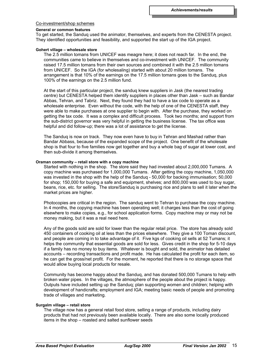#### Co-investment/shop schemes

#### **General or common features**

To get started, the Sanduq used the animator, themselves, and experts from the CENESTA project. They identified opportunities and feasibility, and supported the start up of the IGA project.

#### **Gohert village – wholesale store**

The 2.5 million tomans from UNICEF was meagre here; it does not reach far. In the end, the communities came to believe in themselves and co-investment with UNICEF. The community raised 17.5 million tomans from their own sources and combined it with the 2.5 million tomans from UNICEF. So the IGA (for wholesaling) started with about 20 million tomans. The arrangement is that 10% of the earnings on the 17.5 million tomans goes to the Sanduq, plus 100% of the earnings on the 2.5 million fund.

At the start of this particular project, the sanduq knew suppliers in Jask (the nearest trading centre) but CENESTA helped them identify suppliers in places other than Jask – such as Bandar Abbas, Tehran, and Tabriz. Next, they found they had to have a tax code to operate as a wholesale enterprise. Even without the code, with the help of one of the CENESTA staff, they were able to make purchases at one supplier to begin with. After the purchase, they worked on getting the tax code. It was a complex and difficult process. Took two months; and support from the sub-district governor was very helpful in getting the business license. The tax office was helpful and did follow-up; there was a lot of assistance to get the license.

The Sanduq is now on track. They now even have to buy in Tehran and Mashad rather than Bandar Abbass, because of the expanded scope of the project. One benefit of the wholesale shop is that four to five families now get together and buy a whole bag of sugar at lower cost, and then sub-divide it among themselves.

#### **Oraman community – retail store with a copy machine**

Started with nothing in the shop. The store said they had invested about 2,000,000 Tumans. A copy machine was purchased for 1,000,000 Tumans. After getting the copy machine, 1,050,000 was invested in the shop with the help of the Sanduq - 50,000 for backing immunisation; 50,000 for shop; 150,000 for buying a safe and equipment, shelves; and 800,000 was used to buy sugar, beans, rice, etc. for selling. The store/Sanduq is purchasing rice and plans to sell it later when the market prices are higher.

Photocopies are critical in the region. The sanduq went to Tehran to purchase the copy machine. In 4 months, the copying machine has been operating well; it charges less than the cost of going elsewhere to make copies, e.g., for school application forms. Copy machine may or may not be money making, but it was a real need here.

Any of the goods sold are sold for lower than the regular retail price. The store has already sold 450 containers of cooking oil at less than the prices elsewhere. They give a 100 Toman discount, and people are coming in to take advantage of it. Five kgs of cooking oil sells at 52 Tumans; it helps the community that essential goods are sold for less. Gives credit in the shop for 5-10 days if a family has no money to buy items. Whatever is bought and sold, the animator has detailed accounts – recording transactions and profit made. He has calculated the profit for each item, so he can get the gross/net profit. For the moment, he reported that there is no storage space that would allow buying local products for resale.

Community has become happy about the Sanduq, and has donated 500,000 Tumans to help with broken water pipes. In the villages, the atmosphere of the people about the project is happy. Outputs have included setting up the Sanduq; plan supporting women and children; helping with development of handicrafts; employment and IGA; meeting basic needs of people and promoting trade of villages and marketing.

#### **Surgalm village – retail store**

The village now has a general retail food store, selling a range of products, including dairy products that had not previously been available locally. There are also some locally produced items in the shop – roasted and salted sunflower seeds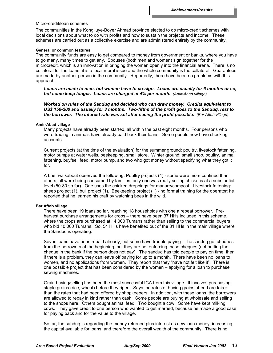# Micro-credit/loan schemes

The communities in the Kohgiluye-Boyer Ahmad province elected to do micro-credit schemes with local decisions about what to do with profits and how to sustain the projects and income. These schemes are carried out as a collective exercise and are administered entirely by the community.

#### **General or common features**

The community funds are easy to get compared to money from government or banks, where you have to go many, many times to get any. Spouses (both men and women) sign together for the microcredit, which is an innovation in bringing the women openly into the financial arena. There is no collateral for the loans, it is a local moral issue and the whole community is the collateral. Guarantees are made by another person in the community. Reportedly, there have been no problems with this approach.

*Loans are made to men, but women have to co-sign. Loans are usually for 6 months or so, but some keep longer. Loans are charged at 4% per month. (Amir-Abad village)*

*Worked on rules of the Sanduq and decided who can draw money. Credits equivalent to US\$ 150-200 and usually for 3 months. Two-fifths of the profit goes to the Sanduq, rest to the borrower. The interest rate was set after seeing the profit possible. (Bar Aftab village)*

#### **Amir-Abad village**

Many projects have already been started, all within the past eight months. Four persons who were trading in animals have already paid back their loans. Some people now have checking accounts.

Current projects (at the time of the evaluation) for the summer ground: poultry, livestock fattening, motor pumps at water wells, beekeeping, small store. Winter ground: small shop, poultry, animal fattening, buy/sell feed, motor pump, and two who got money without specifying what they got it for.

A brief walkabout observed the following: Poultry projects (4) - some were more confined than others, all were being consumed by families, only one was really selling chickens at a substantial level (50-80 so far). One uses the chicken droppings for manure/compost. Livestock fattening: sheep project (1), bull project (1). Beekeeping project (1) - no formal training for the operator; he reported that he learned his craft by watching bees in the wild.

# **Bar Aftab village**

There have been 19 loans so far, reaching 18 households with one a repeat borrower. Preharvest purchase arrangements for crops – there have been 37 HHs included in this scheme, where the crops are purchased at 14,000 Tumans rather than selling to the commercial buyers who bid 10,000 Tumans. So, 54 HHs have benefited out of the 81 HHs in the main village where the Sanduq is operating.

Seven loans have been repaid already, but some have trouble paying. The sanduq got cheques from the borrowers at the beginning, but they are not enforcing these cheques (not putting the cheque in the bank if the person does not pay). The sanduq has told people to pay on time, then if there is a problem, they can leave off paying for up to a month. There have been no loans to women, and no applications from women. They report that they "have not felt like it". There is one possible project that has been considered by the women – applying for a loan to purchase sewing machines.

Grain buying/selling has been the most successful IGA from this village. It involves purchasing staple grains (rice, wheat) before they ripen. Says the rates of buying grains ahead are fairer than the rates that had been offered by shopkeepers. In addition, with these loans, the borrowers are allowed to repay in kind rather than cash. Some people are buying at wholesale and selling to the shops here. Others bought animal feed. Two bought a cow. Some have kept milking cows. They gave credit to one person who wanted to get married, because he made a good case for paying back and for the value to the village.

So far, the sanduq is regarding the money returned plus interest as new loan money, increasing the capital available for loans, and therefore the overall wealth of the community. There is no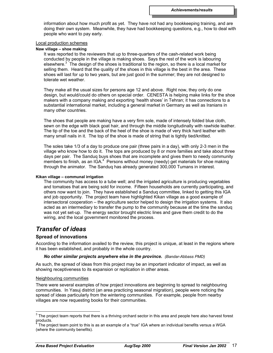information about how much profit as yet. They have not had any bookkeeping training, and are doing their own system. Meanwhile, they have had bookkeeping questions, e.g., how to deal with people who want to pay early.

#### Local production schemes

#### **Naw village – shoe making**

It was reported to the reviewers that up to three-quarters of the cash-related work being conducted by people in the village is making shoes. Says the rest of the work is labouring elsewhere.<sup>3</sup> The design of the shoes is traditional to the region, so there is a local market for selling them. Heard that the quality of the shoes in this village is the best in the area. These shoes will last for up to two years, but are just good in the summer; they are not designed to tolerate wet weather.

They make all the usual sizes for persons age 12 and above. Right now, they only do one design, but would/could do others on special order. CENESTA is helping make links for the shoe makers with a company making and exporting 'health shoes' in Tehran; it has connections to a substantial international market, including a general market in Germany as well as Iranians in many other countries.

The shoes that people are making have a very firm sole, made of intensely folded blue cloth, sewn on the edge with black goat hair, and through the middle longitudinally with rawhide leather. The tip of the toe and the back of the heel of the shoe is made of very thick hard leather with many small nails in it. The top of the shoe is made of string that is tightly tied/knitted.

The soles take 1/3 of a day to produce one pair (three pairs in a day), with only 2-3 men in the village who know how to do it. The tops are produced by 8 or more families and take about three days per pair. The Sanduq buys shoes that are incomplete and gives them to needy community members to finish, as an IGA.<sup>4</sup> Persons without money (needy) get materials for shoe making through the animator. The Sanduq has already generated 300,000 Tumans in interest.

#### **Kikan village – communal irrigation**

The community has access to a tube well; and the irrigated agriculture is producing vegetables and tomatoes that are being sold for income. Fifteen households are currently participating, and others now want to join. They have established a Sanduq committee, linked to getting this IGA and job opportunity. The project team have highlighted Kikan village as a good example of intersectoral cooperation – the agriculture sector helped to design the irrigation systems. It also acted as an intermediary to transfer the pump to the community because at the time the sanduq was not yet set-up. The energy sector brought electric lines and gave them credit to do the wiring, and the local government monitored the process.

# *Transfer of ideas*

# **Spread of innovations**

According to the information availed to the review, this project is unique, at least in the regions where it has been established, and probably in the whole country.

#### *No other similar projects anywhere else in the province. (Bandar-Abbass PMD)*

As such, the spread of ideas from this project may be an important indicator of impact, as well as showing receptiveness to its expansion or replication in other areas.

#### Neighbouring communities

There were several examples of how project innovations are beginning to spread to neighbouring communities. In Yasuj district (an area practicing seasonal migration), people were noticing the spread of ideas particularly from the wintering communities. For example, people from nearby villages are now requesting books for their communities.

<sup>&</sup>lt;sup>3</sup> The project team reports that there is a thriving orchard sector in this area and people here also harvest forest products.<br><sup>4</sup> The pro

The project team point to this is as an example of a "true" IGA where an individual benefits versus a WGA (where the community benefits).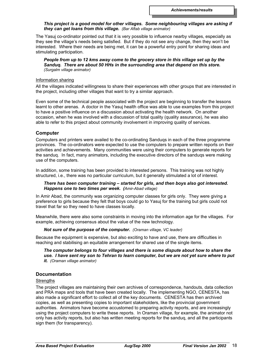# *This project is a good model for other villages. Some neighbouring villages are asking if they can get loans from this village. (Bar Aftab village animator)*

The Yasuj co-ordinator pointed out that it is very possible to influence nearby villages, especially as they see the village's needs being satisfied. But if they do not see any change, then they won't be interested. Where their needs are being met, it can be a powerful entry point for sharing ideas and stimulating participation.

*People from up to 12 kms away come to the grocery store in this village set up by the Sanduq. There are about 50 HHs in the surrounding area that depend on this store. (Surgalm village animator)*

#### Information sharing

All the villages indicated willingness to share their experiences with other groups that are interested in the project, including other villages that want to try a similar approach.

Even some of the technical people associated with the project are beginning to transfer the lessons learnt to other arenas. A doctor in the Yasuj health office was able to use examples from this project to have a positive influence on a discussion about activating the health network. On another occasion, when he was involved with a discussion of total quality (quality assurance), he was also able to refer to this project about community involvement in improving quality of services.

# **Computer**

Computers and printers were availed to the co-ordinating Sanduqs in each of the three programme provinces. The co-ordinators were expected to use the computers to prepare written reports on their activities and achievements. Many communities were using their computers to generate reports for the sanduq. In fact, many animators, including the executive directors of the sanduqs were making use of the computers.

In addition, some training has been provided to interested persons. This training was not highly structured, i.e., there was no particular curriculum, but it generally stimulated a lot of interest.

# *There has been computer training – started for girls, and then boys also got interested. Happens one to two times per week. (Amir-Abad village)*

In Amir Abad, the community was organizing computer classes for girls only. They were giving a preference to girls because they felt that boys could go to Yasuj for the training but girls could not travel that far so they need to have classes locally.

Meanwhile, there were also some constraints in moving into the information age for the villages. For example, achieving consensus about the value of the new technology.

# *Not sure of the purpose of the computer. (Oraman village, VC leader)*

Because the equipment is expensive, but also exciting to have and use, there are difficulties in reaching and stabilising an equitable arrangement for shared use of the single items.

*The computer belongs to four villages and there is some dispute about how to share the use. I have sent my son to Tehran to learn computer, but we are not yet sure where to put it. (Oraman village animator)*

# **Documentation**

# **Strengths**

The project villages are maintaining their own archives of correspondence, handouts, data collection and PRA maps and tools that have been created locally. The implementing NGO, CENESTA, has also made a significant effort to collect all of the key documents. CENESTA has then archived copies, as well as presenting copies to important stakeholders, like the provincial government authorities. Animators have become accustomed to preparing activity reports, and are increasingly using the project computers to write these reports. In Oraman village, for example, the animator not only has activity reports, but also has written meeting reports for the sanduq, and all the participants sign them (for transparency).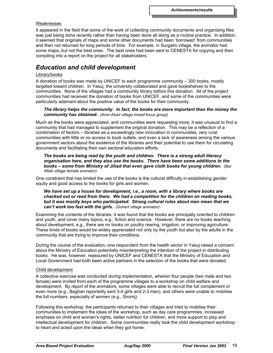#### Weaknesses

It appeared in the field that some of the work of collecting community documents and organising files was just being done recently rather than having been done all along as a routine practice. In addition, it seemed that originals of maps and some other documents had been 'borrowed' from communities and then not returned for long periods of time. For example, in Surgalm village, the animator had some maps, but not the best ones. The best ones had been sent to CENESTA for copying and then compiling into a report on the project for all stakeholders.

## *Education and child development*

### Library/books

A donation of books was made by UNICEF to each programme community – 300 books, mostly targeted toward children. In Yasuj, the university collaborated and gave bookshelves to the communities. None of the villages had a community library before this donation. All of the project communities had received the donation of books from UNICEF, and some of the communities were particularly adamant about the positive value of the books for their community.

#### *The library helps the community. In fact, the books are more important than the money the community has obtained. (Amir-Abad village mixed focus group)*

Much as the books were appreciated, and communities were requesting more, it was unusual to find a community that had managed to supplement the original donation. This may be a reflection of a combination of factors – libraries as a exceedingly new innovation in communities, very rural communities with little or no access to book outlets, and even a lack of awareness among the various government sectors about the existence of the libraries and their potential to use them for circulating documents and facilitating their own sectoral education efforts.

*The books are being read by the youth and children. There is a strong adult literacy organisation here, and they also use the books. There have been some additions to the books – some from Ministry of Jihad that even gave cloth books for young children. (Bar Aftab village female animator)*

One constraint that has limited the use of the books is the cultural difficulty in establishing gender equity and good access to the books for girls and women.

#### *We have set up a house for development, i.e., a room, with a library where books are checked out or read from there. We had a competition for the children on reading books, but it was mostly boys who participated. Strong cultural rules about men mean that we can't work too fast with the girls. (Gohert village animator)*

Examining the contents of the libraries, it was found that the books are principally oriented to children and youth, and cover many topics, e.g., fiction and science. However, there are no books teaching about development, e.g., there are no books on poultry rearing, irrigation, or improving agriculture. These kinds of books would be widely appreciated not only by the youth but also by the adults in the community that are trying to improve their conditions.

During the course of the evaluation, one respondent from the health sector in Yasuj raised a concern about the Ministry of Education potentially misinterpreting the intention of the project in distributing books. He was, however, reassured by UNICEF and CENESTA that the Ministry of Education and Local Government had both been active partners in the selection of the books that were donated.

#### Child development

A collective exercise was conducted during implementation, wherein four people (two male and two female) were invited from each of the programme villages to a workshop on child welfare and development. By report of the animators, some villages were able to recruit the full complement or even more (e.g., Baghan reportedly sent 3-4 girls and 2-3 men), and others were unable to mobilise the full numbers, especially of women (e.g., Siromj).

Following this workshop, the participants returned to their villages and tried to mobilise their communities to implement the ideas of the workshop, such as day care programmes, increased emphasis on child and women's rights, better nutrition for children, and more support to play and intellectual development for children. Some communities really took the child development workshop to heart and acted upon the ideas when they got home.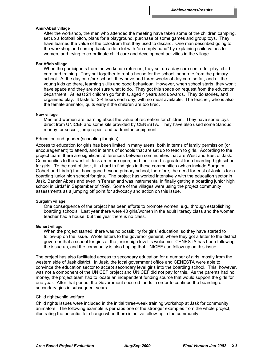#### **Amir-Abad village**

After the workshop, the men who attended the meeting have taken some of the children camping, set up a football pitch, plans for a playground, purchase of some games and group toys. They have learned the value of the colostrum that they used to discard. One man described going to the workshop and coming back to do a lot with "an empty hand" by explaining child values to women, and trying to co-ordinate child care and development activities in the village.

#### **Bar Aftab village**

When the participants from the workshop returned, they set up a day care centre for play, child care and training. They sat together to rent a house for the school, separate from the primary school. At the day care/pre-school, they have had three weeks of day care so far, and all the young kids go there, learning skills and good behaviour. However, when school starts, they won't have space and they are not sure what to do. They got this space on request from the education department. At least 24 children go for this, aged 4 years and upwards. They do stories, and organised play. It lasts for 2-4 hours each day, with no meal available. The teacher, who is also the female animator, quits early if the children are too tired.

#### **Naw village**

Men and women are learning about the value of recreation for children. They have some toys direct from UNICEF and some kits provided by CENESTA. They have also used some Sanduq money for soccer, jump ropes, and badminton equipment.

#### Education and gender (schooling for girls)

Access to education for girls has been limited in many areas, both in terms of family permission (or encouragement) to attend, and in terms of schools that are set up to teach to girls. According to the project team, there are significant differences between communities that are West and East of Jask. Communities to the west of Jask are more open, and their need is greatest for a boarding high school for girls. To the east of Jask, it is hard to find girls in these communities (which include Surgalm, Gohert and Lirdaf) that have gone beyond primary school; therefore, the need for east of Jask is for a boarding junior high school for girls. The project has worked intensively with the education sector in Jask, Bandar Abbas and even in Tehran and was instrumental in finally getting a boarding junior high school in Lirdaf in September of 1999. Some of the villages were using the project community assessments as a jumping off point for advocacy and action on this issue.

#### **Surgalm village**

One consequence of the project has been efforts to promote women, e.g., through establishing boarding schools. Last year there were 40 girls/women in the adult literacy class and the woman teacher had a house; but this year there is no class.

#### **Gohert village**

When the project started, there was no possibility for girls' education, so they have started to follow-up on the issue. Wrote letters to the governor general, where they got a letter to the district governor that a school for girls at the junior high level is welcome. CENESTA has been following the issue up, and the community is also hoping that UNICEF can follow up on this issue.

The project has also facilitated access to secondary education for a number of girls, mostly from the western side of Jask district. In Jask, the local government office and CENESTA were able to convince the education sector to accept secondary level girls into the boarding school. This, however, was not a component of the UNICEF project and UNICEF did not pay for this. As the parents had no money, the project team had to locate an independent funding source that would support the girls for one year. After that period, the Government secured funds in order to continue the boarding of secondary girls in subsequent years.

#### Child rights/child welfare

Child rights issues were included in the initial three-week training workshop at Jask for community animators. The following example is perhaps one of the stronger examples from the whole project, illustrating the potential for change when there is active follow-up in the community.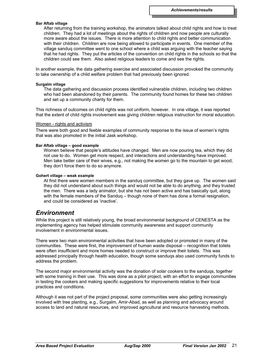#### **Bar Aftab village**

After returning from the training workshop, the animators talked about child rights and how to treat children. They had a lot of meetings about the rights of children and now people are culturally more aware about the issues. There is more attention to child rights and better communication with their children. Children are now being allowed to participate in events. One member of the village sanduq committee went to one school where a child was arguing with the teacher saying that he had rights. They put the articles of the convention on child rights in the schools so that the children could see them. Also asked religious leaders to come and see the rights.

In another example, the data gathering exercise and associated discussion provoked the community to take ownership of a child welfare problem that had previously been ignored.

#### **Surgalm village**

The data gathering and discussion process identified vulnerable children, including two children who had been abandoned by their parents. The community found homes for these two children and set up a community charity for them.

This richness of outcomes on child rights was not uniform, however. In one village, it was reported that the extent of child rights involvement was giving children religious instruction for moral education.

#### Women - rights and activism

There were both good and feeble examples of community response to the issue of women's rights that was also promoted in the initial Jask workshop.

#### **Bar Aftab village – good example**

Women believe that people's attitudes have changed. Men are now pouring tea, which they did not use to do. Women get more respect, and interactions and understanding have improved. Men take better care of their wives, e.g., not making the women go to the mountain to get wood; they don't force them to do so anymore.

#### **Gohert village – weak example**

At first there were women members in the sanduq committee, but they gave up. The women said they did not understand about such things and would not be able to do anything, and they trusted the men. There was a lady animator, but she has not been active and has basically quit, along with the female members of the Sanduq – though none of them has done a formal resignation, and could be considered as 'inactive'.

## *Environment*

While this project is still relatively young, the broad environmental background of CENESTA as the implementing agency has helped stimulate community awareness and support community involvement in environmental issues.

There were two main environmental activities that have been adopted or promoted in many of the communities. These were first, the improvement of human waste disposal – recognition that toilets were often insufficient and more homes needed to construct or improve their toilets. This was addressed principally through health education, though some sanduqs also used community funds to address the problem.

The second major environmental activity was the donation of solar cookers to the sanduqs, together with some training in their use. This was done as a pilot project, with an effort to engage communities in testing the cookers and making specific suggestions for improvements relative to their local practices and conditions.

Although it was not part of the project proposal, some communities were also getting increasingly involved with tree planting, e.g., Surgalm, Amir-Abad, as well as planning and advocacy around access to land and natural resources, and improved agricultural and resource harvesting methods.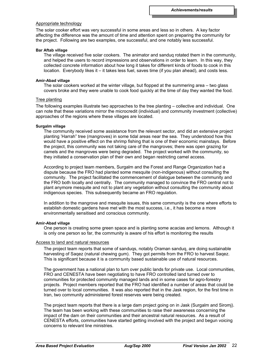#### Appropriate technology

The solar cooker effort was very successful in some areas and less so in others. A key factor affecting the difference was the amount of time and attention spent on preparing the community for the project. Following are two examples, one successful, and one notably less successful.

#### **Bar Aftab village**

The village received five solar cookers. The animator and sanduq rotated them in the community, and helped the users to record impressions and observations in order to learn. In this way, they collected concrete information about how long it takes for different kinds of foods to cook in this location. Everybody likes it – it takes less fuel, saves time (if you plan ahead), and costs less.

#### **Amir-Abad village**

The solar cookers worked at the winter village, but flopped at the summering area – two glass covers broke and they were unable to cook food quickly at the time of day they wanted the food.

#### Tree planting

The following examples illustrate two approaches to the tree planting – collective and individual. One can note that these variations mirror the microcredit (individual) and community investment (collective) approaches of the regions where these villages are located.

#### **Surgalm village**

The community received some assistance from the relevant sector, and did an extensive project planting 'Harrah" tree (mangroves) in some tidal areas near the sea. They understood how this would have a positive effect on the shrimp fishing that is one of their economic mainstays. Before the project, this community was not taking care of the mangroves; there was open grazing for camels and the mangroves were being degraded. The project worked with the community, so they initiated a conservation plan of their own and began restricting camel access.

According to project team members, Surgalm and the Forest and Range Organization had a dispute because the FRO had planted some mesquite (non-indigenous) without consulting the community. The project facilitated the commencement of dialogue between the community and the FRO both locally and centrally. The community managed to convince the FRO central not to plant anymore mesquite and not to plant any vegetation without consulting the community about indigenous species. This subsequently became an FRO regulation.

In addition to the mangrove and mesquite issues, this same community is the one where efforts to establish domestic gardens have met with the most success, i.e., it has become a more environmentally sensitised and conscious community.

#### **Amir-Abad village**

One person is creating some green space and is planting some acacias and lemons. Although it is only one person so far, the community is aware of his effort is monitoring the results

### Access to land and natural resources

The project team reports that some of sanduqs, notably Oraman sanduq, are doing sustainable harvesting of Saqez (natural chewing gum). They got permits from the FRO to harvest Saqez. This is significant because it is a community based sustainable use of natural resources.

The government has a national plan to turn over public lands for private use. Local communities, FRO and CENESTA have been negotiating to have FRO controlled land turned over to communities for protected community managed lands and in some cases for agro-forestry projects. Project members reported that the FRO had identified a number of areas that could be turned over to local communities. It was also reported that in the Jask region, for the first time in Iran, two community administered forest reserves were being created.

The project team reports that there is a large dam project going on in Jask (Surgalm and Siromj). The team has been working with these communities to raise their awareness concerning the impact of the dam on their communities and their ancestral natural resources. As a result of CENESTA efforts, communities have started getting involved with the project and begun voicing concerns to relevant line ministries.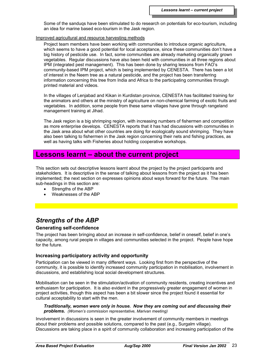Some of the sanduqs have been stimulated to do research on potentials for eco-tourism, including an idea for marine based eco-tourism in the Jask region.

Improved agricultural and resource harvesting methods

Project team members have been working with communities to introduce organic agriculture, which seems to have a good potential for local acceptance, since these communities don't have a big history of pesticide use. In fact, some communities are already marketing organically grown vegetables. Regular discussions have also been held with communities in all three regions about IPM (integrated pest management). This has been done by sharing lessons from FAO's community-based IPM project, which is being implemented by CENESTA. There has been a lot of interest in the Neem tree as a natural pesticide, and the project has been transferring information concerning this tree from India and Africa to the participating communities through printed material and videos.

In the villages of Lenjabad and Kikan in Kurdistan province, CENESTA has facilitated training for the animators and others at the ministry of agriculture on non-chemical farming of exotic fruits and vegetables. In addition, some people from these same villages have gone through rangeland management training at Jihad.

The Jask region is a big shrimping region, with increasing numbers of fishermen and competition as more enterprise develops. CENESTA reports that it has had discussions with communities in the Jask area about what other countries are doing for ecologically sound shrimping. They have also been talking to fishermen in the Jask region concerning their nets and fishing practices, as well as having talks with Fisheries about holding cooperative workshops.

# **Lessons learnt – about the current project**

This section sets out descriptive lessons learnt about the project by the project participants and stakeholders. It is descriptive in the sense of talking about lessons from the project as it has been implemented; the next section on expresses opinions about ways forward for the future. The main sub-headings in this section are:

- Strengths of the ABP
- Weaknesses of the ABP

# *Strengths of the ABP*

## **Generating self-confidence**

The project has been bringing about an increase in self-confidence, belief in oneself, belief in one's capacity, among rural people in villages and communities selected in the project. People have hope for the future.

## **Increasing participatory activity and opportunity**

Participation can be viewed in many different ways. Looking first from the perspective of the community, it is possible to identify increased community participation in mobilisation, involvement in discussions, and establishing local social development structures.

Mobilisation can be seen in the stimulation/activation of community residents, creating incentives and enthusiasm for participation. It is also evident in the progressively greater engagement of women in project activities, though this aspect has been a bit slower since the project found it essential for cultural acceptability to start with the men.

*Traditionally, women were only in house. Now they are coming out and discussing their problems. (Women's commission representative, Marivan meeting)*

Involvement in discussions is seen in the greater involvement of community members in meetings about their problems and possible solutions, compared to the past (e.g., Surgalm village). Discussions are taking place in a spirit of community collaboration and increasing participation of the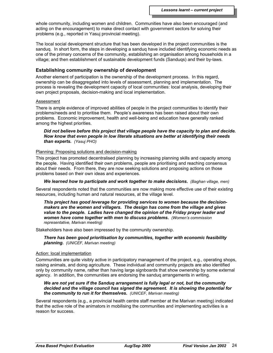whole community, including women and children. Communities have also been encouraged (and acting on the encouragement) to make direct contact with government sectors for solving their problems (e.g., reported in Yasuj provincial meeting).

The local social development structure that has been developed in the project communities is the sanduq. In short form, the steps in developing a sanduq have included identifying economic needs as one of the primary concerns of the community, establishing an organisation among households in a village; and then establishment of sustainable development funds (Sanduqs) and their by-laws.

### **Establishing community ownership of development**

Another element of participation is the ownership of the development process. In this regard, ownership can be disaggregated into levels of assessment, planning and implementation. The process is revealing the development capacity of local communities: local analysis, developing their own project proposals, decision-making and local implementation.

#### Assessment

There is ample evidence of improved abilities of people in the project communities to identify their problems/needs and to prioritise them. People's awareness has been raised about their own problems. Economic improvement, health and well-being and education have generally ranked among the highest priorities.

#### *Did not believe before this project that village people have the capacity to plan and decide. Now know that even people in low literate situations are better at identifying their needs than experts. (Yasuj PHO)*

#### Planning: Proposing solutions and decision-making

This project has promoted decentralised planning by increasing planning skills and capacity among the people. Having identified their own problems, people are prioritising and reaching consensus about their needs. From there, they are now seeking solutions and proposing actions on those problems based on their own ideas and experiences.

### *We learned how to participate and work together to make decisions. (Baghan village, men)*

Several respondents noted that the communities are now making more effective use of their existing resources, including human and natural resources, at the village level.

*This project has good leverage for providing services to women because the decisionmakers are the women and villagers. The design has come from the village and gives value to the people. Ladies have changed the opinion of the Friday prayer leader and women have come together with men to discuss problems. (Women's commission representative, Marivan meeting)*

Stakeholders have also been impressed by the community ownership.

*There has been good prioritisation by communities, together with economic feasibility planning. (UNICEF, Marivan meeting)*

#### Action: local implementation

Communities are quite visibly active in participatory management of the project, e.g., operating shops, raising animals, and doing agriculture. These individual and community projects are also identified only by community name, rather than having large signboards that show ownership by some external agency. In addition, the communities are endorsing the sanduq arrangements in writing.

#### *We are not yet sure if the Sanduq arrangement is fully legal or not, but the community decided and the village council has signed the agreement. It is showing the potential for the community to run it for themselves. (UNICEF, Marivan meeting)*

Several respondents (e.g., a provincial health centre staff member at the Marivan meeting) indicated that the active role of the animators in mobilising the communities and implementing activities is a reason for success.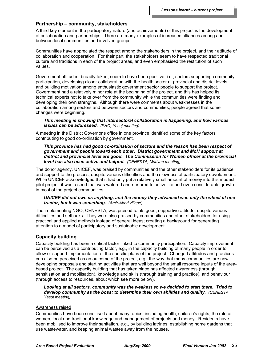## **Partnership – community, stakeholders**

A third key element in the participatory nature (and achievements) of this project is the development of collaboration and partnerships. There are many examples of increased alliances among and between local communities and involved groups.

Communities have appreciated the respect among the stakeholders in the project, and their attitude of collaboration and cooperation. For their part, the stakeholders seem to have respected traditional culture and traditions in each of the project areas, and even emphasised the restitution of such values.

Government attitudes, broadly taken, seem to have been positive, i.e., sectors supporting community participation, developing closer collaboration with the health sector at provincial and district levels, and building motivation among enthusiastic government sector people to support the project. Government had a relatively minor role at the beginning of the project, and this has helped its technical experts not to take over from the community while the communities were finding and developing their own strengths. Although there were comments about weaknesses in the collaboration among sectors and between sectors and communities, people agreed that some changes were beginning.

#### *This meeting is showing that intersectoral collaboration is happening, and how various issues can be addressed. (PHO, Yasuj meeting)*

A meeting in the District Governor's office in one province identified some of the key factors contributing to good co-ordination by government.

#### *This province has had good co-ordination of sectors and the reason has been respect of government and people toward each other. District government and MoH support at district and provincial level are good. The Commission for Women officer at the provincial level has also been active and helpful. (CENESTA, Marivan meeting)*

The donor agency, UNICEF, was praised by communities and the other stakeholders for its patience and support to the process, despite various difficulties and the slowness of participatory development. While UNICEF acknowledged that it had only put a relatively small amount of money into this modest pilot project, it was a seed that was watered and nurtured to active life and even considerable growth in most of the project communities.

### *UNICEF did not owe us anything, and the money they advanced was only the wheel of one tractor, but it was something. (Amir-Abad village)*

The implementing NGO, CENESTA, was praised for its good, supportive attitude, despite various difficulties and setbacks. They were also praised by communities and other stakeholders for using practical and applied methods instead of general ideas; creating a background for generating attention to a model of participatory and sustainable development.

## **Capacity building**

Capacity building has been a critical factor linked to community participation. Capacity improvement can be perceived as a contributing factor, e.g., in the capacity building of many people in order to allow or support implementation of the specific plans of the project. Changed attitudes and practices can also be perceived as an outcome of the project, e.g., the way that many communities are now developing proposals and starting activities that are well beyond the small resource inputs of the areabased project. The capacity building that has taken place has affected awareness (through sensitisation and mobilisation), knowledge and skills (through training and practice), and behaviour (through access to resources, about which see more below).

#### *Looking at all sectors, community was the weakest so we decided to start there. Tried to develop community as the boss; to determine their own abilities and quality. (CENESTA, Yasuj meeting)*

#### Awareness raised

Communities have been sensitised about many topics, including health, children's rights, the role of women, local and traditional knowledge and management of projects and money. Residents have been mobilised to improve their sanitation, e.g., by building latrines, establishing home gardens that use wastewater, and keeping animal wastes away from the houses.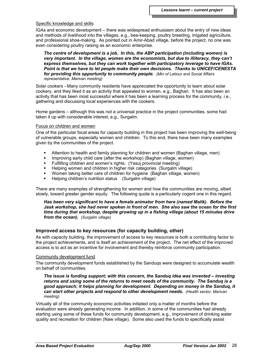#### Specific knowledge and skills

IGAs and economic development – there was widespread enthusiasm about the entry of new ideas and methods of livelihood into the villages, e.g., bee-keeping, poultry breeding, irrigated agriculture, and professional shoe-making. As pointed out in Amir-Abad village, before the project, no one was even considering poultry raising as an economic enterprise.

*The centre of development is a job. In this, the ABP participation (including women) is very important. In the village, women are the economists, but due to illiteracy, they can't express themselves, but they can work together with participatory leverage to have IGAs. Point is that we have to let people make their own decisions. Thanks to UNICEF/CENESTA for providing this opportunity to community people. (Min of Labour and Social Affairs representative, Marivan meeting)*

Solar cookers - Many community residents have appreciated the opportunity to learn about solar cookery, and they liked it as an activity that appealed to women, e.g., Baghan. It has also been an activity that has been most successful where it has been a learning process for the community, i.e., gathering and discussing local experiences with the cookers.

Home gardens – although this was not a universal practice in the project communities, some had taken it up with considerable interest, e.g., Surgalm.

#### Focus on children and women

One of the particular focal areas for capacity building in this project has been improving the well-being of vulnerable groups, especially women and children. To this end, there have been many examples given by the communities of the project.

- Attention to health and family planning for children and women (Baghan village, men)
- **IMPROVIG EXALGO EXA** Improving early child care (after the workshop) (Baghan village, women)
- **Fulfilling children and women's rights. (Yasuj provincial meeting)**
- Helping women and children in higher risk categories (Surgalm village)
- Women taking better care of children for hygiene (Baghan village, women)
- **Helping children's nutrition status** (Surgalm village)

There are many examples of strengthening for women and how the communities are moving, albeit slowly, toward greater gender equity. The following quote is a particularly cogent one in this regard.

*Has been very significant to have a female animator from here (named Malik). Before the Jask workshop, she had never spoken in front of men. She also saw the ocean for the first time during that workshop, despite growing up in a fishing village (about 15 minutes drive from the ocean). (Surgalm village)*

## **Improved access to key resources (for capacity building, other)**

As with capacity building, the improvement of access to key resources is both a contributing factor to the project achievements, and is itself an achievement of the project. The net effect of the improved access is to act as an incentive for involvement and thereby reinforce community participation.

#### Community development fund

The community development funds established by the Sanduqs were designed to accumulate wealth on behalf of communities.

*The issue is funding support; with this concern, the Sanduq idea was invented – investing returns and using some of the returns to meet needs of the community. The Sanduq is a good approach; it helps planning for development. Depending on money in the Sanduq, it can start other projects and respond to other development needs. (Health sector, Marivan meeting)*

Virtually all of the community economic activities initiated only a matter of months before the evaluation were already generating income. In addition, in some of the communities had already starting using some of these funds for community development, e.g., improvement of drinking water quality and recreation for children (Naw village). Some also used the funds to specifically assist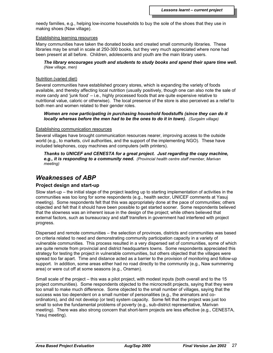needy families, e.g., helping low-income households to buy the sole of the shoes that they use in making shoes (Naw village).

#### Establishing learning resources

Many communities have taken the donated books and created small community libraries. These libraries may be small in scale at 250-300 books, but they very much appreciated where none had been present at all before. Children, adolescents and youth are the main library users.

*The library encourages youth and students to study books and spend their spare time well. (Naw village, men)*

#### Nutrition (varied diet)

Several communities have established grocery stores, which is expanding the variety of foods available, and thereby affecting local nutrition (usually positively, though one can also note the sale of more candy and 'junk food' – i.e., highly processed foods that are quite expensive relative to nutritional value, caloric or otherwise). The local presence of the store is also perceived as a relief to both men and women related to their gender roles.

#### *Women are now participating in purchasing household foodstuffs (since they can do it locally whereas before the men had to be the ones to do it in town). (Surgalm village)*

#### Establishing communication resources

Several villages have brought communication resources nearer, improving access to the outside world (e.g., to markets, civil authorities, and the support of the implementing NGO). These have included telephones, copy machines and computers (with printers).

*Thanks to UNICEF and CENESTA for a great project. Just regarding the copy machine, e.g., it is responding to a community need. (Provincial health centre staff member, Marivan meeting)*

## *Weaknesses of ABP*

## **Project design and start-up**

Slow start-up – the initial stage of the project leading up to starting implementation of activities in the communities was too long for some respondents (e.g., health sector, UNICEF comments at Yasuj meeting). Some respondents felt that this was appropriately done at the pace of communities; others objected and felt that it should have been possible to get started sooner. Some respondents believed that the slowness was an inherent issue in the design of the project; while others believed that external factors, such as bureaucracy and staff transfers in government had interfered with project progress.

Dispersed and remote communities – the selection of provinces, districts and communities was based on criteria related to need and demonstrating community participation capacity in a variety of vulnerable communities. This process resulted in a very dispersed set of communities, some of which are quite remote from provincial and district headquarters towns. Some respondents appreciated this strategy for testing the project in vulnerable communities, but others objected that the villages were spread too far apart. Time and distance acted as a barrier to the provision of monitoring and follow-up support. In addition, some areas either had no road directly to the community (e.g., Naw summering area) or were cut off at some seasons (e.g., Oraman).

Small scale of the project – this was a pilot project, with modest inputs (both overall and to the 15 project communities). Some respondents objected to the microcredit projects, saying that they were too small to make much difference. Some objected to the small number of villages, saying that the success was too dependent on a small number of personalities (e.g., the animators and coordinators), and did not develop (or test) system capacity. Some felt that the project was just too small to solve the fundamental problems of poverty (e.g., sub-district representative, Marivan meeting). There was also strong concern that short-term projects are less effective (e.g., CENESTA, Yasuj meeting).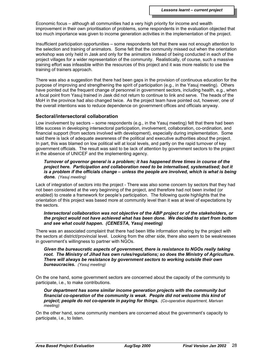Economic focus – although all communities had a very high priority for income and wealth improvement in their own prioritisation of problems, some respondents in the evaluation objected that too much importance was given to income generation activities in the implementation of the project.

Insufficient participation opportunities – some respondents felt that there was not enough attention to the selection and training of animators. Some felt that the community missed out when the orientation workshop was only held in Jask and only for the animators instead of being conducted in each of the project villages for a wider representation of the community. Realistically, of course, such a massive training effort was infeasible within the resources of this project and it was more realistic to use the training of trainers approach.

There was also a suggestion that there had been gaps in the provision of continuous education for the purpose of improving and strengthening the spirit of participation (e.g., in the Yasuj meeting). Others have pointed out the frequent change of personnel in government sectors, including health, e.g., when a focal point from Yasuj trained in Jask did not return to continue to link and serve. The heads of the MoH in the province had also changed twice. As the project team have pointed out, however, one of the overall intentions was to reduce dependence on government offices and officials anyway.

### **Sectoral/intersectoral collaboration**

Low involvement by sectors – some respondents (e.g., in the Yasuj meeting) felt that there had been little success in developing intersectoral participation, involvement, collaboration, co-ordination, and financial support (from sectors involved with development), especially during implementation. Some said there is lack of adequate awareness of the political and executive authorities about the project. In part, this was blamed on low political will at local levels, and partly on the rapid turnover of key government officials. The result was said to be lack of attention by government sectors to the project in the absence of UNICEF and the implementing agency.

*Turnover of governor general is a problem; it has happened three times in course of the project here. Participation and collaboration need to be internalised, systematised; but it is a problem if the officials change – unless the people are involved, which is what is being done. (Yasuj meeting)*

Lack of integration of sectors into the project - There was also some concern by sectors that they had not been considered at the very beginning of the project, and therefore had not been invited (or enabled) to create a framework for people's participation. The following quote highlights that the orientation of this project was based more at community level than it was at level of expectations by the sectors.

#### *Intersectoral collaboration was not objective of the ABP project or of the stakeholders, or the project would not have achieved what has been done. We decided to start from bottom and see what could happen. (CENESTA, Yasuj meeting)*

There was an associated complaint that there had been little information sharing by the project with the sectors at district/provincial level. Looking from the other side, there also seem to be weaknesses in government's willingness to partner with NGOs.

*Given the bureaucratic aspects of government, there is resistance to NGOs really taking root. The Ministry of Jihad has own rules/regulations; so does the Ministry of Agriculture. There will always be resistance by government sectors to working outside their own bureaucracies. (Yasuj meeting)*

On the one hand, some government sectors are concerned about the capacity of the community to participate, i.e., to make contributions.

*Our department has some similar income generation projects with the community but financial co-operation of the community is weak. People did not welcome this kind of project; people do not co-operate in paying for things. (Co-operative department, Marivan meeting)*

On the other hand, some community members are concerned about the government's capacity to participate, i.e., to listen.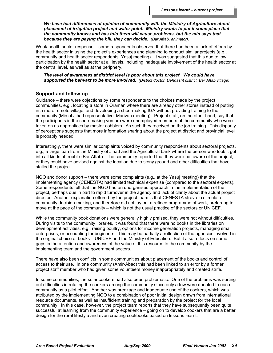*We have had differences of opinion of community with the Ministry of Agriculture about placement of irrigation project and water point. Ministry wants to put it some place that the community knows and has told them will cause problems, but the min says that because they are paying the bill, they can decide. (Bar Aftab, animator).*

Weak health sector response – some respondents observed that there had been a lack of efforts by the health sector in using the project's experiences and planning to conduct similar projects (e.g., community and health sector respondents, Yasuj meeting). It was suggested that this due to low participation by the health sector at all levels, including inadequate involvement of the health sector at the central level, as well as at the periphery.

*The level of awareness at district level is poor about this project. We could have supported the behvarz to be more involved. (District doctor, Dehdasht district, Bar Aftab village)*

## **Support and follow-up**

Guidance – there were objections by some respondents to the choices made by the project communities, e.g., locating a store in Oraman where there are already other stores instead of putting in a more remote village, and developing a shoe-making IGA without providing training to the community (Min of Jihad representative, Marivan meeting). Project staff, on the other hand, say that the participants in the shoe-making venture were unemployed members of the community who were taken on as apprentices by master cobblers. As such they received on the job training. This disparity of perceptions suggests that more information sharing about the project at district and provincial level is probably needed.

Interestingly, there were similar complaints voiced by community respondents about sectoral projects, e.g., a large loan from the Ministry of Jihad and the Agricultural bank where the person who took it got into all kinds of trouble (Bar Aftab). The community reported that they were not aware of the project, or they could have advised against the location due to stony ground and other difficulties that have stalled the project.

NGO and donor support – there were some complaints (e.g., at the Yasuj meeting) that the implementing agency (CENESTA) had limited technical expertise (compared to the sectoral experts). Some respondents felt that the NGO had an unorganised approach in the implementation of the project, perhaps due in part to rapid turnover in the agency and lack of clarity about the actual project director. Another explanation offered by the project team is that CENESTA strove to stimulate community decision-making, and therefore did not lay out a refined programme of work, preferring to move at the pace of the community – which is not the usual practice of the sectors or UNICEF.

While the community book donations were generally highly praised, they were not without difficulties. During visits to the community libraries, it was found that there were no books in the libraries on development activities, e.g., raising poultry, options for income generation projects, managing small enterprises, or accounting for beginners. This may be partially a reflection of the agencies involved in the original choice of books – UNICEF and the Ministry of Education. But it also reflects on some gaps in the attention and awareness of the value of this resource to the community by the implementing team and the government sectors.

There have also been conflicts in some communities about placement of the books and control of access to their use. In one community (Amir-Abad) this had been linked to an error by a former project staff member who had given some volunteers money inappropriately and created strife.

In some communities, the solar cookers had also been problematic. One of the problems was sorting out difficulties in rotating the cookers among the community since only a few were donated to each community as a pilot effort. Another was breakage and inadequate use of the cookers, which was attributed by the implementing NGO to a combination of poor initial design drawn from international resource documents, as well as insufficient training and preparation by the project for the local community. In this case, however, the project team reports that they have subsequently been quite successful at learning from the community experience – going on to develop cookers that are a better design for the rural lifestyle and even creating cookbooks based on lessons learnt.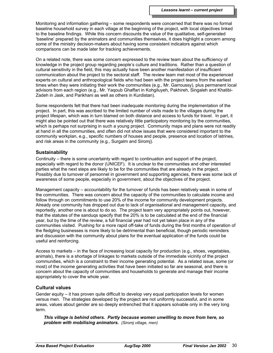Monitoring and information gathering – some respondents were concerned that there was no formal baseline household survey in each village at the beginning of the project, with local objectives linked to the baseline findings. While this concern discounts the value of the qualitative, self-generated 'baseline' prepared by the animators and communities themselves, it does highlight a concern among some of the ministry decision-makers about having some consistent indicators against which comparisons can be made later for tracking achievements.

On a related note, there was some concern expressed to the review team about the sufficiency of knowledge in the project group regarding people's culture and traditions. Rather than a question of cultural sensitivity in the field, this may actually have been another manifestation of insufficient communication about the project to the sectoral staff. The review team met most of the experienced experts on cultural and anthropological fields who had been with the project teams from the earliest times when they were initiating their work the communities (e.g., Mr. Garroussy), plus permanent local advisors from each region (e.g., Mr. Yaqoub Ghaffari in Kohgiluyeh, Pakhireh, Singaleh and Khatibi-Zadeh in Jask, and Parikhani as well as others in Kurdistan).

Some respondents felt that there had been inadequate monitoring during the implementation of the project. In part, this was ascribed to the limited number of visits made to the villages during the project lifespan, which was in turn blamed on both distance and access to funds for travel. In part, it might also be pointed out that there was relatively little participatory monitoring by the communities, which is perhaps not surprising in such a young project. Community maps and plans were not readily at hand in all the communities, and often did not show issues that were considered important to the community workplan, e.g., specific numbers of houses and people, presence and location of latrines, and risk areas in the community (e.g., Surgalm and Siromj).

## **Sustainability**

Continuity – there is some uncertainty with regard to continuation and support of the project, especially with regard to the donor (UNICEF). It is unclear to the communities and other interested parties what the next steps are likely to be for the communities that are already in the project. Possibly due to turnover of personnel in government and supporting agencies, there was some lack of awareness of some people, especially in government, about the objectives of the project.

Management capacity – accountability for the turnover of funds has been relatively weak in some of the communities. There was concern about the capacity of the communities to calculate income and follow through on commitments to use 20% of the income for community development projects. Already one community has dropped out due to lack of organisational and management capacity, and reportedly, another one is about to do so. The project team very appropriately points out, however, that the statutes of the sanduqs specify that the 20% is to be calculated at the end of the financial year, but by the time of the review, a full financial year had not yet taken place in any of the communities visited. Pushing for a more rapid off-take of funds during the first months of operation of the fledgling businesses is more likely to be detrimental than beneficial, though periodic reminders and discussion with the community about plans for the eventual application of the funds could be useful and reinforcing.

Access to markets – in the face of increasing local capacity for production (e.g., shoes, vegetables, animals), there is a shortage of linkages to markets outside of the immediate vicinity of the project communities, which is a constraint to their income generating potential. As a related issue, some (or most) of the income generating activities that have been initiated so far are seasonal, and there is concern about the capacity of communities and households to generate and manage their income appropriately to cover the whole year.

## **Cultural values**

Gender equity – it has proven quite difficult to develop very equal participation levels for women versus men. The strategies developed by the project are not uniformly successful, and in some areas, values about gender are so deeply entrenched that it appears solvable only in the very long term.

*This village is behind others. Partly because women unwilling to move from here, so problem with mobilising animators. (Siromj village, men)*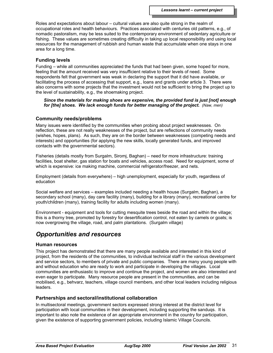Roles and expectations about labour – cultural values are also quite strong in the realm of occupational roles and health behaviours. Practices associated with centuries old patterns, e.g., of nomadic pastoralism, may be less suited to the contemporary environment of sedentary agriculture or fishing. These values are sometimes creating difficulty in taking up local responsibility and using local resources for the management of rubbish and human waste that accumulate when one stays in one area for a long time.

## **Funding levels**

Funding – while all communities appreciated the funds that had been given, some hoped for more, feeling that the amount received was very insufficient relative to their levels of need. Some respondents felt that government was weak in declaring the support that it did have available, or facilitating the process of accessing that support, e.g., loans and grants under article 3. There were also concerns with some projects that the investment would not be sufficient to bring the project up to the level of sustainability, e.g., the shoemaking project.

*Since the materials for making shoes are expensive, the provided fund is just [not] enough for [the] shoes. We lack enough funds for better managing of the project. (Naw, men)*

## **Community needs/problems**

Many issues were identified by the communities when probing about project weaknesses. On reflection, these are not really weaknesses of the project, but are reflections of community needs (wishes, hopes, plans). As such, they are on the border between weaknesses (competing needs and interests) and opportunities (for applying the new skills, locally generated funds, and improved contacts with the governmental sectors).

Fisheries (details mostly from Surgalm, Siromj, Baghan) – need for more infrastructure: training facilities, boat shelter, gas station for boats and vehicles, access road. Need for equipment, some of which is expensive: ice making machine, commercial refrigerator/freezer, and nets.

Employment (details from everywhere) – high unemployment, especially for youth, regardless of education

Social welfare and services – examples included needing a health house (Surgalm, Baghan), a secondary school (many), day care facility (many), building for a library (many), recreational centre for youth/children (many), training facility for adults including women (many).

Environment - equipment and tools for cutting mesquite trees beside the road and within the village; this is a thorny tree, promoted by forestry for desertification control, not eaten by camels or goats; is now overgrowing the village, road, and palm plantations. (Surgalm village)

## *Opportunities and resources*

## **Human resources**

This project has demonstrated that there are many people available and interested in this kind of project, from the residents of the communities, to individual technical staff in the various development and service sectors, to members of private and public companies. There are many young people with and without education who are ready to work and participate in developing the villages. Local communities are enthusiastic to improve and continue the project, and women are also interested and even eager to participate. Many resource people are present in the communities, and can be mobilised, e.g., behvarz, teachers, village council members, and other local leaders including religious leaders.

## **Partnerships and sectoral/institutional collaboration**

In multisectoral meetings, government sectors expressed strong interest at the district level for participation with local communities in their development, including supporting the sanduqs. It is important to also note the existence of an appropriate environment in the country for participation, given the existence of supporting government policies, including Islamic Village Councils.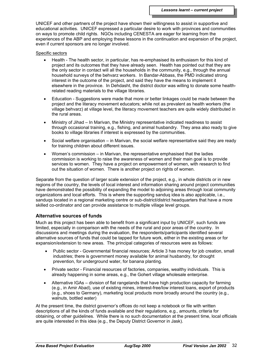UNICEF and other partners of the project have shown their willingness to assist in supportive and educational activities. UNICEF expressed a particular desire to work with provinces and communities on ways to promote child rights. NGOs including CENESTA are eager for learning from the experiences of the ABP and employing these lessons in the continuation and expansion of the project, even if current sponsors are no longer involved.

#### Specific sectors

- Health The health sector, in particular, has re-emphasised its enthusiasm for this kind of project and its outcomes that they have already seen. Health has pointed out that they are the only sector in contact will all the households in the community, e.g., through the annual household surveys of the behvarz workers. In Bandar-Abbass, the PMD indicated strong interest in the outcome of the project, and said they have the means to implement it elsewhere in the province. In Dehdasht, the district doctor was willing to donate some healthrelated reading materials to the village libraries.
- Education Suggestions were made that more or better linkages could be made between the project and the literacy movement educators; while not as prevalent as health workers (the village behvarz) at village level, the literacy movement teachers are quite widely distributed in the rural areas.
- Ministry of Jihad In Marivan, the Ministry representative indicated readiness to assist through occasional training, e.g., fishing, and animal husbandry. They area also ready to give books to village libraries if interest is expressed by the communities.
- Social welfare organisation in Marivan, the social welfare representative said they are ready for training children about different issues.
- Women's commission in Marivan, the representative emphasised that the ladies commission is working to raise the awareness of women and their main goal is to provide services to women. They have a project on empowerment of women, with research to find out the situation of women. There is another project on rights of women.

Separate from the question of larger scale extension of the project, e.g., in whole districts or in new regions of the country, the levels of local interest and information sharing around project communities have demonstrated the possibility of expanding the model to adjoining areas through local community organizations and local efforts. This is where the supporting sanduq idea is also applicable, i.e., sanduqs located in a regional marketing centre or sub-district/district headquarters that have a more skilled co-ordinator and can provide assistance to multiple village level groups.

## **Alternative sources of funds**

Much as this project has been able to benefit from a significant input by UNICEF, such funds are limited, especially in comparison with the needs of the rural and poor areas of the country. In discussions and meetings during the evaluation, the respondents/participants identified several alternative sources of funds that could be tapped for future work, either in the existing areas or for expansion/extension to new areas. The principal categories of resources were as follows:

- Public sector Governmental financial resources; Article 3 has money for job creation, small industries; there is government money available for animal husbandry, for drought prevention, for underground water, for banana planting.
- Private sector Financial resources of factories, companies, wealthy individuals. This is already happening in some areas, e.g., the Gohert village wholesale enterprise.
- Alternative IGAs division of flat rangelands that have high production capacity for farming (e.g., in Amir Abad), use of existing mines, interest-free/low interest loans, export of products (e.g., shoes to Germany), marketing local products more broadly around the country (e.g., walnuts, bottled water)

At the present time, the district governor's offices do not keep a notebook or file with written descriptions of all the kinds of funds available and their regulations, e.g., amounts, criteria for obtaining, or other guidelines. While there is no such documentation at the present time, local officials are quite interested in this idea (e.g., the Deputy District Governor in Jask).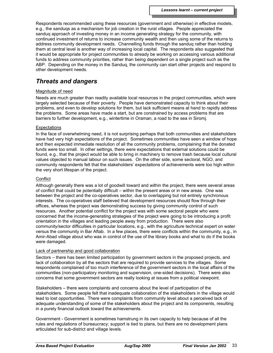Respondents recommended using these resources (government and otherwise) in effective models, e.g., the sanduqs as a mechanism for job creation in the rural villages. People appreciated the sanduq approach of investing money in an income generating strategy for the community, with continued investment of returns to increase community wealth and then using some of the returns to address community development needs. Channelling funds through the sanduq rather than holding them at central level is another way of increasing local capital. The respondents also suggested that it would be appropriate for project communities to already be working on accessing various additional funds to address community priorities, rather than being dependent on a single project such as the ABP. Depending on the money in the Sanduq, the community can start other projects and respond to other development needs.

## *Threats and dangers*

### Magnitude of need

Needs are much greater than readily available local resources in the project communities, which were largely selected because of their poverty. People have demonstrated capacity to think about their problems, and even to develop solutions for them, but lack sufficient means at hand to rapidly address the problems. Some areas have made a start, but are constrained by access problems that are barriers to further development, e.g., wintertime in Oraman, a road to the sea in Siromj.

### **Expectations**

In the face of overwhelming need, it is not surprising perhaps that both communities and stakeholders have had very high expectations of the project. Sometimes communities have seen a window of hope and then expected immediate resolution of all the community problems, complaining that the donated funds were too small. In other settings, there were expectations that external solutions could be found, e.g., that the project would be able to bring in machinery to remove trash because local cultural values objected to manual labour on such issues. On the other side, some sectoral, NGO, and community respondents felt that the stakeholders' expectations of achievements were too high within the very short lifespan of the project.

### **Conflict**

Although generally there was a lot of goodwill toward and within the project, there were several areas of conflict that could be potentially difficult – within the present areas or in new areas. One was between the project and the co-operatives sector, due to overlapping but not entirely synchronous interests. The co-operatives staff believed that development resources should flow through their offices, whereas the project was demonstrating success by giving community control of such resources. Another potential conflict for the project was with some sectoral people who were concerned that the income-generating strategies of the project were going to be introducing a profit orientation in the villages and leading people away from production. There were also community/sector difficulties in particular locations, e.g., with the agriculture technical expert on water versus the community in Bar Aftab. In a few places, there were conflicts within the community, e.g., in Amir-Abad village about who was in control of the use of the library books and what to do if the books were damaged.

## Lack of partnership and good collaboration

Sectors – there has been limited participation by government sectors in the proposed projects, and lack of collaboration by all the sectors that are required to provide services to the villages. Some respondents complained of too much interference of the government sectors in the local affairs of the communities (non-participatory monitoring and supervision, one-sided decisions). There were also concerns that some government sectors are really looking at issues from a political viewpoint.

Stakeholders – there were complaints and concerns about the level of participation of the stakeholders. Some people felt that inadequate collaboration of the stakeholders in the village would lead to lost opportunities. There were complaints from community level about a perceived lack of adequate understanding of some of the stakeholders about the project and its components, resulting in a purely financial outlook toward the achievements.

Government - Government is sometimes hamstrung in its own capacity to help because of all the rules and regulations of bureaucracy; support is tied to plans, but there are no development plans articulated for sub-district and village levels.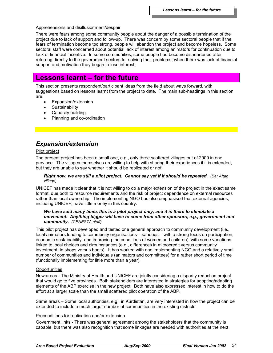### Apprehensions and disillusionment/despair

There were fears among some community people about the danger of a possible termination of the project due to lack of support and follow-up. There was concern by some sectoral people that if the fears of termination become too strong, people will abandon the project and become hopeless. Some sectoral staff were concerned about potential lack of interest among animators for continuation due to lack of financial incentive. In some communities, some people had become disheartened after referring directly to the government sectors for solving their problems; when there was lack of financial support and motivation they began to lose interest.

# **Lessons learnt – for the future**

This section presents respondent/participant ideas from the field about ways forward, with suggestions based on lessons learnt from the project to date. The main sub-headings in this section are:

- Expansion/extension
- **Sustainability**
- Capacity building
- Planning and co-ordination

# *Expansion/extension*

### Pilot project

The present project has been a small one, e.g., only three scattered villages out of 2000 in one province. The villages themselves are willing to help with sharing their experiences if it is extended, but they are unable to say whether it should be replicated or not.

#### *Right now, we are still a pilot project. Cannot say yet if it should be repeated. (Bar Aftab village)*

UNICEF has made it clear that it is not willing to do a major extension of the project in the exact same format, due both to resource requirements and the risk of project dependence on external resources rather than local ownership. The implementing NGO has also emphasised that external agencies, including UNICEF, have little money in this country.

### *We have said many times this is a pilot project only, and it is there to stimulate a movement. Anything bigger will have to come from other sponsors, e.g., government and community. (CENESTA staff)*

This pilot project has developed and tested one general approach to community development (i.e., local animators leading to community organisations – sanduqs – with a strong focus on participation, economic sustainability, and improving the conditions of women and children), with some variations linked to local choices and circumstances (e.g., differences in microcredit versus community investment, in shops versus boats). It has worked with one implementing NGO and a relatively small number of communities and individuals (animators and committees) for a rather short period of time (functionally implementing for little more than a year).

#### **Opportunities**

New areas - The Ministry of Health and UNICEF are jointly considering a disparity reduction project that would go to five provinces. Both stakeholders are interested in strategies for adopting/adapting elements of the ABP exercise in the new project. Both have also expressed interest in how to do the effort at a larger scale than the small scattered pilot operation of the ABP.

Same areas – Some local authorities, e.g., in Kurdistan, are very interested in how the project can be extended to include a much larger number of communities in the existing districts.

### Preconditions for replication and/or extension

Government links - There was general agreement among the stakeholders that the community is capable, but there was also recognition that some linkages are needed with authorities at the next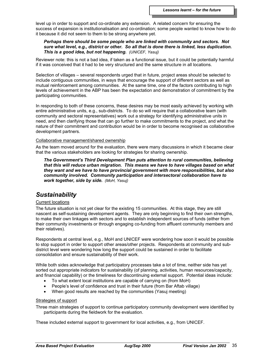level up in order to support and co-ordinate any extension. A related concern for ensuring the success of expansion is institutionalisation and co-ordination; some people wanted to know how to do it because it did not seem to them to be strong anywhere yet.

#### *Perhaps there should be some people who are linked with community and sectors. Not sure what level, e.g., district or other. So all that is done there is linked, less duplication. This is a good idea, but not happening. (UNICEF, Yasuj)*

Reviewer note: this is not a bad idea, if taken as a functional issue, but it could be potentially harmful if it was conceived that it had to be very structured and the same structure in all locations.

Selection of villages – several respondents urged that in future, project areas should be selected to include contiguous communities, in ways that encourage the support of different sectors as well as mutual reinforcement among communities. At the same time, one of the factors contributing to high levels of achievement in the ABP has been the expectation and demonstration of commitment by the participating communities.

In responding to both of these concerns, these desires may be most easily achieved by working with entire administrative units, e.g., sub-districts. To do so will require that a collaborative team (with community and sectoral representatives) work out a strategy for identifying administrative units in need, and then clarifying those that can go further to make commitments to the project, and what the nature of their commitment and contribution would be in order to become recognised as collaborative development partners.

#### Collaborative management/shared ownership

As the team moved around for the evaluation, there were many discussions in which it became clear that the various stakeholders are looking for strategies for sharing ownership.

*The Government's Third Development Plan puts attention to rural communities, believing that this will reduce urban migration. This means we have to have villages based on what they want and we have to have provincial government with more responsibilities, but also community involved. Community participation and intersectoral collaboration have to work together, side by side. (MoH, Yasuj)*

## *Sustainability*

#### Current locations

The future situation is not yet clear for the existing 15 communities. At this stage, they are still nascent as self-sustaining development agents. They are only beginning to find their own strengths, to make their own linkages with sectors and to establish independent sources of funds (either from their community investments or through engaging co-funding from affluent community members and their relatives).

Respondents at central level, e.g., MoH and UNICEF were wondering how soon it would be possible to stop support in order to support other areas/other projects. Respondents at community and subdistrict level were wondering how long the support could be sustained in order to facilitate consolidation and ensure sustainability of their work.

While both sides acknowledge that participatory processes take a lot of time, neither side has yet sorted out appropriate indicators for sustainability (of planning, activities, human resources/capacity, and financial capability) or the timeliness for discontinuing external support. Potential ideas include:

- To what extent local institutions are capable of carrying on (from MoH)
- People's level of confidence and trust in their future (from Bar Aftab village)
- When good results are reached by the communities (Yasuj meeting)

#### Strategies of support

Three main strategies of support to continue participatory community development were identified by participants during the fieldwork for the evaluation.

These included external support to government for local activities, e.g., from UNICEF.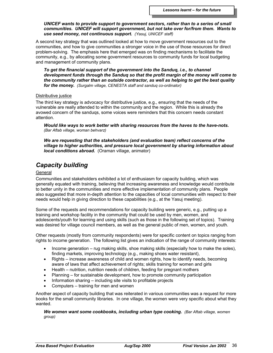#### *UNICEF wants to provide support to government sectors, rather than to a series of small communities. UNICEF will support government, but not take over for/from them. Wants to use seed money, not continuous support. (Yasuj, UNICEF staff)*

A second key strategy that was outlined looked at how to move government resources out to the communities, and how to give communities a stronger voice in the use of those resources for direct problem-solving. The emphasis here that emerged was on finding mechanisms to facilitate the community, e.g., by allocating some government resources to community funds for local budgeting and management of community plans.

*To get the financial support of the government into the Sanduq, i.e., to channel development funds through the Sanduq so that the profit margin of the money will come to the community rather than an outside contractor, as well as helping to get the best quality for the money. (Surgalm village, CENESTA staff and sanduq co-ordinator)*

#### Distributive justice

The third key strategy is advocacy for distributive justice, e.g., ensuring that the needs of the vulnerable are really attended to within the community and the region. While this is already the avowed concern of the sanduqs, some voices were reminders that this concern needs constant attention.

*Would like ways to work better with sharing resources from the haves to the have-nots. (Bar Aftab village, woman behvarz)*

*We are requesting that the stakeholders (and evaluation team) reflect concerns of the village to higher authorities, and pressure local government by sharing information about local conditions abroad.* (Oraman village, animator)

# *Capacity building*

#### **General**

Communities and stakeholders exhibited a lot of enthusiasm for capacity building, which was generally equated with training, believing that increasing awareness and knowledge would contribute to better unity in the communities and more effective implementation of community plans. People also suggested that more in-depth attention to the capacities of local communities with respect to their needs would help in giving direction to these capabilities (e.g., at the Yasuj meeting).

Some of the requests and recommendations for capacity building were generic, e.g., putting up a training and workshop facility in the community that could be used by men, women, and adolescents/youth for learning and using skills (such as those in the following set of topics). Training was desired for village council members, as well as the general public of men, women, and youth.

Other requests (mostly from community respondents) were for specific content on topics ranging from rights to income generation. The following list gives an indication of the range of community interests:

- Income generation rug making skills, shoe making skills (especially how to make the soles), finding markets, improving technology (e.g., making shoes water resistant),
- Rights increase awareness of child and women rights, how to identify needs, becoming aware of laws that affect achievement of rights; skills training for women and girls
- Health nutrition, nutrition needs of children, feeding for pregnant mothers
- Planning for sustainable development, how to promote community participation
- Information sharing including site visits to profitable projects
- Computers training for men and women

Another aspect of capacity building that was reiterated in various communities was a request for more books for the small community libraries. In one village, the women were very specific about what they wanted.

*We women want some cookbooks, including urban type cooking. (Bar Aftab village, women group)*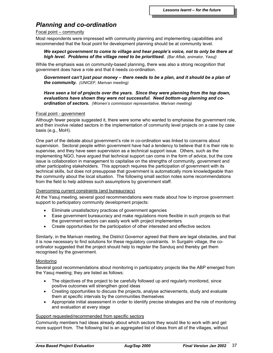## *Planning and co-ordination*

#### Focal point – community

Most respondents were impressed with community planning and implementing capabilities and recommended that the focal point for development planning should be at community level.

#### *We expect government to come to village and hear people's voice, not to only be there at high level. Problems of the village need to be prioritised. (Bar Aftab, animator, Yasuj)*

While the emphasis was on community-based planning, there was also a strong recognition that government does have a role and that it needs co-ordination.

*Government can't just pour money – there needs to be a plan, and it should be a plan of the community. (UNICEF, Marivan meeting)*

*Have seen a lot of projects over the years. Since they were planning from the top down, evaluations have shown they were not successful. Need bottom-up planning and coordination of sectors. (Women's commission representative, Marivan meeting)*

#### Focal point - government

Although fewer people suggested it, there were some who wanted to emphasise the government role, and then involve related sectors in the implementation of community level projects on a case by case basis (e.g., MoH).

One part of the debate about government's role in co-ordination was linked to concerns about supervision. Sectoral people within government have had a tendency to believe that it is their role to supervise, and they have seen supervision as a technical support issue. Others, such as the implementing NGO, have argued that technical support can come in the form of advice, but the core issue is collaboration in management to capitalise on the strengths of community, government and other participating stakeholders. This approach requires the participation of government with its technical skills, but does not presuppose that government is automatically more knowledgeable than the community about the local situation. The following small section notes some recommendations from the field to help address such assumptions by government staff.

#### Overcoming current constraints (and bureaucracy)

At the Yasuj meeting, several good recommendations were made about how to improve government support to participatory community development projects:

- Eliminate unsatisfactory practices of government agencies
- Ease government bureaucracy and make regulations more flexible in such projects so that the government sectors can easily work with project implementers
- Create opportunities for the participation of other interested and effective sectors

Similarly, in the Marivan meeting, the District Governor agreed that there are legal obstacles, and that it is now necessary to find solutions for these regulatory constraints. In Surgalm village, the coordinator suggested that the project should help to register the Sanduq and thereby get them recognised by the government.

### Monitoring

Several good recommendations about monitoring in participatory projects like the ABP emerged from the Yasuj meeting; they are listed as follows:

- The objectives of the project to be carefully followed up and regularly monitored, since positive outcomes will strengthen good ideas
- Creating opportunities to discuss the projects, analyse achievements, study and evaluate them at specific intervals by the communities themselves
- Appropriate initial assessment in order to identify precise strategies and the role of monitoring and evaluation at every stage

#### Support requested/recommended from specific sectors

Community members had ideas already about which sectors they would like to work with and get more support from. The following list is an aggregated list of ideas from all of the villages, without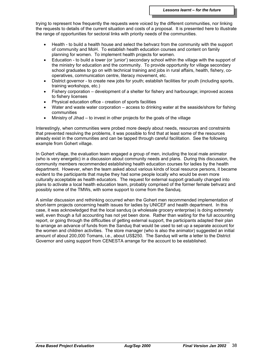trying to represent how frequently the requests were voiced by the different communities, nor linking the requests to details of the current situation and costs of a proposal. It is presented here to illustrate the range of opportunities for sectoral links with priority needs of the communities.

- Health to build a health house and select the behvarz from the community with the support of community and MoH. To establish health education courses and content on family planning for women. To implement health projects for women.
- Education to build a lower (or 'junior') secondary school within the village with the support of the ministry for education and the community. To provide opportunity for village secondary school graduates to go on with technical training and jobs in rural affairs, health, fishery, cooperatives, communication centre, literacy movement, etc.
- District governor to create new jobs for youth; establish facilities for youth (including sports, training workshops, etc.)
- Fishery corporation development of a shelter for fishery and harbourage; improved access to fishery licenses
- Physical education office creation of sports facilities
- Water and waste water corporation access to drinking water at the seaside/shore for fishing communities
- Ministry of Jihad to invest in other projects for the goals of the village

Interestingly, when communities were probed more deeply about needs, resources and constraints that prevented resolving the problems, it was possible to find that at least some of the resources already exist in the communities and can be tapped through careful facilitation. See the following example from Gohert village.

In Gohert village, the evaluation team engaged a group of men, including the local male animator (who is very energetic) in a discussion about community needs and plans. During this discussion, the community members recommended establishing health education courses for ladies by the health department. However, when the team asked about various kinds of local resource persons, it became evident to the participants that maybe they had some people locally who would be even more culturally acceptable as health educators. The request for external support gradually changed into plans to activate a local health education team, probably comprised of the former female behvarz and possibly some of the TMWs, with some support to come from the Sanduq.

A similar discussion and rethinking occurred when the Gohert men recommended implementation of short-term projects concerning health issues for ladies by UNICEF and health department. In this case, it was acknowledged that the local sanduq (a wholesale grocery enterprise) is doing extremely well, even though a full accounting has not yet been done. Rather than waiting for the full accounting report, or going through the difficulties of getting external support, the participants adapted their plan to arrange an advance of funds from the Sanduq that would be used to set up a separate account for the women and children activities. The store manager (who is also the animator) suggested an initial amount of about 200,000 Tomans, i.e., about US\$250. The Sanduq will write a letter to the District Governor and using support from CENESTA arrange for the account to be established.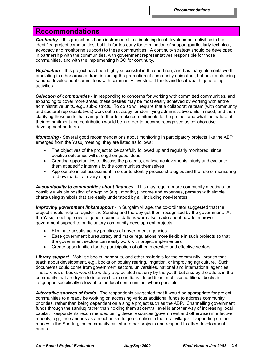# **Recommendations**

*Continuity* – this project has been instrumental in stimulating local development activities in the identified project communities, but it is far too early for termination of support (particularly technical, advocacy and monitoring support) to these communities. A continuity strategy should be developed in partnership with the communities, with government representatives responsible for those communities, and with the implementing NGO for continuity.

*Replication* – this project has been highly successful in the short run, and has many elements worth emulating in other areas of Iran, including the promotion of community animators, bottom-up planning, sanduq development committees with community investment funds and local wealth generating activities.

*Selection of communities* - In responding to concerns for working with committed communities, and expanding to cover more areas, these desires may be most easily achieved by working with entire administrative units, e.g., sub-districts. To do so will require that a collaborative team (with community and sectoral representatives) work out a strategy for identifying administrative units in need, and then clarifying those units that can go further to make commitments to the project, and what the nature of their commitment and contribution would be in order to become recognised as collaborative development partners.

*Monitoring* - Several good recommendations about monitoring in participatory projects like the ABP emerged from the Yasuj meeting; they are listed as follows:

- The objectives of the project to be carefully followed up and regularly monitored, since positive outcomes will strengthen good ideas
- Creating opportunities to discuss the projects, analyse achievements, study and evaluate them at specific intervals by the communities themselves
- Appropriate initial assessment in order to identify precise strategies and the role of monitoring and evaluation at every stage

*Accountability to communities about finances* - This may require more community meetings, or possibly a visible posting of on-going (e.g., monthly) income and expenses, perhaps with simple charts using symbols that are easily understood by all, including non-literates.

*Improving government links/support* - In Surgalm village, the co-ordinator suggested that the project should help to register the Sanduq and thereby get them recognised by the government. At the Yasuj meeting, several good recommendations were also made about how to improve government support to participatory community development projects:

- Eliminate unsatisfactory practices of government agencies
- Ease government bureaucracy and make regulations more flexible in such projects so that the government sectors can easily work with project implementers
- Create opportunities for the participation of other interested and effective sectors

*Library support* - Mobilise books, handouts, and other materials for the community libraries that teach about development, e.g., books on poultry rearing, irrigation, or improving agriculture. Such documents could come from government sectors, universities, national and international agencies. These kinds of books would be widely appreciated not only by the youth but also by the adults in the community that are trying to improve their conditions. In addition, mobilise additional books in languages specifically relevant to the local communities, where possible.

*Alternative sources of funds* - The respondents suggested that it would be appropriate for project communities to already be working on accessing various additional funds to address community priorities, rather than being dependent on a single project such as the ABP. Channelling government funds through the sanduq rather than holding them at central level is another way of increasing local capital. Respondents recommended using these resources (government and otherwise) in effective models, e.g., the sanduqs as a mechanism for job creation in the rural villages. Depending on the money in the Sanduq, the community can start other projects and respond to other development needs.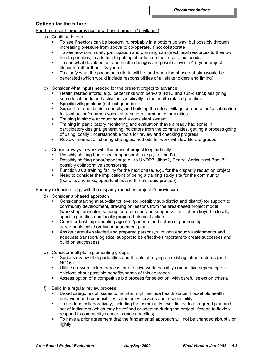## **Options for the future**

For the present three province area-based project (15 villages)

- a) Continue longer
	- To see if sectors can be brought in, probably in a bottom up way, but possibly through increasing pressure from above to co-operate, if not collaborate
	- To see how community participation and planning can direct local resources to their own health priorities, in addition to putting attention on their economic needs
	- To see what development and health changes are possible over a 4-5 year project lifespan (rather than  $1\frac{1}{2}$  years)
	- To clarify what the phase out criteria will be, and when the phase out plan would be generated (which would include responsibilities of all stakeholders and timing)
- b) Consider what inputs needed for the present project to advance
	- Health related efforts, e.g., better links with behvarz, RHC and sub-district; assigning some local funds and activities specifically to the health related priorities
	- Specific village plans (not just generic)
	- Support for sub-district councils, and building the role of village co-operation/collaboration for joint action/common voice, sharing ideas among communities
	- Training in simple accounting and a consistent system
	- Training in participatory monitoring and evaluation (have already had some in participatory design), generating indicators from the communities, getting a process going of using locally understandable tools for review and checking progress
	- Review information sharing strategies/methods for work with low literate groups
- c) Consider ways to work with the present project longitudinally
	- Possibly shifting home sector sponsorship (e.g., to Jihad?)
	- Possibly shifting donor/sponsor (e.g., to UNDP?, Jihad?, Central Agricultural Bank?); possibly collaborative sponsorship
	- Function as a training facility for the next phase, e.g., for the disparity reduction project
	- Need to consider the implications of being a training study site for the community (benefits and risks; opportunities and threats; quid pro quo)

### For any extension, e.g., with the disparity reduction project (5 provinces)

- d) Consider a phased approach
	- Consider starting at sub-district level (or possibly sub-district and district) for support to community development, drawing on lessons from the area-based project model (workshop, animator, sanduq, co-ordinator, and supportive facilitation) keyed to locally specific priorities and locally prepared plans of action
	- Consider best implementing agent(s)/partners and nature of partnership agreements/collaborative management plan
	- Assign carefully selected and prepared persons, with long enough assignments and adequate transport/logistical support to be effective (important to create successes and build on successes)
- e) Consider multiple implementing groups
	- Serious review of opportunities and threats of relying on existing infrastructures (and NGOs)
	- Utilise a reward linked process for effective work, possibly competitive depending on opinions about possible benefits/harms of this approach
	- Assess option of a competitive bid process for selection, with careful selection criteria
- f) Build in a regular review process
	- Broad categories of issues to monitor might include health status, household health behaviour and responsibility, community services and responsibility
	- To be done collaboratively, including the community level; linked to an agreed plan and set of indicators (which may be refined or adapted during the project lifespan to flexibly respond to community concerns and capacities)
	- To have a prior agreement that the fundamental approach will not be changed abruptly or lightly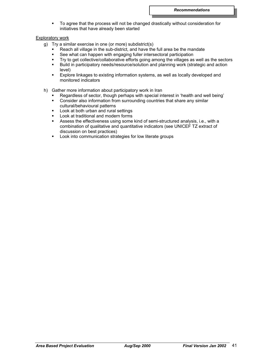To agree that the process will not be changed drastically without consideration for initiatives that have already been started

### Exploratory work

- g) Try a similar exercise in one (or more) subdistrict(s)
	- Reach all village in the sub-district, and have the full area be the mandate
	- **See what can happen with engaging fuller intersectoral participation**
	- Try to get collective/collaborative efforts going among the villages as well as the sectors
	- Build in participatory needs/resource/solution and planning work (strategic and action level)
	- Explore linkages to existing information systems, as well as locally developed and monitored indicators
- h) Gather more information about participatory work in Iran
	- Regardless of sector, though perhaps with special interest in 'health and well being'
	- Consider also information from surrounding countries that share any similar cultural/behavioural patterns
	- Look at both urban and rural settings
	- **Look at traditional and modern forms**
	- Assess the effectiveness using some kind of semi-structured analysis, i.e., with a combination of qualitative and quantitative indicators (see UNICEF TZ extract of discussion on best practices)
	- **EXECT** Look into communication strategies for low literate groups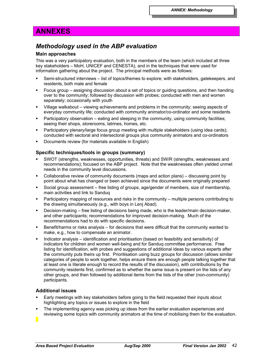# **ANNEXES**

## *Methodology used in the ABP evaluation*

## **Main approaches**

This was a very participatory evaluation, both in the members of the team (which included all three key stakeholders – MoH, UNICEF and CENESTA), and in the techniques that were used for information gathering about the project. The principal methods were as follows:

- Semi-structured interviews list of topics/themes to explore; with stakeholders, gatekeepers, and residents, both male and female
- Focus group assigning discussion about a set of topics or guiding questions, and then handing over to the community; followed by discussion with probes; conducted with men and women separately; occasionally with youth
- Village walkabout viewing achievements and problems in the community; seeing aspects of everyday community life; conducted with community animator/co-ordinator and some residents
- Participatory observation eating and sleeping in the community, using community facilities; seeing their shops, storerooms, latrines, homes, etc.
- Participatory plenary/large focus group meeting with multiple stakeholders (using idea cards); conducted with sectoral and intersectoral groups plus community animators and co-ordinators
- Documents review (for materials available in English)

## **Specific techniques/tools in groups (summary)**

- SWOT (strengths, weaknesses, opportunities, threats) and SW/R (strengths, weaknesses and recommendations); focused on the ABP project. Note that the weaknesses often yielded unmet needs in the community level discussions.
- Collaborative review of community documents (maps and action plans) discussing point by point about what has changed or been achieved since the documents were originally prepared
- Social group assessment free listing of groups, age/gender of members, size of membership, main activities and link to Sanduq
- Participatory mapping of resources and risks in the community multiple persons contributing to the drawing simultaneously (e.g., with boys in Lenj Abad).
- Decision-making free listing of decisions being made, who is the leader/main decision-maker, and other participants; recommendations for improved decision-making. Much of the recommendations had to do with specific decisions.
- Benefit/harms or risks analysis for decisions that were difficult that the community wanted to make, e.g., how to compensate an animator.
- Indicator analysis identification and prioritisation (based on feasibility and sensitivity) of indicators for children and women well-being and for Sanduq committee performance. Free listing for identification, with probes and suggestions of additional ideas by various experts after the community puts theirs up first. Prioritisation using buzz groups for discussion (allows similar categories of people to work together, helps ensure there are enough people talking together that at least one is literate enough to record the results of the discussion), with contributions by the community residents first, confirmed as to whether the same issue is present on the lists of any other groups, and then followed by additional items from the lists of the other (non-community) participants.

## **Additional issues**

- Early meetings with key stakeholders before going to the field requested their inputs about highlighting any topics or issues to explore in the field
- The implementing agency was picking up ideas from the earlier evaluation experiences and reviewing some topics with community animators at the time of mobilising them for the evaluation.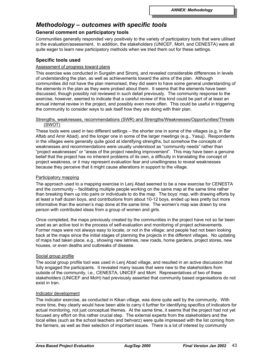## *Methodology – outcomes with specific tools*

## **General comment on participatory tools**

Communities generally responded very positively to the variety of participatory tools that were utilised in the evaluation/assessment. In addition, the stakeholders (UNICEF, MoH, and CENESTA) were all quite eager to learn new participatory methods when we tried them out for these settings.

## **Specific tools used**

### Assessment of progress toward plans

This exercise was conducted in Surgalm and Siromj, and revealed considerable differences in levels of understanding the plan, as well as achievements toward the aims of the plan. Although communities did not have the plan memorised, they did seem to have some general understanding of the elements in the plan as they were probed about them. It seems that the elements have been discussed, though possibly not reviewed in such detail previously. The community response to the exercise, however, seemed to indicate that a careful review of this kind could be part of at least an annual internal review in the project, and possibly even more often. This could be useful in triggering the community to consider ways to ask itself how they are doing with their plan.

#### Strengths, weaknesses, recommendations (SWR) and Strengths/Weaknesses/Opportunities/Threats (SWOT)

These tools were used in two different settings – the shorter one in some of the villages (e.g, in Bar Aftab and Amir Abad), and the longer one in some of the larger meetings (e.g., Yasuj). Respondents in the villages were generally quite good at identifying strengths, but somehow the concepts of weaknesses and recommendations were usually understood as "community needs" rather than "project weaknesses" or "areas of the project needing improvement". This may have been a genuine belief that the project has no inherent problems of its own, a difficulty in translating the concept of project weakness, or it may represent evaluation fear and unwillingness to reveal weaknesses because they perceive that it might cause alterations in support to the village.

### Participatory mapping

The approach used to a mapping exercise in Lenj Abad seemed to be a new exercise for CENESTA and the community – facilitating multiple people working on the same map at the same time rather than breaking them up into pairs or individuals to do the map. The boys' map, with drawing efforts by at least a half dozen boys, and contributions from about 10-12 boys, ended up less pretty but more informative than the women's map done at the same time. The women's map was drawn by one person with contributed ideas from a group of women and girls.

Once completed, the maps previously created by the communities in the project have not so far been used as an active tool in the process of self-evaluation and monitoring of project achievements. Former maps were not always easy to locate, or not in the village; and people had not been looking back at the maps since the initial stages of planning the projects in the different villages. No updating of maps had taken place, e.g., showing new latrines, new roads, home gardens, project stores, new houses, or even deaths and outbreaks of disease.

#### Social group profile

The social group profile tool was used in Lenj Abad village, and resulted in an active discussion that fully engaged the participants. It revealed many issues that were new to the stakeholders from outside of the community, i.e., CENESTA, UNICEF and MoH. Representatives of two of these stakeholders (UNICEF and MoH) had previously asserted that community based organisations do not exist in Iran.

#### Indicator development

The indicator exercise, as conducted in Kikan village, was done quite well by the community. With more time, they clearly would have been able to carry it further for identifying specifics of indicators for actual monitoring, not just conceptual themes. At the same time, it seems that the project had not yet focused any effort on this rather crucial step. The external experts from the stakeholders and the local elites (such as the school teachers and behvarz) were quite impressed with the list coming from the farmers, as well as their selection of important issues. There is a lot of interest by community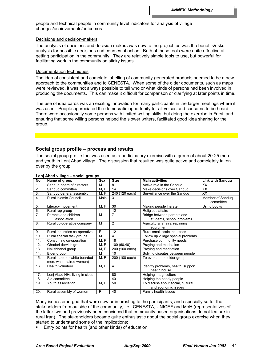people and technical people in community level indicators for analysis of village changes/achievements/outcomes.

#### Decisions and decision-makers

The analysis of decisions and decision makers was new to the project, as was the benefits/risks analysis for possible decisions and courses of action. Both of these tools were quite effective at getting participation in the community. They are relatively simple tools to use, but powerful for facilitating work in the community on sticky issues.

#### Documentation techniques

The idea of consistent and complete labelling of community-generated products seemed to be a new approach to the communities and to CENESTA. When some of the older documents, such as maps were reviewed, it was not always possible to tell who or what kinds of persons had been involved in producing the documents. This can make it difficult for comparison or clarifying at later points in time.

The use of idea cards was an exciting innovation for many participants in the larger meetings where it was used. People appreciated the democratic opportunity for all voices and concerns to be heard. There were occasionally some persons with limited writing skills, but doing the exercise in Farsi, and ensuring that some willing persons helped the slower writers, facilitated good idea sharing for the group.

### **Social group profile – process and results**

The social group profile tool was used as a participatory exercise with a group of about 20-25 men and youth in Lenj Abad village. The discussion that resulted was quite active and completely taken over by the group.

| No.              | Name of group                                            | <b>Sex</b> | <b>Size</b>     | <b>Main activities</b>                                  | <b>Link with Sandug</b>       |
|------------------|----------------------------------------------------------|------------|-----------------|---------------------------------------------------------|-------------------------------|
| 1.               | Sandug board of directors                                | М          | 8               | Active role in the Sanduq                               | XX                            |
| 2.               | Sandug committee                                         | M, F       | 14              | Make decisions over Sandug                              | XX                            |
| $\overline{3}$ . | Sanduq general assembly                                  | M, F       | 240 (120 each)  | Surveillance over the Sandug                            | <b>XX</b>                     |
| $\overline{4}$ . | Rural Islamic Council                                    | Male       | 3               |                                                         | Member of Sandug<br>committee |
| 5.               | Literacy movement                                        | M, F       | 30              | Making people literate                                  | Using books                   |
| 6.               | Rural rep group                                          |            | 12              | Religious affairs                                       |                               |
| 7 <sub>1</sub>   | Parents and children<br>association                      | M          | $\overline{7}$  | Bridge between parents and<br>students, school problems |                               |
| 8.               | Rural co-operative company                               | M          | $\overline{2}$  | Agricultural affairs, repairing<br>equipment            |                               |
| 9.               | Rural industries co-operative                            | F          | 12              | Rural small scale industries                            |                               |
| 10.              | Rural special task groups                                | M          | 4               | Follow up village special problems                      |                               |
| 11.              | Consuming co-operation                                   | M, F       | 18              | Purchase community needs                                |                               |
| 12.              | Ghaderi dervish group                                    | M, F       | 100 (60,40)     | Praying and meditation                                  |                               |
| 13.              | Nakshbandi group                                         | M.F        | 200 (100 each)  | Praying and meditation                                  |                               |
| 14.              | Elder group                                              | M          | 10 <sup>1</sup> | Solving disputes between people                         |                               |
| 15.              | Rural leaders (white bearded<br>men, white haired women) | M, F       | 200 (100 each)  | To oversee the elder group                              |                               |
| 16.              | Health volunteer                                         | M, F       | 4               | Identify problems, health, support<br>health house      |                               |
| 17.              | Lenj Abad HHs living in cities                           |            | 80              | Helping in agriculture                                  |                               |
| 18.              | Aid committee                                            |            | 40              | Helping the needy people                                |                               |
| 19.              | Youth association                                        | M, F       | 50              | To discuss about social, cultural                       |                               |
|                  |                                                          |            |                 | and economic issues                                     |                               |
| 20.              | Rural assembly of women                                  | F          | 40              | Family health issues                                    |                               |

#### **Lenj Abad village – social groups**

Many issues emerged that were new or interesting to the participants, and especially so for the stakeholders from outside of the community, i.e., CENESTA, UNICEF and MoH (representatives of the latter two had previously been convinced that community based organisations do not feature in rural Iran). The stakeholders became quite enthusiastic about the social group exercise when they started to understand some of the implications:

Entry points for health (and other kinds) of education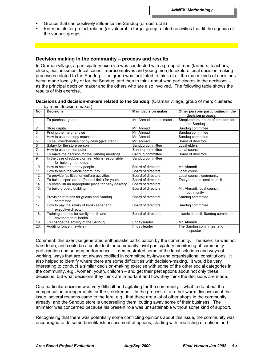- Groups that can positively influence the Sanduq (or obstruct it)
- Entry points for project-related (or vulnerable target group related) activities that fit the agenda of the various groups

#### **Decision making in the community – process and results**

In Oraman village, a participatory exercise was conducted with a group of men (farmers, teachers, elders, businessmen, local council representatives and young men) to explore local decision making processes related to the Sanduq. The group was facilitated to think of all the major kinds of decisions being made locally by or for the Sanduq, and then to think about who participates in the decisions – as the principal decision maker and the others who are also involved. The following table shows the results of this exercise.

#### **Decisions and decision-makers related to the Sanduq** (Oraman village, group of men; clustered by main decision-maker)

| No.             | ~ , a ~~~~~~~ a<br><b>Decisions</b>                            | <b>Main decision maker</b> | Other persons participating in the<br>decision process |
|-----------------|----------------------------------------------------------------|----------------------------|--------------------------------------------------------|
| 1.              | To purchase goods                                              | Mr. Ahmadi, the animator   | Shopkeepers, board of directors for<br>the Sanduq      |
| 2.              | Store capital                                                  | Mr. Ahmadi                 |                                                        |
| 3.              | Pricing the merchandise                                        | Mr. Ahmadi                 | Sanduq committee<br>Sandug committee                   |
| 4.              |                                                                | Mr. Ahmadi                 | Sanduq committee                                       |
| 5.              | How to use the copy machine                                    | Mr. Ahmadi                 | Board of directors                                     |
|                 | To sell merchandise not by cash (give credit)                  |                            |                                                        |
| 6.              | Salary for the store person                                    | Sanduq committee           | Local elders                                           |
| 7.              | How to use the computer                                        | Sanduq committee           | Local council                                          |
| 8.              | To make the decision for the Sanduq meetings                   | Sandug committee           | Board of directors                                     |
| 9.              | In the case of robbery or fire, who is responsible             | Sandug committee           |                                                        |
|                 | for helping the needy                                          |                            |                                                        |
| 10.             | How to help the needy people                                   | Board of directors         | Mr. Ahmadi                                             |
| 11.             | How to help the whole community                                | Board of directors         | Local council                                          |
| 12.             | To provide facilities for welfare activities                   | Board of directors         | Local council, community                               |
| 13.             | To build a sport arena (football field) for youth              | Board of directors         | The youth, the local council                           |
| 14.             | To establish an appropriate place for baby delivery            | Board of directors         |                                                        |
| 15.             | To build grocery building                                      | Board of directors         | Mr. Ahmadi, local council,<br>community                |
| 16.             | Provision of funds for guests and Sanduq<br>committee          | Board of directors         | Sanduq committee                                       |
| 17 <sub>1</sub> | How to pay the salary of bookkeeper and<br>executive director  | Board of directors         | Sanduq committee                                       |
| 18.             | Training courses for family health and<br>environmental health | Board of directors         | Islamic council, Sanduq committee                      |
| 19.             | To change the activity of the Sanduq                           | Friday leader              | Mr. Ahmadi                                             |
| 20.             | Auditing (once in awhile)                                      | Friday leader              | The Sandug committee, and<br>inspector                 |

Comment: this exercise generated enthusiastic participation by the community. The exercise was not hard to do, and could be a useful tool for community level participatory monitoring of community participation and sanduq performance. It demonstrated some of the local solutions and ways of working, ways that are not always codified in committee by-laws and organisational constitutions. It also helped to identify where there are some difficulties with decision-making. It would be very interesting to conduct a similar decision-making exercise with some of the other social categories in the community, e.g., women, youth, children – and get their perceptions about not only these decisions, but what decisions they think are important and how they think the decisions are made.

One particular decision was very difficult and agitating for the community – what to do about the compensation arrangements for the storekeeper. In the process of a rather warm discussion of the issue, several reasons came to the fore, e.g., that there are a lot of other shops in the community already, and the Sanduq store is underselling them, cutting away some of their business. The animator was concerned because his present role was unsustainable without some kind of support.

Recognising that there was potentially some conflicting opinions about this issue, the community was encouraged to do some benefit/risk assessment of options, starting with free listing of options and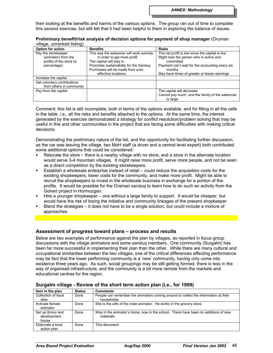then looking at the benefits and harms of the various options. The group ran out of time to complete this second exercise, but still felt that it had been helpful to them in exploring the balance of issues.

| villaye, urillarineg iistiriy)                                                       |                                                                                                                                                                                                           |                                                                                                                                                                                                                     |
|--------------------------------------------------------------------------------------|-----------------------------------------------------------------------------------------------------------------------------------------------------------------------------------------------------------|---------------------------------------------------------------------------------------------------------------------------------------------------------------------------------------------------------------------|
| Option for action                                                                    | <b>Benefits</b>                                                                                                                                                                                           | <b>Risks</b>                                                                                                                                                                                                        |
| Pay the storekeeper<br>(animator) from the<br>profits of the store (a<br>percentage) | This way the salesman will work actively<br>in order to get more profit<br>The capital will stay in<br>Promotes sustainability for the Sanduq<br>Purchases will be made from cost-<br>effective locations | The net profit is low since the capital is low<br>Might lose the person who is active and<br>committed<br>Payment can't wait for the accounting every six<br>months<br>May have times of greater or lesser earnings |
| Increase the capital                                                                 |                                                                                                                                                                                                           |                                                                                                                                                                                                                     |
| Get voluntary contributions<br>from others in community                              |                                                                                                                                                                                                           |                                                                                                                                                                                                                     |
| Pay from the capital                                                                 |                                                                                                                                                                                                           | The capital will decrease<br>Cannot pay much, and the family of the salesman<br>is large                                                                                                                            |

**Preliminary benefit/risk analysis of decision options for payment of shop manager** (Oruman village, unranked listing)

Comment: this list is still incomplete, both in terms of the options available, and for filling in all the cells in the table, i.e., all the risks and benefits attached to the options. At the same time, the interest generated by the exercise demonstrated a strategy for conflict resolution/problem solving that may be useful in this and other communities in the project that are facing some difficulties with making critical decisions.

Demonstrating the preliminary nature of the list, and the opportunity for facilitating further discussion, as the car was leaving the village, two MoH staff (a driver and a central level expert) both contributed some additional options that could be considered:

- Relocate the store there is a nearby village with no store, and a store in the alternate location would serve 3-4 mountain villages. It might raise more profit, serve more people, and not be seen as a direct competition by the existing storekeepers.
- Establish a wholesale enterprise instead of retail could reduce the acquisition costs for the existing shopkeepers, lower costs for the community, and make more profit. Might be able to recruit the shopkeepers to invest in the wholesale business in exchange for a portion of the profits. It would be possible for the Oraman sanduq to learn how to do such an activity from the Gohert project in Hormozgan.
- Hire a younger shopkeeper one without a large family to support. It would be cheaper, but would have the risk of losing the initiative and community linkages of the present shopkeeper
- Blend the strategies it does not have to be a single solution, but could include a mixture of approaches.

## **Assessment of progress toward plans – process and results**

Below are two examples of performance against the plan by villages, as reported in focus group discussions with the village animators and some sanduq members. One community (Surgalm) has been far more successful in implementing their plan than the other. While there are many cultural and occupational similarities between the two villages, one of the critical differences affecting performance may be fact that the lower performing community is a 'new' community, having only come into existence three years ago. As such, social groupings may be still getting formed, there is less in the way of organised infrastructure, and the community is a bit more remote from the markets and educational centres for the region.

| Item in the plan                           | <b>Status</b> | <b>Comments</b>                                                                                 |
|--------------------------------------------|---------------|-------------------------------------------------------------------------------------------------|
| Collection of local                        | Done          | People can remember the animators coming around to collect the information at their             |
| data                                       |               | households                                                                                      |
| Activate female                            | Done          | She is the wife of the male animator. He works in the grocery store.                            |
| animator                                   |               |                                                                                                 |
| Set up library and<br>development<br>house | Done          | Was in the animator's home, now in the school. There have been no additions of new<br>materials |
| Elaborate a local<br>action plan           | Done          | This document                                                                                   |

## **Surgalm village - Review of the short term action plan (i.e., for 1999)**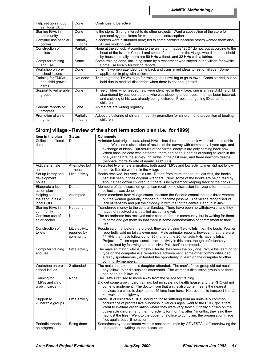| Help set up sandug<br>as local CBO | Done      | Continues to be active                                                                        |
|------------------------------------|-----------|-----------------------------------------------------------------------------------------------|
| Starting IGAs in                   | Done      | Is the store. Strong interest to do other projects. Want a subsection of the store for        |
| community                          |           | personal hygiene items for women and contraception                                            |
| Continue use of solar              | Partially | 7 cookers were distributed here; led to some conflicts because others wanted them also.       |
| cooker                             | done      | All are working well                                                                          |
| Construction of                    | Partially | None at the school. According to the animator, maybe "20%" do not; but according to the       |
| toilets                            | done      | head of the Islamic Council and some of the others in the village who did a household         |
|                                    |           | by household tally, there are 50 HHs without, and 32 HHs with a latrine.                      |
| Computer training                  | Some      | Some training done, including some by a researcher who stayed in the village for awhile.      |
| and use                            |           | Some use locally for writing reports                                                          |
| Workshop on pre-                   | Done      | 3 men, 3 women attended, came back and transferred ideas to rest of village. Some             |
| school issues                      |           | application in play with children                                                             |
| Training for TMWs                  | Not done  | Tried to get the TMWs to go for training, but unwilling to go to town. Cards started, but on  |
| and child growth                   |           | hold due to medical discomfort when there is not enough staff                                 |
| cards                              |           |                                                                                               |
| Support to vulnerable              | Done      | Three children who needed help were identified in the village; one is a 'tree child', a child |
| groups                             |           | abandoned by outsider parents who was sleeping under trees – he has been fostered,            |
|                                    |           | and a sibling of his was already being fostered. Problem of getting ID cards for the          |
|                                    |           | children.                                                                                     |
| Periodic reports on                | Done      | Animators are writing regularly                                                               |
| progress                           |           |                                                                                               |
| Promotion of child                 | Partially | Adoption/fostering of children. Identity promotion for children, and prevention of beating    |
| rights                             | done      | children                                                                                      |

## **Siromj village - Review of the short term action plan (i.e., for 1999)**

| Item in the plan    | <b>Status</b>   | <b>Comments</b>                                                                                                          |
|---------------------|-----------------|--------------------------------------------------------------------------------------------------------------------------|
| Collection of local | Done            | Animator kept original data about HHs - has data in a notebook with assistance of his                                    |
| data                |                 | son. Was some discussion of results of the survey with community 1 year ago, and                                         |
|                     |                 | exchange of ideas. But results of the formal analysis are only coming back now.                                          |
|                     |                 | When baseline data was gathered, there had been 7 deaths of young children in the                                        |
|                     |                 | one year before the survey. 11 births in the past year, and three newborn deaths                                         |
|                     |                 | (neonatal mortality rate of nearly 300/1000)                                                                             |
| Activate female     | Attempted but   | Recruited two female animators, both aged TMWs and low activity; men did not follow-                                     |
| animator            | none            | up. No literate women in the village                                                                                     |
| Set up library and  | Little activity | Books received, but very little use. Report from team that on the last visit, the books                                  |
| development         |                 | had still been in their original wrappers. Now, some of the books are being read by                                      |
| house               |                 | about a half dozen children, but there is no system for keeping track of the books.                                      |
| Elaborate a local   | Done            | Members of the discussion group can recall some discussion last year after the data                                      |
| action plan         |                 | collection was done.                                                                                                     |
| Helping set up      | Attempted       | Some members from village council became the Sanduq committee plus three women,                                          |
| the sandug as a     |                 | but the women gradually dropped out/became passive. The village recognised its                                           |
| local CBO           |                 | lack of capacity and put their money in with that of the central Sanduq in Jask.                                         |
| Starting IGAs in    | Not done        | Transferred money to the central Sandug. There have been no withdrawals, and they                                        |
| community           |                 | have not received any detailed accounting yet.                                                                           |
| Continue use of     | Not done        | The co-ordinator has received solar cookers for this community, but is waiting for them                                  |
| solar cooker        |                 | to come and get them so that there is some demonstration of commitment to their                                          |
|                     |                 | use.                                                                                                                     |
| Construction of     | Little activity | People said that before the project, they were using 'field toilets', i.e., the bush. Women                              |
| toilets             | reported by     | reportedly said no toilets even now. Male animator reports, however, that there are                                      |
|                     | community       | 11 HHs that have toilets out of 35 (none of the 20 nomadic HHs have toilets).                                            |
|                     |                 | Project staff also report considerable activity in this area, though unfortunately                                       |
|                     |                 | constrained by following an expensive 'Pakistani' toilet model.                                                          |
| Computer training   | Little activity | The male animator, who is mostly illiterate, has been the only one. While his learning to                                |
| and use             |                 | type on the computer is a remarkable achievement, some other communities had                                             |
|                     |                 | already spontaneously extended the opportunity to learn on the computer to other                                         |
|                     |                 | community members.                                                                                                       |
| Workshop on pre-    | 2 attended      | The male animator and his daughter attended. The men's focus group did not recall                                        |
| school issues       |                 | any follow-up or discussions afterwards. The women's discussion group also there                                         |
|                     |                 | had been no follow-up.                                                                                                   |
| Training for        | None            | The TMWs refused to move away from the village for training                                                              |
| TMWs and child      |                 | Did get some growth card training, but no scale, no health house, and the RHC did not                                    |
| growth cards        |                 | come to implement. The doctor from that unit is also gone; means the nearest                                             |
|                     |                 | services are close to Jask, about 45 kms from here. Nearest public transport is a 1/2                                    |
|                     |                 | km walk to the highway                                                                                                   |
| Support to          | Little activity | Made list of vulnerable HHs, including those suffering from an unusually common                                          |
| vulnerable groups   |                 | occurrence of progressive blindness in various ages; went to the RHC, got letters.                                       |
|                     |                 | Went to Welfare organisation where they were very slow but finally did files on the                                      |
|                     |                 | vulnerable children, and then no activity for months; after 7 months, they said they                                     |
|                     |                 | had lost the files. Went to the governor's office to complain; the organisation made<br>files again, but still no action |
| Periodic reports    | Being done      | Sometimes by the animator with his son; sometimes by CENESTA staff interviewing the                                      |
| on progress         |                 | animator and writing up the discussion                                                                                   |
|                     |                 |                                                                                                                          |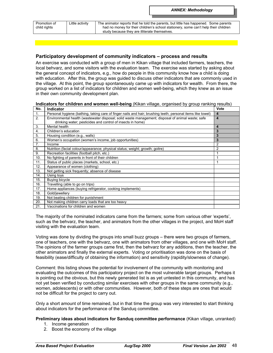| Promotion of |  |
|--------------|--|
| child rights |  |

Little activity  $\Box$  The animator reports that he told the parents, but little has happened. Some parents had no money for their children's school stationery, some can't help their children study because they are illiterate themselves.

## **Participatory development of community indicators – process and results**

An exercise was conducted with a group of men in Kikan village that included farmers, teachers, the local behvarz, and some visitors with the evaluation team. The exercise was started by asking about the general concept of indicators, e.g., how do people in this community know how a child is doing with education. After this, the group was guided to discuss other indicators that are commonly used in the village. At this point, the group spontaneously came up with indicators for wealth. From there, the group worked on a list of indicators for children and women well-being, which they knew as an issue in their own community development plan.

**Indicators for children and women well-being** (Kikan village, organised by group ranking results) **No. Indicator Vote**

| IVV. | πιαισαισι                                                                                                   | v v l c                 |
|------|-------------------------------------------------------------------------------------------------------------|-------------------------|
| 1.   | Personal hygiene (bathing, taking care of finger nails and hair; brushing teeth; personal items like towel) | 4                       |
| 2.   | Environmental health (wastewater disposal; solid waste management; disposal of animal waste; safe           | $\overline{\mathbf{4}}$ |
|      | drinking water; pesticides and control of insects in home)                                                  |                         |
| 3.   | Mental health                                                                                               | 4                       |
| 4.   | Children's education                                                                                        | 3                       |
| 5.   | Housing condition (e.g., walls)                                                                             | 3                       |
| 6.   | Women's occupation (women's income, job opportunities)                                                      | 3                       |
| 7.   | Income                                                                                                      | $\overline{2}$          |
| 8.   | Nutrition (facial colour/appearance; physical status; weight; growth; goitre)                               | 2                       |
| 9.   | Recreation facilities (football pitch, etc.)                                                                | 1                       |
| 10.  | No fighting of parents in front of their children                                                           | 1                       |
| 11.  | Status of public places (markets, school, etc.)                                                             | 1                       |
| 12.  | Appearance of women (clothing)                                                                              |                         |
| 13.  | Not getting sick frequently; absence of disease                                                             |                         |
| 14.  | Using toys                                                                                                  |                         |
| 15.  | Buying bicycle                                                                                              |                         |
| 16.  | Travelling (able to go on trips)                                                                            |                         |
| 17.  | Home appliances (buying refrigerator, cooking implements)                                                   |                         |
| 18.  | Gold/jewellery                                                                                              |                         |
| 19.  | Not beating children for punishment                                                                         |                         |
| 20.  | Not making children carry loads that are too heavy                                                          |                         |
| 21.  | Vaccinations for children and women                                                                         |                         |

The majority of the nominated indicators came from the farmers; some from various other 'experts', such as the behvarz, the teacher, and animators from the other villages in the project, and MoH staff visiting with the evaluation team.

Voting was done by dividing the groups into small buzz groups – there were two groups of farmers, one of teachers, one with the behvarz, one with animators from other villages, and one with MoH staff. The opinions of the farmer groups came first, then the behvarz for any additions, then the teacher, the other animators and finally the external experts. Voting or prioritisation was done on the basis of feasibility (ease/difficulty of obtaining the information) and sensitivity (rapidity/slowness of change).

Comment: this listing shows the potential for involvement of the community with monitoring and evaluating the outcomes of this participatory project on the most vulnerable target groups. Perhaps it is pointing out the obvious, but this newly generated list is as yet untested in this community, and has not yet been verified by conducting similar exercises with other groups in the same community (e.g., women, adolescents) or with other communities. However, both of these steps are ones that would not be difficult for the project to carry out.

Only a short amount of time remained, but in that time the group was very interested to start thinking about indicators for the performance of the Sanduq committee.

#### **Preliminary ideas about indicators for Sanduq committee performance** (Kikan village, unranked)

- 1. Income generation
- 2. Boost the economy of the village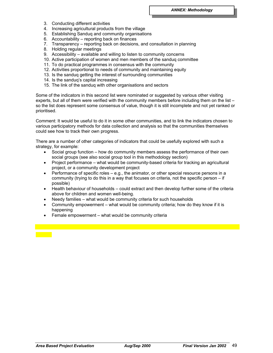- 3. Conducting different activities
- 4. Increasing agricultural products from the village
- 5. Establishing Sanduq and community organisations
- 6. Accountability reporting back on finances
- 7. Transparency reporting back on decisions, and consultation in planning
- 8. Holding regular meetings
- 9. Accessibility available and willing to listen to community concerns
- 10. Active participation of women and men members of the sanduq committee
- 11. To do practical programmes in consensus with the community
- 12. Activities proportional to needs of community and maintaining equity
- 13. Is the sanduq getting the interest of surrounding communities
- 14. Is the sanduq's capital increasing
- 15. The link of the sanduq with other organisations and sectors

Some of the indicators in this second list were nominated or suggested by various other visiting experts, but all of them were verified with the community members before including them on the list – so the list does represent some consensus of value, though it is still incomplete and not yet ranked or prioritised.

Comment: It would be useful to do it in some other communities, and to link the indicators chosen to various participatory methods for data collection and analysis so that the communities themselves could see how to track their own progress.

There are a number of other categories of indicators that could be usefully explored with such a strategy, for example:

- Social group function how do community members assess the performance of their own social groups (see also social group tool in this methodology section)
- Project performance what would be community-based criteria for tracking an agricultural project, or a community development project
- Performance of specific roles e.g., the animator, or other special resource persons in a community (trying to do this in a way that focuses on criteria, not the specific person – if possible)
- Health behaviour of households could extract and then develop further some of the criteria above for children and women well-being.
- Needy families what would be community criteria for such households
- Community empowerment what would be community criteria; how do they know if it is happening
- Female empowerment what would be community criteria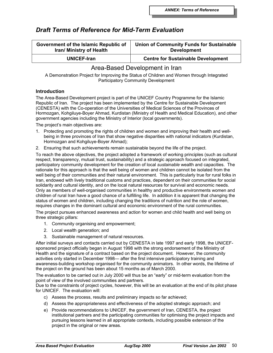# *Draft Terms of Reference for Mid-Term Evaluation*

| Government of the Islamic Republic of | <b>Union of Community Funds for Sustainable</b> |
|---------------------------------------|-------------------------------------------------|
| Iran/ Ministry of Health              | <b>Development</b>                              |
| <b>UNICEF-Iran</b>                    | <b>Centre for Sustainable Development</b>       |

## Area-Based Development in Iran

A Demonstration Project for Improving the Status of Children and Women through Integrated Participatory Community Development

## **Introduction**

The Area-Based Development project is part of the UNICEF Country Programme for the Islamic Republic of Iran. The project has been implemented by the Centre for Sustainable Development (CENESTA) with the Co-operation of the Universities of Medical Sciences of the Provinces of Hormozgan, Kohgiluye-Boyer Ahmad, Kurdistan (Ministry of Health and Medical Education), and other government agencies including the Ministry of Interior (local governments).

The project's main objectives are:

- 1. Protecting and promoting the rights of children and women and improving their health and wellbeing in three provinces of Iran that show negative disparities with national indicators (Kurdistan, Hormozgan and Kohgiluye-Boyer Ahmad);
- 2. Ensuring that such achievements remain sustainable beyond the life of the project.

To reach the above objectives, the project adopted a framework of working principles (such as cultural respect, transparency, mutual trust, sustainability) and a strategic approach focused on integrated, participatory community development for the creation of local *sustainable* wealth and capacities. The rationale for this approach is that the well being of women and children cannot be isolated from the well being of their communities and their natural environment. This is particularly true for rural folks in Iran, endowed with lively traditional customs and practices, dependent on their communities for social solidarity and cultural identity, and on the local natural resources for survival and economic needs. Only as members of well-organised communities in healthy and productive environments women and children of rural Iran have a good chance of a fulfilling life. In addition it is apparent that changing the status of women and children, including changing the traditions of nutrition and the role of women, requires changes in the dominant cultural and economic environment of the rural communities.

The project pursues enhanced awareness and action for women and child health and well being on three strategic pillars:

- 1. Community organising and empowerment;
- 2. Local wealth generation; and
- 3. Sustainable management of natural resources.

After initial surveys and contacts carried out by CENESTA in late 1997 and early 1998, the UNICEFsponsored project officially began in August 1998 with the strong endorsement of the Ministry of Health and the signature of a contract based on the project document. However, the community activities only started in December 1998— after the first intensive participatory training and awareness-building workshop organised for the community animators. In other words, the lifetime of the project on the ground has been about 15 months as of March 2000.

The evaluation to be carried out in July 2000 will thus be an "early" or mid-term evaluation from the point of view of the involved communities and partners.

Due to the constraints of project cycles, however, this will be an evaluation at the end of its pilot phase for UNICEF. The evaluation will:

- c) Assess the process, results and preliminary impacts so far achieved;
- d) Assess the appropriateness and effectiveness of the adopted strategic approach; and
- e) Provide recommendations to UNICEF, the government of Iran, CENESTA, the project institutional partners and the participating communities for optimising the project impacts and pursuing lessons learned in all appropriate contexts, including possible extension of the project in the original or new areas.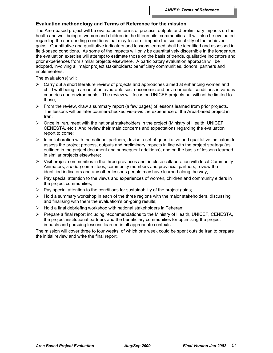## **Evaluation methodology and Terms of Reference for the mission**

The Area-based project will be evaluated in terms of process, outputs and preliminary impacts on the health and well being of women and children in the fifteen pilot communities. It will also be evaluated regarding the surrounding conditions that may foster or impede the sustainability of the achieved gains. Quantitative and qualitative indicators and lessons learned shall be identified and assessed in field-based conditions. As some of the impacts will only be quantitatively discernible in the longer run, the evaluation exercise will attempt to estimate those on the basis of trends, qualitative indicators and prior experiences from similar projects elsewhere. A participatory evaluation approach will be adopted, involving all major project stakeholders: beneficiary communities, donors, partners and implementers.

The evaluator(s) will:

- $\triangleright$  Carry out a short literature review of projects and approaches aimed at enhancing women and child well-being in areas of unfavourable socio-economic and environmental conditions in various countries and environments. The review will focus on UNICEF projects but will not be limited to those;
- $\triangleright$  From the review, draw a summary report (a few pages) of lessons learned from prior projects. The lessons will be later counter-checked vis-à-vis the experience of the Area-based project in Iran;
- $\triangleright$  Once in Iran, meet with the national stakeholders in the project (Ministry of Health, UNICEF, CENESTA, etc.) And review their main concerns and expectations regarding the evaluation report to come;
- $\triangleright$  In collaboration with the national partners, devise a set of quantitative and qualitative indicators to assess the project process, outputs and preliminary impacts in line with the project strategy (as outlined in the project document and subsequent additions), and on the basis of lessons learned in similar projects elsewhere;
- $\triangleright$  Visit project communities in the three provinces and, in close collaboration with local Community Animators, *sanduq* committees, community members and provincial partners, review the identified indicators and any other lessons people may have learned along the way;
- $\triangleright$  Pay special attention to the views and experiences of women, children and community elders in the project communities;
- $\triangleright$  Pay special attention to the conditions for sustainability of the project gains;
- $\triangleright$  Hold a summary workshop in each of the three regions with the major stakeholders, discussing and finalising with them the evaluation's on-going results;
- $\triangleright$  Hold a final debriefing workshop with national stakeholders in Teheran;
- $\triangleright$  Prepare a final report including recommendations to the Ministry of Health, UNICEF, CENESTA, the project institutional partners and the beneficiary communities for optimising the project impacts and pursuing lessons learned in all appropriate contexts.

The mission will cover three to four weeks, of which one week could be spent outside Iran to prepare the initial review and write the final report.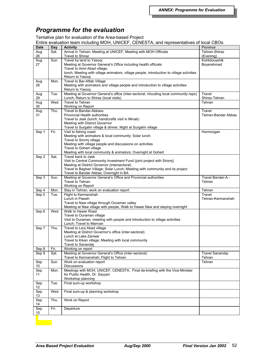# *Programme for the evaluation*

Tentative plan for evaluation of the Area-based Project

Entire evaluation team including MOH, UNICEF, CENESTA, and representatives of local CBOs

| <b>Date</b>     | Day  | Little Craigation toam indiganty mont, UNIOLI , OLNLOTIN, and representatives of local ODOS<br><b>Activity</b> | Province            |
|-----------------|------|----------------------------------------------------------------------------------------------------------------|---------------------|
| Aug             | Sat. | Arrival in Tehran; Meeting at UNICEF; Meeting with MOH Officials                                               | Tehran-Shiraz       |
| 26              |      | <b>Travel to Shiraz</b>                                                                                        | (Evening)           |
|                 | Sun. | Travel by land to Yasooj                                                                                       | Kohkilooyeh&        |
| Aug<br>27       |      | Meeting at Governor General's Office including health officials                                                | Boyerahmad          |
|                 |      | Travel to Amir-Abad village,                                                                                   |                     |
|                 |      |                                                                                                                |                     |
|                 |      | lunch, Meeting with village animators, village people, introduction to village activities<br>Return to Yasooj  |                     |
|                 |      | Travel to Bar-Aftab Village                                                                                    |                     |
| Aug             | Mon. |                                                                                                                |                     |
| 28              |      | Meeting with animators and village people and introduction to village activities                               |                     |
|                 |      | Return to Yasooj<br>Meeting at Governor General's office (inter-sectoral, inlcuding local community reps)      |                     |
| Aug             | Tue. |                                                                                                                | Travel              |
| 29              |      | Lunch; Return to Shiraz (local visits)                                                                         | Shiraz-Tehran       |
| Aug             | Wed. | Travel to Tehran                                                                                               | Tehran              |
| 30              |      | Working on Report                                                                                              |                     |
| Aug             | Thu. | Travel to Bandar-Abbass                                                                                        | Travel              |
| 31              |      | Provincial Health authorities                                                                                  | Tehran-Bandar Abbas |
|                 |      | Travel to Jask (lunch, handicrafts visit in Minab)                                                             |                     |
|                 |      | Meeting with District Governor                                                                                 |                     |
|                 |      | Travel to Surgalm village & dinner; Night at Surgalm village                                                   |                     |
| Sep 1           | Fri. | Visit to fishing coast                                                                                         | Hormozgan           |
|                 |      | Meeting with animators & local community; Solar lunch                                                          |                     |
|                 |      | Travel to Siromj village                                                                                       |                     |
|                 |      | Meeting with village people and discussions on activities                                                      |                     |
|                 |      | Travel to Gohert village                                                                                       |                     |
|                 |      | Meeting with local community & animators; Overnight at Gohert                                                  |                     |
| Sep 2           | Sat. | Travel back to Jask                                                                                            |                     |
|                 |      | Visit to Central Community Investment Fund (joint project with Siromj)                                         |                     |
|                 |      | Meeting at District Governor (intersectoral)                                                                   |                     |
|                 |      | Travel to Baghan Village; Solar Lunch; Meeting with community and its project                                  |                     |
|                 |      | Travel to Bandar Abbas; Overnight in BA                                                                        |                     |
| Sep 3           | Sun. | Meeting at Governor General's Office and Provincial authorities                                                | Travel Bandar-A.-   |
|                 |      | <b>Travel to Tehran</b>                                                                                        | Tehran              |
|                 |      | Working on Report                                                                                              |                     |
| Sep 4           | Mon. | Stay in Tehran, work on evaluation report                                                                      | Tehran              |
| Sep 5           | Tue. | Flight to Kermanshah                                                                                           | Travel              |
|                 |      | Lunch in Paweh                                                                                                 | Tehran-Kermanshah   |
|                 |      | Travel to Naw village through Ouraman valley                                                                   |                     |
|                 |      | Meeting at Naw village with people, Walk to Hawar Naw and staying overnight                                    |                     |
| Sep 6           | Wed. | Walk to Hawar Road                                                                                             |                     |
|                 |      | Travel to Ouraman village                                                                                      |                     |
|                 |      | Visit to Ouraman, meeting with people and introduction to village activities                                   |                     |
|                 |      | Lunch; Travel to Marivan                                                                                       |                     |
| Sep 7           | Thu. | Travel to Lenj Abad village                                                                                    |                     |
|                 |      | Meeting at District Governor's office (inter-sectoral)                                                         |                     |
|                 |      | Lunch at Lake Zariwar                                                                                          |                     |
|                 |      | Travel to Kikan village; Meeting with local community                                                          |                     |
|                 |      | Travel to Sanandaj                                                                                             |                     |
| Sep 8           | Fri. | Working on report                                                                                              |                     |
| Sep 9           | Sat. | Meeting at Governor General's Office (inter-sectoral)                                                          | Travel Sanandaj-    |
|                 |      | Travel to Kermanshah; Flight to Tehran                                                                         | Tehran              |
| Sep             | Sun. | Work on evaluation report                                                                                      | Tehran              |
| 10 <sup>°</sup> |      | Discussions                                                                                                    |                     |
| Sep             | Mon. | Meetings with MOH, UNICEF, CENESTA, Final de-briefing with the Vice-Minister                                   |                     |
| 11              |      | for Public Health, Dr. Sayyari                                                                                 |                     |
|                 |      | Workshop planning                                                                                              |                     |
| Sep             | Tue. | Final sum-up workshop                                                                                          |                     |
| 12 <sup>°</sup> |      |                                                                                                                |                     |
| Sep             | Wed. | Final sum-up & planning workshop                                                                               |                     |
| 13              |      |                                                                                                                |                     |
| Sep             | Thu. | Work on Report                                                                                                 |                     |
| 14              |      |                                                                                                                |                     |
| Sep             | Fri. | Departure                                                                                                      |                     |
| 15              |      |                                                                                                                |                     |
|                 |      |                                                                                                                |                     |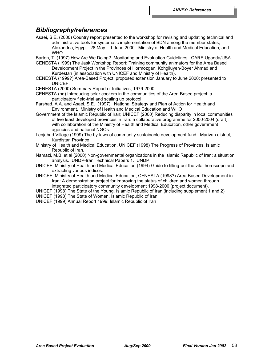## *Bibliography/references*

- Asaei, S.E. (2000) Country report presented to the workshop for revising and updating technical and administrative tools for systematic implementation of BDN among the member states, Alexandria, Egypt. 28 May – 1 June 2000. Ministry of Health and Medical Education, and WHO.
- Barton, T. (1997) How Are We Doing? Monitoring and Evaluation Guidelines. CARE Uganda/USA
- CENESTA (1999) The Jask Workshop Report: Training community animators for the Area Based Development Project in the Provinces of Hormozgan, Kohgiluyeh-Boyer Ahmad and
- Kurdestan (in association with UNICEF and Ministry of Health). CENESTA (1999?) Area-Based Project: proposed extension January to June 2000; presented to UNICEF.
- CENESTA (2000) Summary Report of Initiatives, 1979-2000.
- CENESTA (nd) Introducing solar cookers in the communities of the Area-Based project: a participatory field-trial and scaling up protocol
- Farshad, A.A. and Asaei, S.E. (1997) National Strategy and Plan of Action for Health and Environment. Ministry of Health and Medical Education and WHO
- Government of the Islamic Republic of Iran; UNICEF (2000) Reducing disparity in local communities of five least developed provinces in Iran: a collaborative programme for 2000-2004 (draft); with collaboration of the Ministry of Health and Medical Education, other government agencies and national NGOs.
- Lenjabad Village (1999) The by-laws of community sustainable development fund. Marivan district, Kurdistan Province.
- Ministry of Health and Medical Education, UNICEF (1998) The Progress of Provinces, Islamic Republic of Iran.
- Namazi, M.B. et al (2000) Non-governmental organizations in the Islamic Republic of Iran: a situation analysis. UNDP-Iran Technical Papers 1. UNDP
- UNICEF, Ministry of Health and Medical Education (1994) Guide to filling-out the vital horoscope and extracting various indices.
- UNICEF, Ministry of Health and Medical Education, CENESTA (1998?) Area-Based Development in Iran: A demonstration project for improving the status of children and women through integrated participatory community development 1998-2000 (project document).
- UNICEF (1998) The State of the Young, Islamic Republic of Iran (including supplement 1 and 2)
- UNICEF (1998) The State of Women, Islamic Republic of Iran
- UNICEF (1999) Annual Report 1999: Islamic Republic of Iran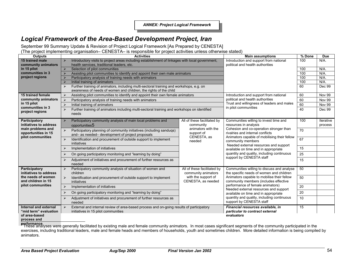*ANNEX: Project Logical Framework*

# *Logical Framework of the Area-Based Development Project, Iran*

September 99 Summary Update & Revision of Project Logical Framework [As Prepared by CENESTA]

(The project implementing organisation– CENESTA– is responsible for project activities unless otherwise stated)

| <b>Outputs</b>                                 | <b>Activities</b>                                                                                                                                                                     | <b>Main assumptions</b>                                                | % Done                                                                                                                                                                                                                                                                                                                                                                                                                                      | <b>Due</b>    |                      |
|------------------------------------------------|---------------------------------------------------------------------------------------------------------------------------------------------------------------------------------------|------------------------------------------------------------------------|---------------------------------------------------------------------------------------------------------------------------------------------------------------------------------------------------------------------------------------------------------------------------------------------------------------------------------------------------------------------------------------------------------------------------------------------|---------------|----------------------|
| 15 trained male                                | Introductory visits to project areas including establishment of linkages with local government,<br>$\blacktriangleright$                                                              | Introduction and support from national                                 | 100                                                                                                                                                                                                                                                                                                                                                                                                                                         | $N/A$ .       |                      |
| community animators                            | health services, traditional leaders, etc.                                                                                                                                            | political and health authorities                                       |                                                                                                                                                                                                                                                                                                                                                                                                                                             |               |                      |
| in 15 pilot                                    | Selection of pilot communities                                                                                                                                                        |                                                                        | 100                                                                                                                                                                                                                                                                                                                                                                                                                                         | N/A           |                      |
| communities in 3                               | Assisting pilot communities to identify and appoint their own male animators                                                                                                          |                                                                        | 100                                                                                                                                                                                                                                                                                                                                                                                                                                         | N/A           |                      |
| project regions                                | Participatory analysis of training needs with animators                                                                                                                               |                                                                        | 100                                                                                                                                                                                                                                                                                                                                                                                                                                         | $N/A$ .       |                      |
|                                                | Initial training of animators                                                                                                                                                         |                                                                        | 100                                                                                                                                                                                                                                                                                                                                                                                                                                         | $N/A$ .       |                      |
|                                                | Further training of animators, including multi-sectoral training and workshops, e.g. on<br>$\blacktriangleright$<br>awareness of needs of women and children, the rights of the child |                                                                        | 60                                                                                                                                                                                                                                                                                                                                                                                                                                          | Dec 99        |                      |
| 15 trained female                              | Assisting pilot communities to identify and appoint their own female animators<br>⋗                                                                                                   | Introduction and support from national                                 | 60                                                                                                                                                                                                                                                                                                                                                                                                                                          | <b>Nov 99</b> |                      |
| community animators                            | Participatory analysis of training needs with animators                                                                                                                               | political and health authorities                                       | 60                                                                                                                                                                                                                                                                                                                                                                                                                                          | <b>Nov 99</b> |                      |
| in 15 pilot                                    | $\blacktriangleright$<br>Initial training of animators                                                                                                                                | Trust and willingness of leaders and males                             | 60                                                                                                                                                                                                                                                                                                                                                                                                                                          | <b>Nov 99</b> |                      |
| communities in 3<br>project regions            | Further training of animators including multi-sectoral training and workshops on identified<br>$\blacktriangleright$<br>needs                                                         | in pilot communities                                                   | 40                                                                                                                                                                                                                                                                                                                                                                                                                                          | Dec 99        |                      |
| Participatory<br>initiatives to address        | Participatory community analysis of main local problems and<br>$\blacktriangleright$<br>opportunities5                                                                                | All of these facilitated by<br>community                               | Communities willing to invest time and<br>resources in analysis<br>animators with the<br>Cohesion and co-operation stronger than<br>rivalries and internal conflicts<br>support of<br>CENESTA, as<br>Animators capable of mobilising their fellow<br>needed<br>community members<br>Needed external resources and support<br>available on time and in appropriate<br>quantity and quality, including continuous<br>support by CENESTA staff | 100           | Iterative<br>process |
| main problems and<br>opportunities in 15       | Participatory planning of community initiatives (including sanduqs)<br>$\blacktriangleright$<br>and-as needed-development of project proposals                                        |                                                                        |                                                                                                                                                                                                                                                                                                                                                                                                                                             | 70            |                      |
| pilot communities                              | $\blacktriangleright$<br>Identification and procurement of outside support to implement<br>initiatives                                                                                |                                                                        |                                                                                                                                                                                                                                                                                                                                                                                                                                             | 67            |                      |
|                                                | Implementation of initiatives<br>$\blacktriangleright$                                                                                                                                |                                                                        |                                                                                                                                                                                                                                                                                                                                                                                                                                             | 15            |                      |
|                                                | On going participatory monitoring and "learning by doing"                                                                                                                             |                                                                        |                                                                                                                                                                                                                                                                                                                                                                                                                                             | 25            |                      |
|                                                | Adjustment of initiatives and procurement of further resources as<br>⋗<br>needed                                                                                                      |                                                                        |                                                                                                                                                                                                                                                                                                                                                                                                                                             | 15            |                      |
| Participatory<br>initiatives to address        | Participatory community analysis of situation of women and<br>$\blacktriangleright$<br>children                                                                                       | All of these facilitated by<br>community animators                     | Communities willing to discuss and analyse<br>the specific needs of women and children                                                                                                                                                                                                                                                                                                                                                      | 50            |                      |
| the needs of women<br>and children in 15       | $\blacktriangleright$<br>Identification and procurement of outside support to implement<br>initiatives                                                                                | with the support of<br>CENESTA, as needed                              | Animators capable to mobilise their fellow<br>community members (includes effective                                                                                                                                                                                                                                                                                                                                                         | 50            |                      |
| pilot communities                              | $\blacktriangleright$<br>Implementation of initiatives                                                                                                                                |                                                                        | performance of female animators)<br>Needed external resources and support                                                                                                                                                                                                                                                                                                                                                                   | 20            |                      |
|                                                | On going participatory monitoring and "learning by doing"<br>↘                                                                                                                        |                                                                        | available on time and in appropriate                                                                                                                                                                                                                                                                                                                                                                                                        | 20            |                      |
|                                                | Adjustment of initiatives and procurement of further resources as<br>$\blacktriangleright$<br>needed                                                                                  | quantity and quality, including continuous<br>support by CENESTA staff |                                                                                                                                                                                                                                                                                                                                                                                                                                             | 10            |                      |
| Internal and external<br>"mid term" evaluation | External and internal review of area-based process and on-going results of participatory<br>$\blacktriangleright$<br>initiatives in 15 pilot communities                              |                                                                        | Financial resources available, in<br>particular to contract external                                                                                                                                                                                                                                                                                                                                                                        | 15            |                      |
| of area-based<br>nrocass and                   |                                                                                                                                                                                       |                                                                        | evaluators                                                                                                                                                                                                                                                                                                                                                                                                                                  |               |                      |

**process and**

**performance**<br>These analyses were generally facilitated by existing male and female community animators. In most cases significant segments of the community participated in the exercises, including traditional leaders, male and female heads and members of households, youth and sometimes children. More detailed information is being compiled by animators.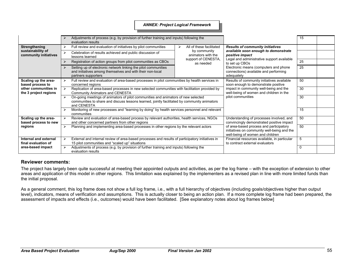#### *ANNEX: Project Logical Framework*

|                                                             |                                                                                                                                  | Adjustments of process (e.g. by provision of further training and inputs) following the<br>evaluation results                                                                                                                           |                                                                                   |                                                                                                                            |                                                                                                                                                                                                                                                                    | 15 |  |
|-------------------------------------------------------------|----------------------------------------------------------------------------------------------------------------------------------|-----------------------------------------------------------------------------------------------------------------------------------------------------------------------------------------------------------------------------------------|-----------------------------------------------------------------------------------|----------------------------------------------------------------------------------------------------------------------------|--------------------------------------------------------------------------------------------------------------------------------------------------------------------------------------------------------------------------------------------------------------------|----|--|
| Strengthening<br>sustainability of<br>community initiatives |                                                                                                                                  | Full review and evaluation of initiatives by pilot communities                                                                                                                                                                          | ⋗                                                                                 | All of these facilitated                                                                                                   | <b>Results of community initiatives</b><br>available soon enough to demonstrate<br>positive impact<br>Legal and administrative support available<br>to set up CBOs<br>Electronic means (computers and phone<br>connections) available and performing<br>adequately |    |  |
|                                                             |                                                                                                                                  | Celebration of results achieved and public discussion of<br>lessons learned                                                                                                                                                             |                                                                                   | by community<br>animators with the                                                                                         |                                                                                                                                                                                                                                                                    |    |  |
|                                                             |                                                                                                                                  | Registration of action groups from pilot communities as CBOs                                                                                                                                                                            |                                                                                   | support of CENESTA,<br>as needed                                                                                           |                                                                                                                                                                                                                                                                    | 25 |  |
|                                                             |                                                                                                                                  | Setting up of electronic network linking the pilot communities<br>and initiatives among themselves and with their non-local<br>partners supporters                                                                                      |                                                                                   |                                                                                                                            |                                                                                                                                                                                                                                                                    | 25 |  |
| Scaling up the area-<br>based process to                    |                                                                                                                                  | Full review and evaluation of area-based processes in pilot communities by health services in<br>concerned regions                                                                                                                      |                                                                                   | Results of community initiatives available<br>soon enough to demonstrate positive                                          | 50                                                                                                                                                                                                                                                                 |    |  |
| other communities in<br>the 3 project regions               | Replication of area-based processes in new selected communities with facilitation provided by<br>Community Animators and CENESTA |                                                                                                                                                                                                                                         | impact in community well-being and the<br>well-being of women and children in the | 30                                                                                                                         |                                                                                                                                                                                                                                                                    |    |  |
|                                                             | ⋗                                                                                                                                | On-going meetings of animators of pilot communities and animators of new selected<br>communities to share and discuss lessons learned, jointly facilitated by community animators<br>and CENESTA                                        |                                                                                   |                                                                                                                            | pilot communities                                                                                                                                                                                                                                                  | 30 |  |
|                                                             |                                                                                                                                  | Monitoring of new processes and "learning by doing" by health services personnel and relevant<br>communities                                                                                                                            |                                                                                   |                                                                                                                            |                                                                                                                                                                                                                                                                    | 15 |  |
| Scaling up the area-<br>based process to new                |                                                                                                                                  | Review and evaluation of area-based process by relevant authorities, health services, NGOs<br>and other concerned partners from other regions<br>Planning and implementing area-based processes in other regions by the relevant actors |                                                                                   | Understanding of processes involved, and<br>convincingly demonstrated positive impact                                      | 50                                                                                                                                                                                                                                                                 |    |  |
| regions                                                     |                                                                                                                                  |                                                                                                                                                                                                                                         |                                                                                   | of area-based process and participatory<br>initiatives on community well-being and the<br>well-being of women and children | 50                                                                                                                                                                                                                                                                 |    |  |
| Internal and external<br>final evaluation of                |                                                                                                                                  | External and internal review of area-based processes and results of participatory initiatives in<br>15 pilot communities and "scaled up" situations                                                                                     |                                                                                   | Financial resources available, in particular<br>to contract external evaluators                                            | 5                                                                                                                                                                                                                                                                  |    |  |
| area-based impact                                           |                                                                                                                                  | Adjustments of process (e.g. by provision of further training and inputs) following the<br>evaluation results                                                                                                                           |                                                                                   |                                                                                                                            |                                                                                                                                                                                                                                                                    |    |  |

## **Reviewer comments:**

The project has largely been quite successful at meeting their appointed outputs and activities, as per the log frame – with the exception of extension to other areas and application of this model in other regions. This limitation was explained by the implementers as a revised plan in line with more limited funds than the initial proposal.

As a general comment, this log frame does not show a full log frame, i.e., with a full hierarchy of objectives (including goals/objectives higher than output level), indicators, means of verification and assumptions. This is actually closer to being an action plan. If a more complete log frame had been prepared, the assessment of impacts and effects (i.e., outcomes) would have been facilitated. [See explanatory notes about log frames below]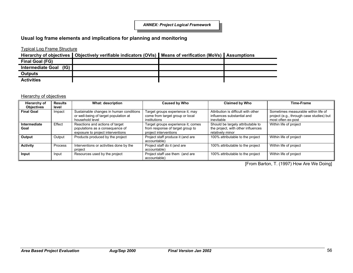# **Usual log frame elements and implications for planning and monitoring**

# Typical Log Frame Structure

**Hierarchy of objectives Objectively verifiable indicators (OVIs) Means of verification (MoVs) Assumptions**

| Final Goal (FG)                  |  |  |
|----------------------------------|--|--|
| (IG)<br><b>Intermediate Goal</b> |  |  |
| <b>Outputs</b>                   |  |  |
| <b>Activities</b>                |  |  |

#### **Hierarchy of objectives**

| Hierarchy of<br><b>Objectives</b> | <b>Results</b><br>level | <b>What: description</b>                                                                                | <b>Caused by Who</b>                                                                            | <b>Claimed by Who</b>                                                                       | Time-Frame                                                                                            |
|-----------------------------------|-------------------------|---------------------------------------------------------------------------------------------------------|-------------------------------------------------------------------------------------------------|---------------------------------------------------------------------------------------------|-------------------------------------------------------------------------------------------------------|
| <b>Final Goal</b>                 | Impact                  | Sustainable changes in human conditions<br>or well-being of target population at<br>household level     | Target groups experience it; may<br>come from target group or local<br>institutions             | Attribution is difficult with other<br>influences substantial and<br>inevitable             | Sometimes measurable within life of<br>project (e.g., through case studies) but<br>most often ex-post |
| Intermediate<br>Goal              | Effect                  | Reactions and actions of target<br>populations as a consequence of<br>exposure to project interventions | Target groups experience it; comes<br>from response of target group to<br>project interventions | Should be largely attributable to<br>the project, with other influences<br>relatively minor | Within life of project                                                                                |
| Output                            | Output                  | Products produced by the project                                                                        | Project staff produce it (and are<br>accountable)                                               | 100% attributable to the project                                                            | Within life of project                                                                                |
| <b>Activity</b>                   | Process                 | Interventions or activities done by the<br>project                                                      | Project staff do it (and are<br>accountable)                                                    | 100% attributable to the project                                                            | Within life of project                                                                                |
| Input                             | Input                   | Resources used by the project                                                                           | Project staff use them (and are<br>accountable)                                                 | 100% attributable to the project                                                            | Within life of project                                                                                |

[From Barton, T. (1997) How Are We Doing]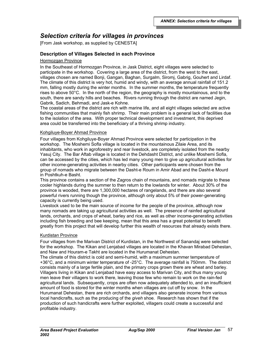# *Selection criteria for villages in provinces*

[From Jask workshop, as supplied by CENESTA]

# **Description of Villages Selected in each Province**

#### Hormozgan Province

In the Southeast of Hormozgan Province, in Jask District, eight villages were selected to participate in the workshop. Covering a large area of the district, from the west to the east, villages chosen are named Bonji, Gangan, Baghan, Surgalm, Siromj, Gabrig, Gouhert and Lirdaf. The climate of this district is very hot, humid and windy, with an average annual rainfall of 151.2 mm, falling mostly during the winter months. In the summer months, the temperature frequently rises to above 50°C. In the north of the region, the geography is mostly mountainous, and to the south, there are sandy hills and beaches. Rivers running through the district are named Jegin, Gabrik, Sadich, Behmadi, and Jask-e Kohne.

The coastal areas of the district are rich with marine life, and all eight villages selected are active fishing communities that mainly fish shrimp. Their main problem is a general lack of facilities due to the isolation of the area. With proper technical development and investment, this deprived area could be transferred into the beneficiary of a thriving shrimp industry.

#### Kohgiluye-Boyer Ahmad Province

Four villages from Kohgiluye-Boyer Ahmad Province were selected for participation in the workshop. The Moshemi Sofla village is located in the mountainous Zilaie Area, and its inhabitants, who work in agroforestry and rear livestock, are completely isolated from the nearby Yasuj City. The Bar Aftab village is located in the Dehdasht District, and unlike Moshemi Sofla, can be accessed by the cities, which has led many young men to give up agricultural activities for other income-generating activities in nearby cities. Other participants were chosen from the group of nomads who migrate between the Dasht-e Roum in Amir Abad and the Dasht-e Mourd in Poshtkuh-e Basht.

This province contains a section of the Zagros chain of mountains, and nomads migrate to these cooler highlands during the summer to then return to the lowlands for winter. About 30% of the province is wooded, there are 1,300,000 hectares of rangelands, and there are also several powerful rivers running though the province, although only about 5% of their power-generating capacity is currently being used.

Livestock used to be the main source of income for the people of the province, although now many nomads are taking up agricultural activities as well. The presence of rainfed agricultural lands, orchards, and crops of wheat, barley and rice, as well as other income-generating activities including fish breeding and bee keeping, mean that this area has a great potential to benefit greatly from this project that will develop further this wealth of resources that already exists there.

### Kurdistan Province

Four villages from the Marivan District of Kurdistan, in the Northwest of Sanandaj were selected for the workshop. The Kikan and Lenjabad villages are located in the Khavan Mirabad Dehestan, and Naw and Houram-e Takht are located in the Hurumanat Dehestan.

The climate of this district is cold and semi-humid, with a maximum summer temperature of +36°C, and a minimum winter temperature of -25°C. The average rainfall is 750mm. The district consists mainly of a large fertile plain, and the primary crops grown there are wheat and barley. Villagers living in Kikan and Lenjabad have easy access to Marivan City, and thus many young men leave their villagers to work there, leaving those few who remain to work on the rain-fed agricultural lands. Subsequently, crops are often now adequately attended to, and an insufficient amount of food is stored for the winter months when villages are cut off by snow. In the Hurumanat Dehestan, there are rich orchards, and villagers also generate income from various local handicrafts, such as the producing of the *giveh* shoe. Research has shown that if the production of such handicrafts were further exploited, villagers could create a successful and profitable industry.